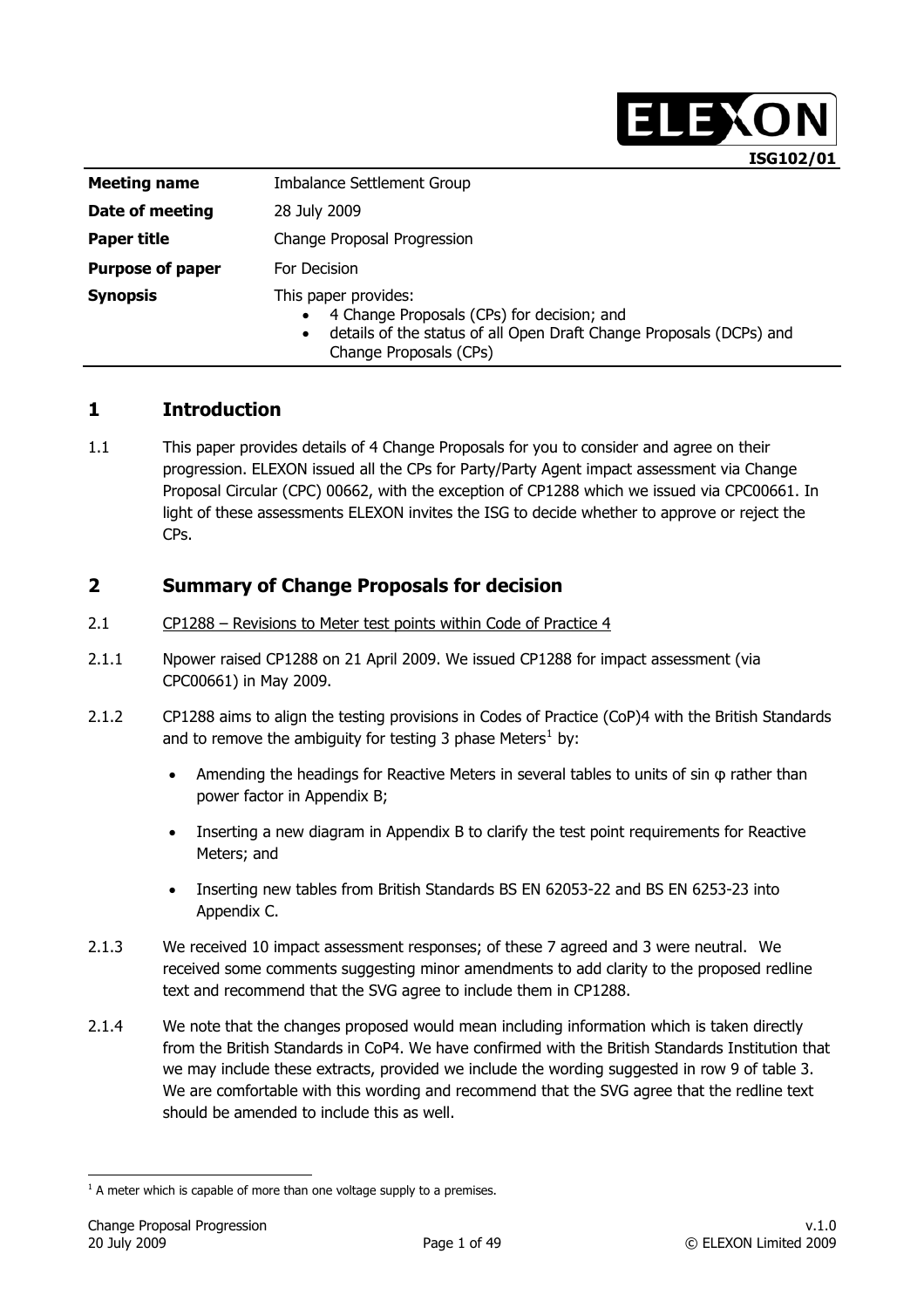|                         | ISG102/01                                                                                                                                                                                     |  |
|-------------------------|-----------------------------------------------------------------------------------------------------------------------------------------------------------------------------------------------|--|
| <b>Meeting name</b>     | Imbalance Settlement Group                                                                                                                                                                    |  |
| Date of meeting         | 28 July 2009                                                                                                                                                                                  |  |
| Paper title             | Change Proposal Progression                                                                                                                                                                   |  |
| <b>Purpose of paper</b> | For Decision                                                                                                                                                                                  |  |
| <b>Synopsis</b>         | This paper provides:<br>4 Change Proposals (CPs) for decision; and<br>$\bullet$<br>details of the status of all Open Draft Change Proposals (DCPs) and<br>$\bullet$<br>Change Proposals (CPs) |  |

# **1 Introduction**

1.1 This paper provides details of 4 Change Proposals for you to consider and agree on their progression. ELEXON issued all the CPs for Party/Party Agent impact assessment via Change Proposal Circular (CPC) 00662, with the exception of CP1288 which we issued via CPC00661. In light of these assessments ELEXON invites the ISG to decide whether to approve or reject the CPs.

# **2 Summary of Change Proposals for decision**

- 2.1 CP1288 Revisions to Meter test points within Code of Practice 4
- 2.1.1 Npower raised CP1288 on 21 April 2009. We issued CP1288 for impact assessment (via CPC00661) in May 2009.
- 2.1.2 CP1288 aims to align the testing provisions in Codes of Practice (CoP)4 with the British Standards and to remove the ambiguity for testing 3 phase Meters<sup>[1](#page-0-0)</sup> by:
	- Amending the headings for Reactive Meters in several tables to units of sin φ rather than power factor in Appendix B;
	- Inserting a new diagram in Appendix B to clarify the test point requirements for Reactive Meters; and
	- Inserting new tables from British Standards BS EN 62053-22 and BS EN 6253-23 into Appendix C.
- 2.1.3 We received 10 impact assessment responses; of these 7 agreed and 3 were neutral. We received some comments suggesting minor amendments to add clarity to the proposed redline text and recommend that the SVG agree to include them in CP1288.
- 2.1.4 We note that the changes proposed would mean including information which is taken directly from the British Standards in CoP4. We have confirmed with the British Standards Institution that we may include these extracts, provided we include the wording suggested in row 9 of table 3. We are comfortable with this wording and recommend that the SVG agree that the redline text should be amended to include this as well.

ELEXON

<span id="page-0-0"></span>  $<sup>1</sup>$  A meter which is capable of more than one voltage supply to a premises.</sup>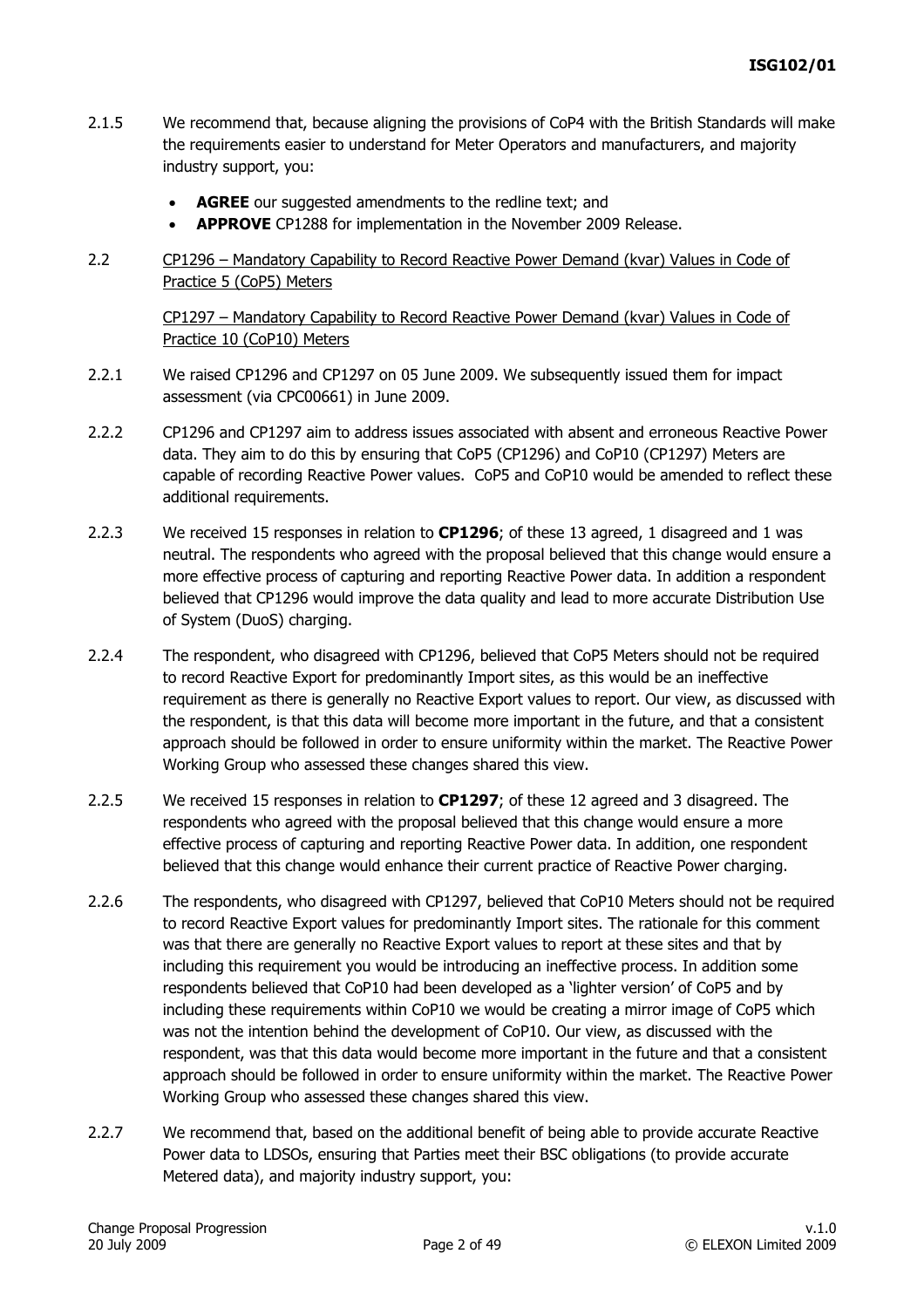- 2.1.5 We recommend that, because aligning the provisions of CoP4 with the British Standards will make the requirements easier to understand for Meter Operators and manufacturers, and majority industry support, you:
	- **AGREE** our suggested amendments to the redline text; and
	- **APPROVE** CP1288 for implementation in the November 2009 Release.
- 2.2 CP1296 Mandatory Capability to Record Reactive Power Demand (kvar) Values in Code of Practice 5 (CoP5) Meters

CP1297 – Mandatory Capability to Record Reactive Power Demand (kvar) Values in Code of Practice 10 (CoP10) Meters

- 2.2.1 We raised CP1296 and CP1297 on 05 June 2009. We subsequently issued them for impact assessment (via CPC00661) in June 2009.
- 2.2.2 CP1296 and CP1297 aim to address issues associated with absent and erroneous Reactive Power data. They aim to do this by ensuring that CoP5 (CP1296) and CoP10 (CP1297) Meters are capable of recording Reactive Power values. CoP5 and CoP10 would be amended to reflect these additional requirements.
- 2.2.3 We received 15 responses in relation to **CP1296**; of these 13 agreed, 1 disagreed and 1 was neutral. The respondents who agreed with the proposal believed that this change would ensure a more effective process of capturing and reporting Reactive Power data. In addition a respondent believed that CP1296 would improve the data quality and lead to more accurate Distribution Use of System (DuoS) charging.
- 2.2.4 The respondent, who disagreed with CP1296, believed that CoP5 Meters should not be required to record Reactive Export for predominantly Import sites, as this would be an ineffective requirement as there is generally no Reactive Export values to report. Our view, as discussed with the respondent, is that this data will become more important in the future, and that a consistent approach should be followed in order to ensure uniformity within the market. The Reactive Power Working Group who assessed these changes shared this view.
- 2.2.5 We received 15 responses in relation to **CP1297**; of these 12 agreed and 3 disagreed. The respondents who agreed with the proposal believed that this change would ensure a more effective process of capturing and reporting Reactive Power data. In addition, one respondent believed that this change would enhance their current practice of Reactive Power charging.
- 2.2.6 The respondents, who disagreed with CP1297, believed that CoP10 Meters should not be required to record Reactive Export values for predominantly Import sites. The rationale for this comment was that there are generally no Reactive Export values to report at these sites and that by including this requirement you would be introducing an ineffective process. In addition some respondents believed that CoP10 had been developed as a 'lighter version' of CoP5 and by including these requirements within CoP10 we would be creating a mirror image of CoP5 which was not the intention behind the development of CoP10. Our view, as discussed with the respondent, was that this data would become more important in the future and that a consistent approach should be followed in order to ensure uniformity within the market. The Reactive Power Working Group who assessed these changes shared this view.
- 2.2.7 We recommend that, based on the additional benefit of being able to provide accurate Reactive Power data to LDSOs, ensuring that Parties meet their BSC obligations (to provide accurate Metered data), and majority industry support, you: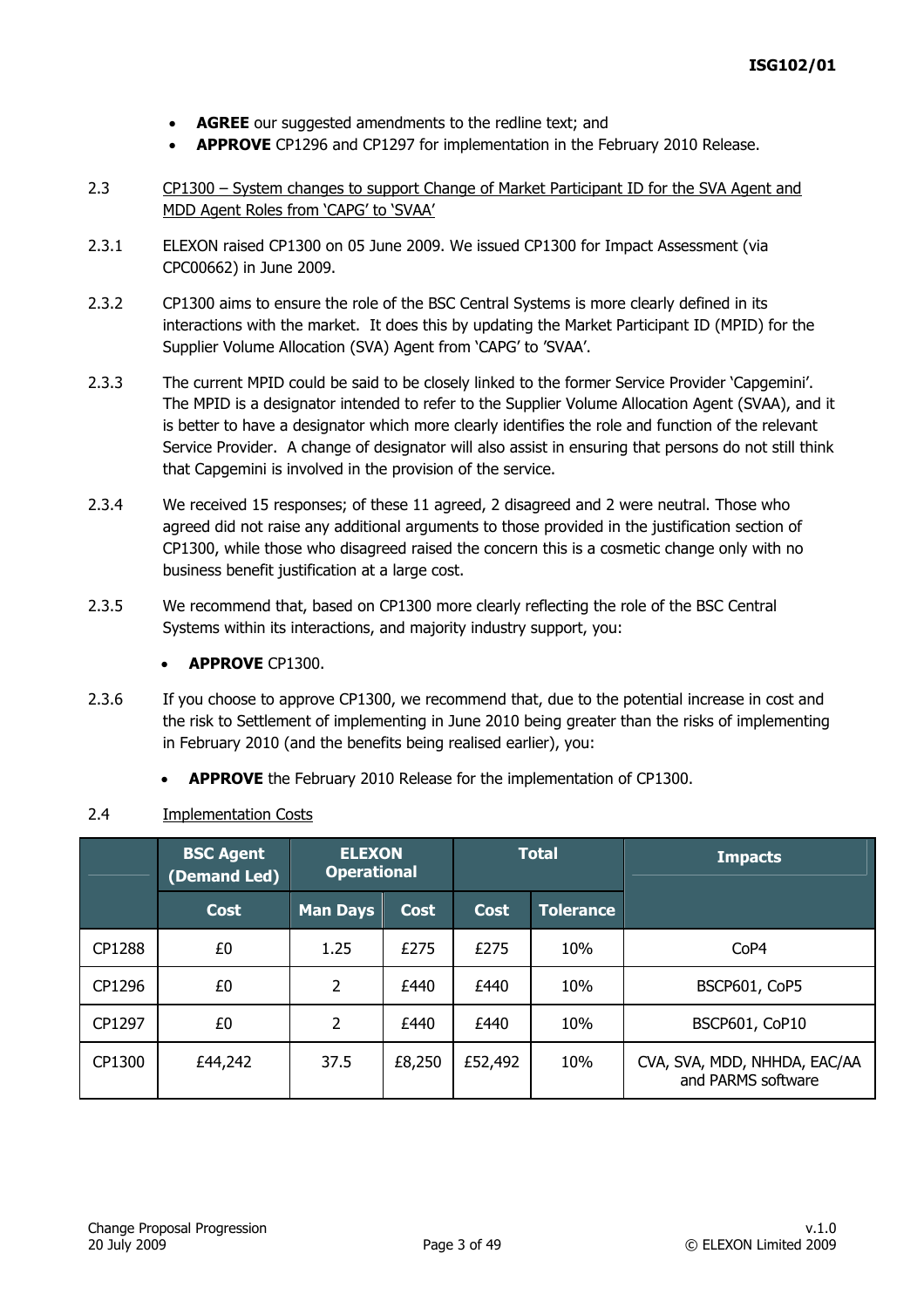- **AGREE** our suggested amendments to the redline text; and
- **APPROVE** CP1296 and CP1297 for implementation in the February 2010 Release.
- 2.3 CP1300 System changes to support Change of Market Participant ID for the SVA Agent and MDD Agent Roles from 'CAPG' to 'SVAA'
- 2.3.1 ELEXON raised CP1300 on 05 June 2009. We issued CP1300 for Impact Assessment (via CPC00662) in June 2009.
- 2.3.2 CP1300 aims to ensure the role of the BSC Central Systems is more clearly defined in its interactions with the market. It does this by updating the Market Participant ID (MPID) for the Supplier Volume Allocation (SVA) Agent from 'CAPG' to 'SVAA'.
- 2.3.3 The current MPID could be said to be closely linked to the former Service Provider 'Capgemini'. The MPID is a designator intended to refer to the Supplier Volume Allocation Agent (SVAA), and it is better to have a designator which more clearly identifies the role and function of the relevant Service Provider. A change of designator will also assist in ensuring that persons do not still think that Capgemini is involved in the provision of the service.
- 2.3.4 We received 15 responses; of these 11 agreed, 2 disagreed and 2 were neutral. Those who agreed did not raise any additional arguments to those provided in the justification section of CP1300, while those who disagreed raised the concern this is a cosmetic change only with no business benefit justification at a large cost.
- 2.3.5 We recommend that, based on CP1300 more clearly reflecting the role of the BSC Central Systems within its interactions, and majority industry support, you:
	- **APPROVE** CP1300.
- 2.3.6 If you choose to approve CP1300, we recommend that, due to the potential increase in cost and the risk to Settlement of implementing in June 2010 being greater than the risks of implementing in February 2010 (and the benefits being realised earlier), you:
	- **APPROVE** the February 2010 Release for the implementation of CP1300.

### 2.4 Implementation Costs

|        | <b>BSC Agent</b><br>(Demand Led) | <b>ELEXON</b><br><b>Operational</b> |             |         | <b>Total</b> | <b>Impacts</b>                                     |
|--------|----------------------------------|-------------------------------------|-------------|---------|--------------|----------------------------------------------------|
|        | <b>Cost</b>                      | <b>Man Days</b>                     | <b>Cost</b> | Cost    | Tolerance    |                                                    |
| CP1288 | £0                               | 1.25                                | £275        | £275    | 10%          | CoP4                                               |
| CP1296 | £0                               | $\overline{2}$                      | £440        | £440    | 10%          | BSCP601, CoP5                                      |
| CP1297 | £0                               | $\overline{2}$                      | £440        | £440    | 10%          | <b>BSCP601, CoP10</b>                              |
| CP1300 | £44,242                          | 37.5                                | £8,250      | £52,492 | 10%          | CVA, SVA, MDD, NHHDA, EAC/AA<br>and PARMS software |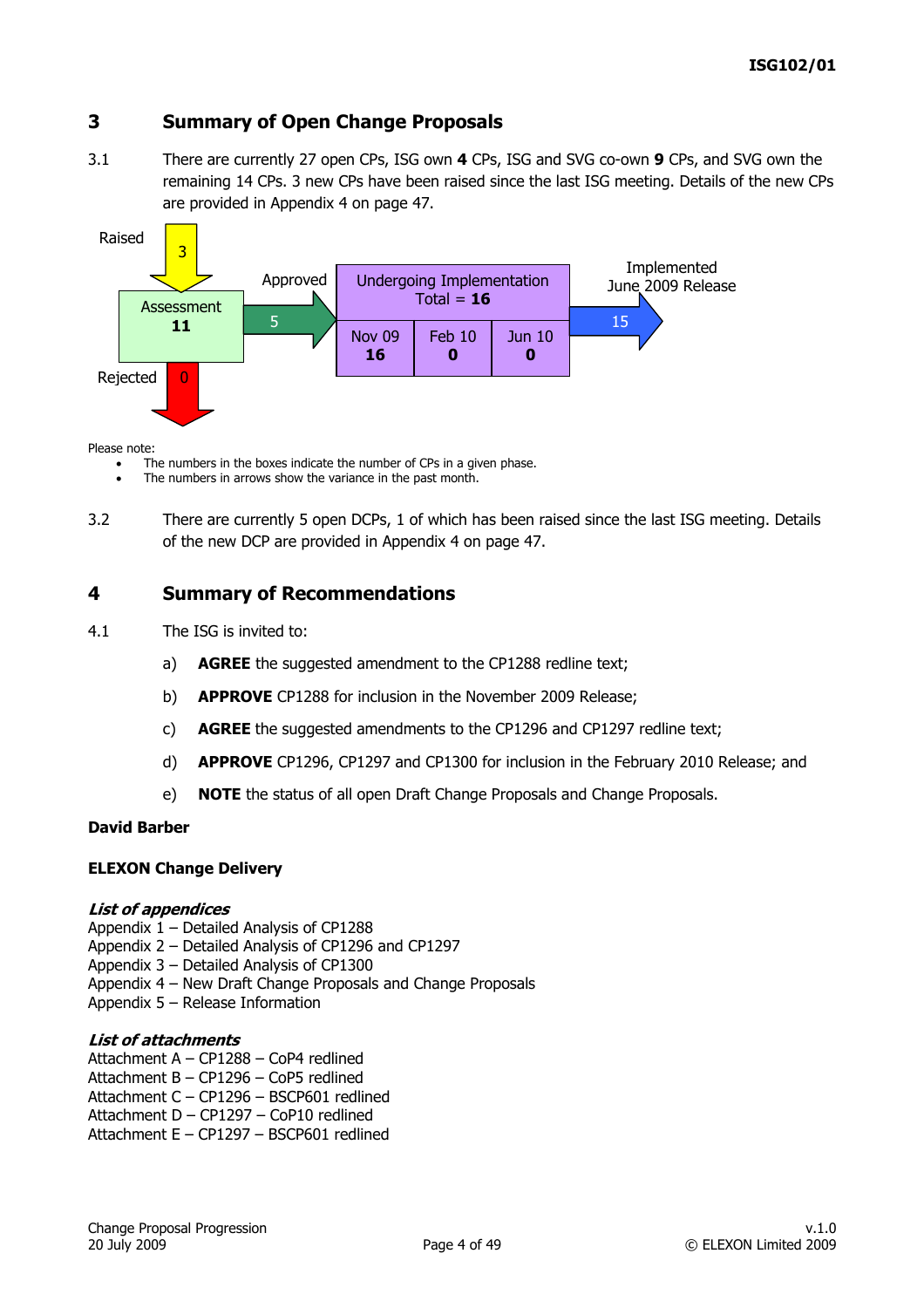# **3 Summary of Open Change Proposals**

3.1 There are currently 27 open CPs, ISG own **4** CPs, ISG and SVG co-own **9** CPs, and SVG own the remaining 14 CPs. 3 new CPs have been raised since the last ISG meeting. Details of the new CPs are provided in Appendix 4 on page 47.



#### Please note:

The numbers in the boxes indicate the number of CPs in a given phase.

- The numbers in arrows show the variance in the past month.
- 3.2 There are currently 5 open DCPs, 1 of which has been raised since the last ISG meeting. Details of the new DCP are provided in Appendix 4 on page 47.

### **4 Summary of Recommendations**

- 4.1 The ISG is invited to:
	- a) **AGREE** the suggested amendment to the CP1288 redline text;
	- b) **APPROVE** CP1288 for inclusion in the November 2009 Release;
	- c) **AGREE** the suggested amendments to the CP1296 and CP1297 redline text;
	- d) **APPROVE** CP1296, CP1297 and CP1300 for inclusion in the February 2010 Release; and
	- e) **NOTE** the status of all open Draft Change Proposals and Change Proposals.

#### **David Barber**

#### **ELEXON Change Delivery**

#### **List of appendices**

- Appendix 1 Detailed Analysis of CP1288
- Appendix 2 Detailed Analysis of CP1296 and CP1297
- Appendix 3 Detailed Analysis of CP1300
- Appendix 4 New Draft Change Proposals and Change Proposals
- Appendix 5 Release Information

#### **List of attachments**

- Attachment A CP1288 CoP4 redlined
- Attachment B CP1296 CoP5 redlined
- Attachment C CP1296 BSCP601 redlined
- Attachment D CP1297 CoP10 redlined
- Attachment E CP1297 BSCP601 redlined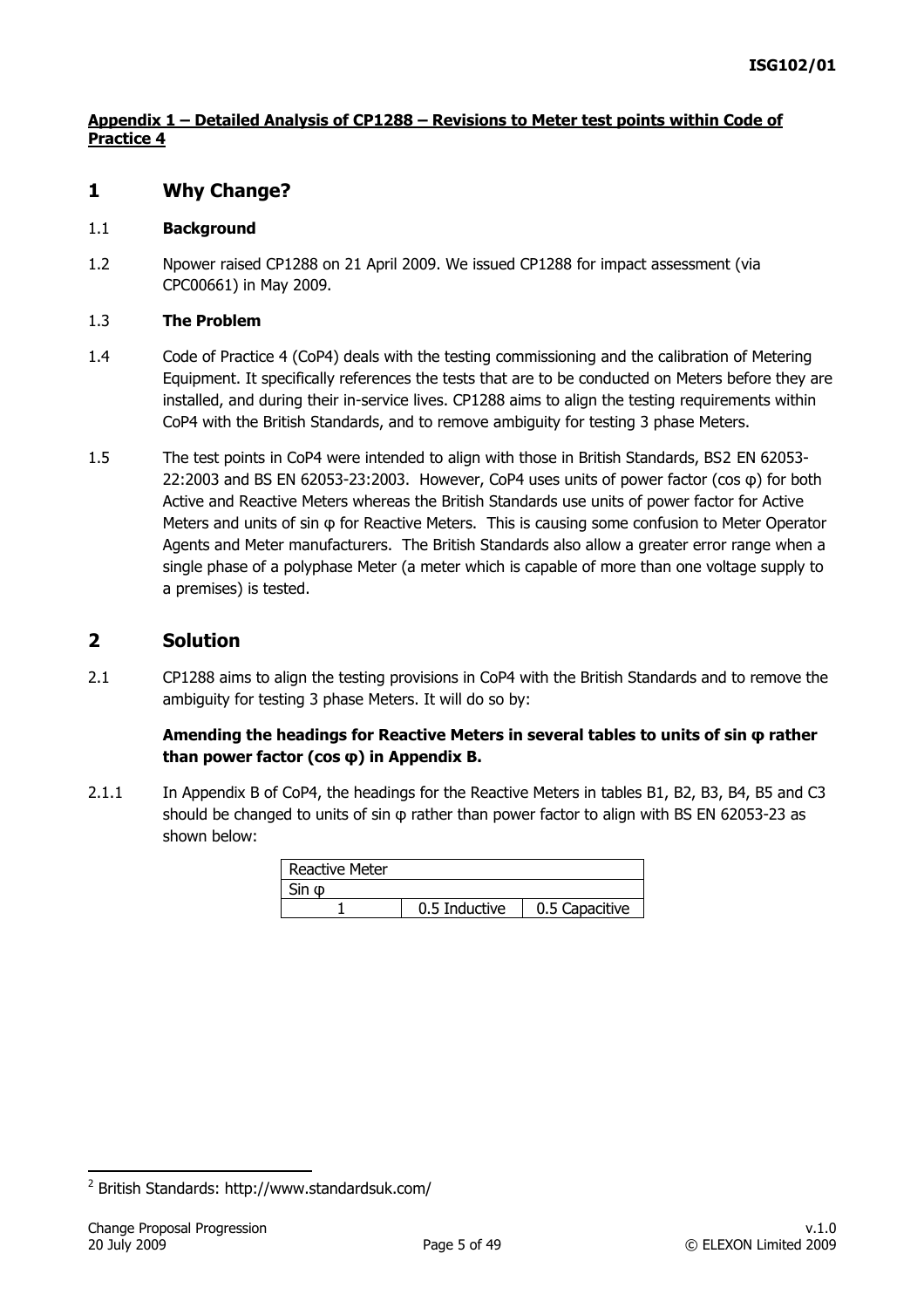### **Appendix 1 – Detailed Analysis of CP1288 – Revisions to Meter test points within Code of Practice 4**

# **1 Why Change?**

#### 1.1 **Background**

1.2 Npower raised CP1288 on 21 April 2009. We issued CP1288 for impact assessment (via CPC00661) in May 2009.

#### 1.3 **The Problem**

- 1.4 Code of Practice 4 (CoP4) deals with the testing commissioning and the calibration of Metering Equipment. It specifically references the tests that are to be conducted on Meters before they are installed, and during their in-service lives. CP1288 aims to align the testing requirements within CoP4 with the British Standards, and to remove ambiguity for testing 3 phase Meters.
- 1.5 The test points in CoP4 were intended to align with those in British Standards, BS[2](#page-4-0) EN 62053- 22:2003 and BS EN 62053-23:2003. However, CoP4 uses units of power factor (cos φ) for both Active and Reactive Meters whereas the British Standards use units of power factor for Active Meters and units of sin φ for Reactive Meters. This is causing some confusion to Meter Operator Agents and Meter manufacturers. The British Standards also allow a greater error range when a single phase of a polyphase Meter (a meter which is capable of more than one voltage supply to a premises) is tested.

### **2 Solution**

2.1 CP1288 aims to align the testing provisions in CoP4 with the British Standards and to remove the ambiguity for testing 3 phase Meters. It will do so by:

### **Amending the headings for Reactive Meters in several tables to units of sin φ rather than power factor (cos φ) in Appendix B.**

2.1.1 In Appendix B of CoP4, the headings for the Reactive Meters in tables B1, B2, B3, B4, B5 and C3 should be changed to units of sin φ rather than power factor to align with BS EN 62053-23 as shown below:

| <b>Reactive Meter</b> |               |                |  |  |  |
|-----------------------|---------------|----------------|--|--|--|
|                       |               |                |  |  |  |
|                       | 0.5 Inductive | 0.5 Capacitive |  |  |  |

-

<span id="page-4-0"></span><sup>&</sup>lt;sup>2</sup> British Standards: http://www.standardsuk.com/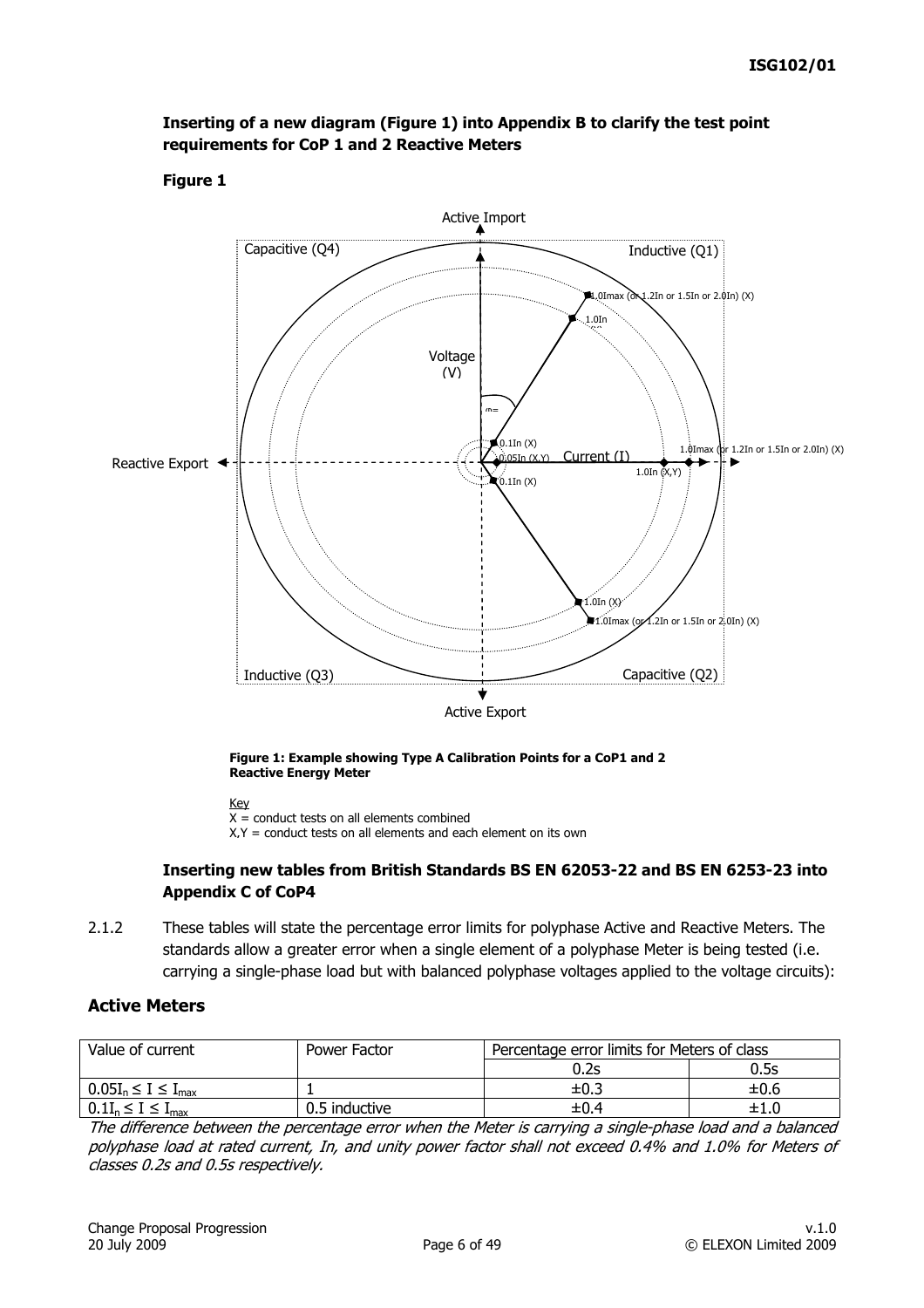

### **Inserting of a new diagram (Figure 1) into Appendix B to clarify the test point requirements for CoP 1 and 2 Reactive Meters**

### **Figure 1**



Key

 $\overline{X}$  = conduct tests on all elements combined

 $X, Y = \text{conduct tests on all elements and each element on its own}$ 

#### **Inserting new tables from British Standards BS EN 62053-22 and BS EN 6253-23 into Appendix C of CoP4**

2.1.2 These tables will state the percentage error limits for polyphase Active and Reactive Meters. The standards allow a greater error when a single element of a polyphase Meter is being tested (i.e. carrying a single-phase load but with balanced polyphase voltages applied to the voltage circuits):

### **Active Meters**

| Value of current              | Power Factor  | Percentage error limits for Meters of class |           |
|-------------------------------|---------------|---------------------------------------------|-----------|
|                               |               | 0.2s                                        | 0.5s      |
| $0.05I_n \leq I \leq I_{max}$ |               | $\pm 0.3$                                   | $\pm 0.6$ |
| $0.1I_n \leq I \leq I_{max}$  | 0.5 inductive | $\pm 0.4$                                   | $\pm 1.0$ |

The difference between the percentage error when the Meter is carrying a single-phase load and a balanced polyphase load at rated current, In, and unity power factor shall not exceed 0.4% and 1.0% for Meters of classes 0.2s and 0.5s respectively.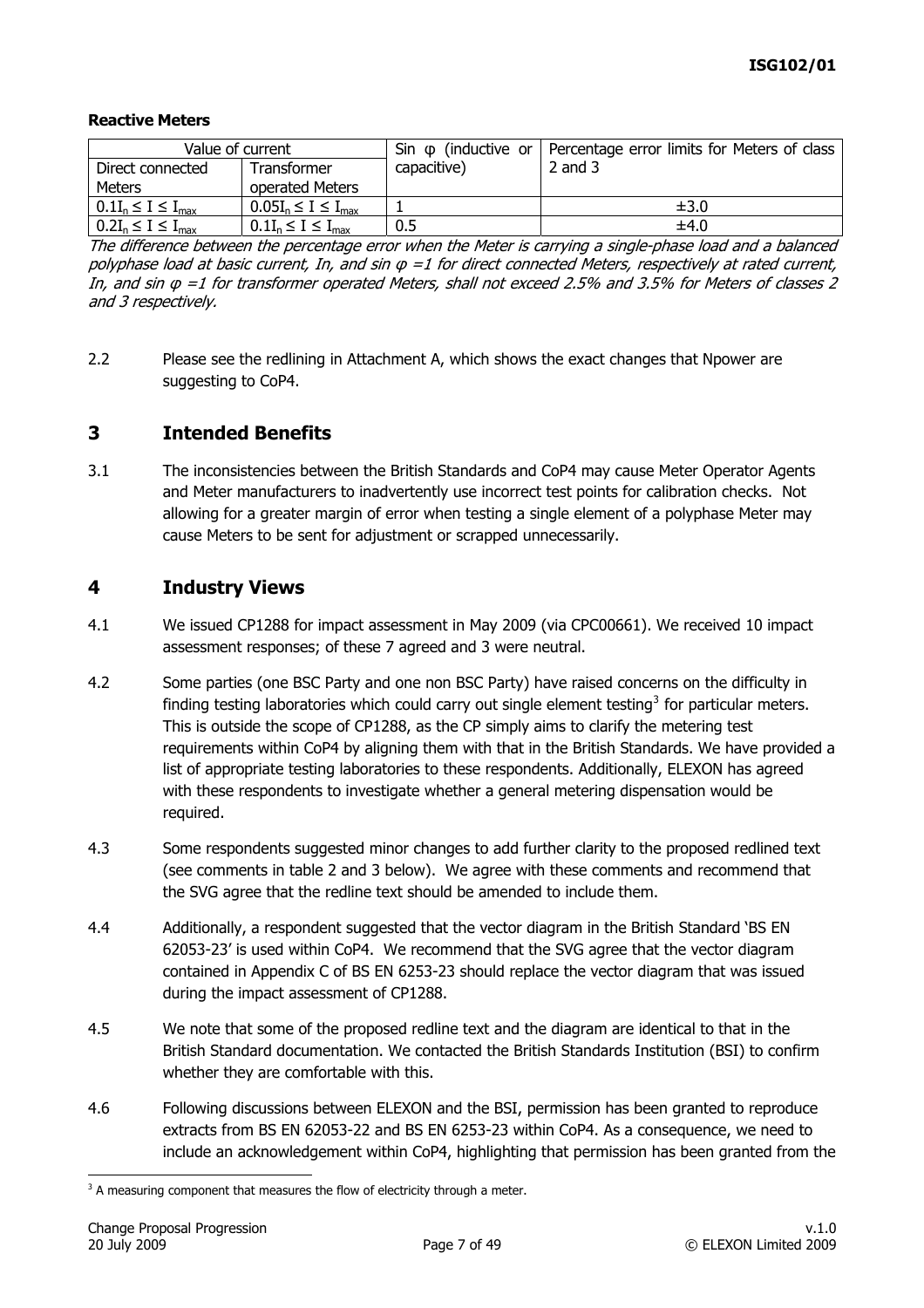#### **Reactive Meters**

| Value of current             |                               |             | Sin $\varphi$ (inductive or   Percentage error limits for Meters of class |
|------------------------------|-------------------------------|-------------|---------------------------------------------------------------------------|
| Direct connected             | Transformer                   | capacitive) | $2$ and $3$                                                               |
| Meters                       | operated Meters               |             |                                                                           |
| $0.1I_n \leq I \leq I_{max}$ | $0.05I_n \leq I \leq I_{max}$ |             | ±3.0                                                                      |
| $0.2I_n \leq I \leq I_{max}$ | $0.1I_n \leq I \leq I_{max}$  | 0.5         | ±4.0                                                                      |

The difference between the percentage error when the Meter is carrying a single-phase load and a balanced polyphase load at basic current, In, and sin φ =1 for direct connected Meters, respectively at rated current, In, and sin φ =1 for transformer operated Meters, shall not exceed 2.5% and 3.5% for Meters of classes 2 and 3 respectively.

2.2 Please see the redlining in Attachment A, which shows the exact changes that Npower are suggesting to CoP4.

# **3 Intended Benefits**

3.1 The inconsistencies between the British Standards and CoP4 may cause Meter Operator Agents and Meter manufacturers to inadvertently use incorrect test points for calibration checks. Not allowing for a greater margin of error when testing a single element of a polyphase Meter may cause Meters to be sent for adjustment or scrapped unnecessarily.

### **4 Industry Views**

- 4.1 We issued CP1288 for impact assessment in May 2009 (via CPC00661). We received 10 impact assessment responses; of these 7 agreed and 3 were neutral.
- 4.2 Some parties (one BSC Party and one non BSC Party) have raised concerns on the difficulty in finding testing laboratories which could carry out single element testing<sup>[3](#page-6-0)</sup> for particular meters. This is outside the scope of CP1288, as the CP simply aims to clarify the metering test requirements within CoP4 by aligning them with that in the British Standards. We have provided a list of appropriate testing laboratories to these respondents. Additionally, ELEXON has agreed with these respondents to investigate whether a general metering dispensation would be required.
- 4.3 Some respondents suggested minor changes to add further clarity to the proposed redlined text (see comments in table 2 and 3 below). We agree with these comments and recommend that the SVG agree that the redline text should be amended to include them.
- 4.4 Additionally, a respondent suggested that the vector diagram in the British Standard 'BS EN 62053-23' is used within CoP4. We recommend that the SVG agree that the vector diagram contained in Appendix C of BS EN 6253-23 should replace the vector diagram that was issued during the impact assessment of CP1288.
- 4.5 We note that some of the proposed redline text and the diagram are identical to that in the British Standard documentation. We contacted the British Standards Institution (BSI) to confirm whether they are comfortable with this.
- 4.6 Following discussions between ELEXON and the BSI, permission has been granted to reproduce extracts from BS EN 62053-22 and BS EN 6253-23 within CoP4. As a consequence, we need to include an acknowledgement within CoP4, highlighting that permission has been granted from the

<span id="page-6-0"></span>  $3$  A measuring component that measures the flow of electricity through a meter.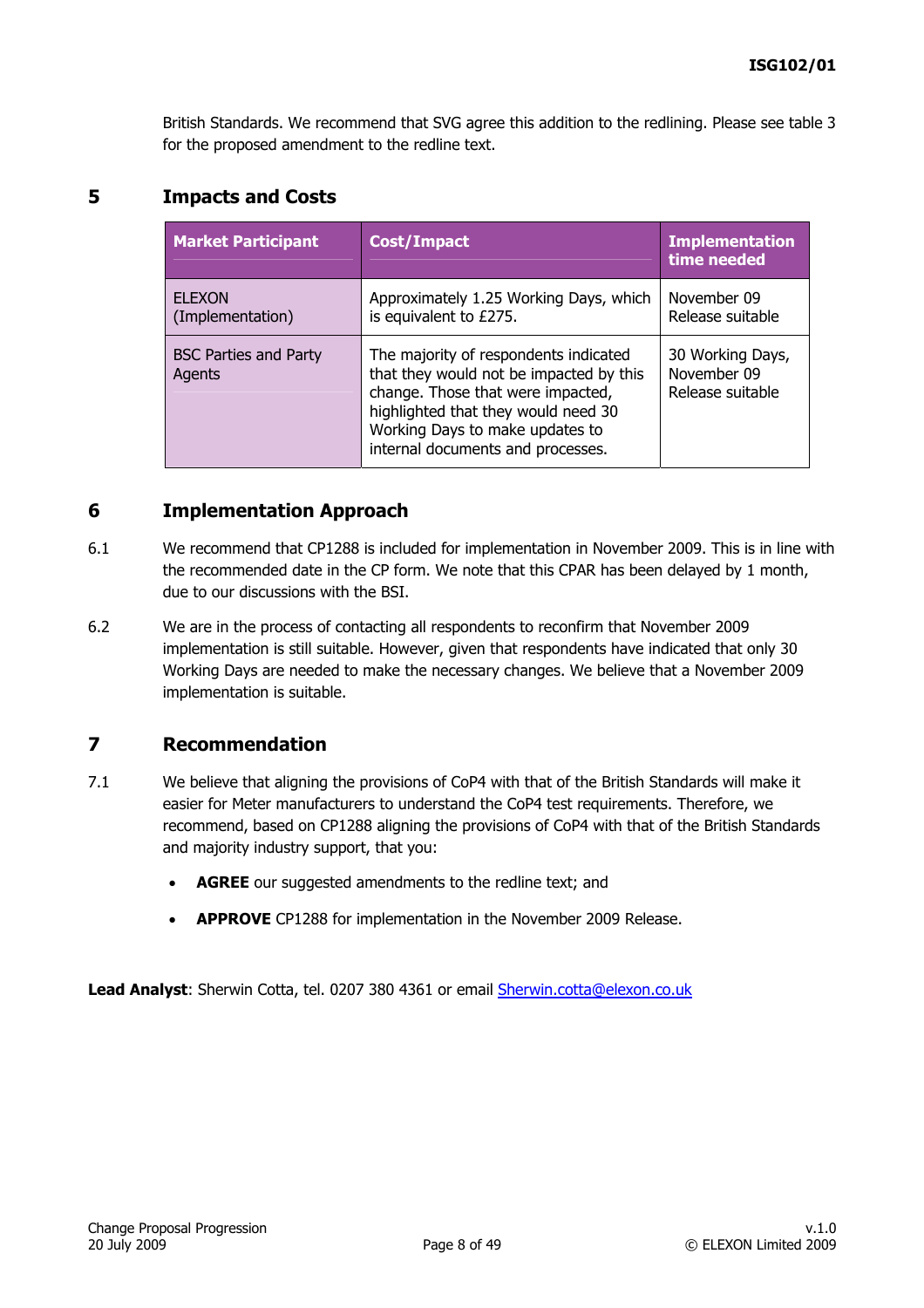British Standards. We recommend that SVG agree this addition to the redlining. Please see table 3 for the proposed amendment to the redline text.

# **5 Impacts and Costs**

| <b>Market Participant</b>              | <b>Cost/Impact</b>                                                                                                                                                                                                                   | <b>Implementation</b><br>time needed                |
|----------------------------------------|--------------------------------------------------------------------------------------------------------------------------------------------------------------------------------------------------------------------------------------|-----------------------------------------------------|
| <b>FLEXON</b><br>(Implementation)      | Approximately 1.25 Working Days, which<br>is equivalent to £275.                                                                                                                                                                     | November 09<br>Release suitable                     |
| <b>BSC Parties and Party</b><br>Agents | The majority of respondents indicated<br>that they would not be impacted by this<br>change. Those that were impacted,<br>highlighted that they would need 30<br>Working Days to make updates to<br>internal documents and processes. | 30 Working Days,<br>November 09<br>Release suitable |

# **6 Implementation Approach**

- 6.1 We recommend that CP1288 is included for implementation in November 2009. This is in line with the recommended date in the CP form. We note that this CPAR has been delayed by 1 month, due to our discussions with the BSI.
- 6.2 We are in the process of contacting all respondents to reconfirm that November 2009 implementation is still suitable. However, given that respondents have indicated that only 30 Working Days are needed to make the necessary changes. We believe that a November 2009 implementation is suitable.

### **7 Recommendation**

- 7.1 We believe that aligning the provisions of CoP4 with that of the British Standards will make it easier for Meter manufacturers to understand the CoP4 test requirements. Therefore, we recommend, based on CP1288 aligning the provisions of CoP4 with that of the British Standards and majority industry support, that you:
	- AGREE our suggested amendments to the redline text; and
	- **APPROVE** CP1288 for implementation in the November 2009 Release.

**Lead Analyst**: Sherwin Cotta, tel. 0207 380 4361 or email [Sherwin.cotta@elexon.co.uk](mailto:Sherwin.cotta@elexon.co.uk)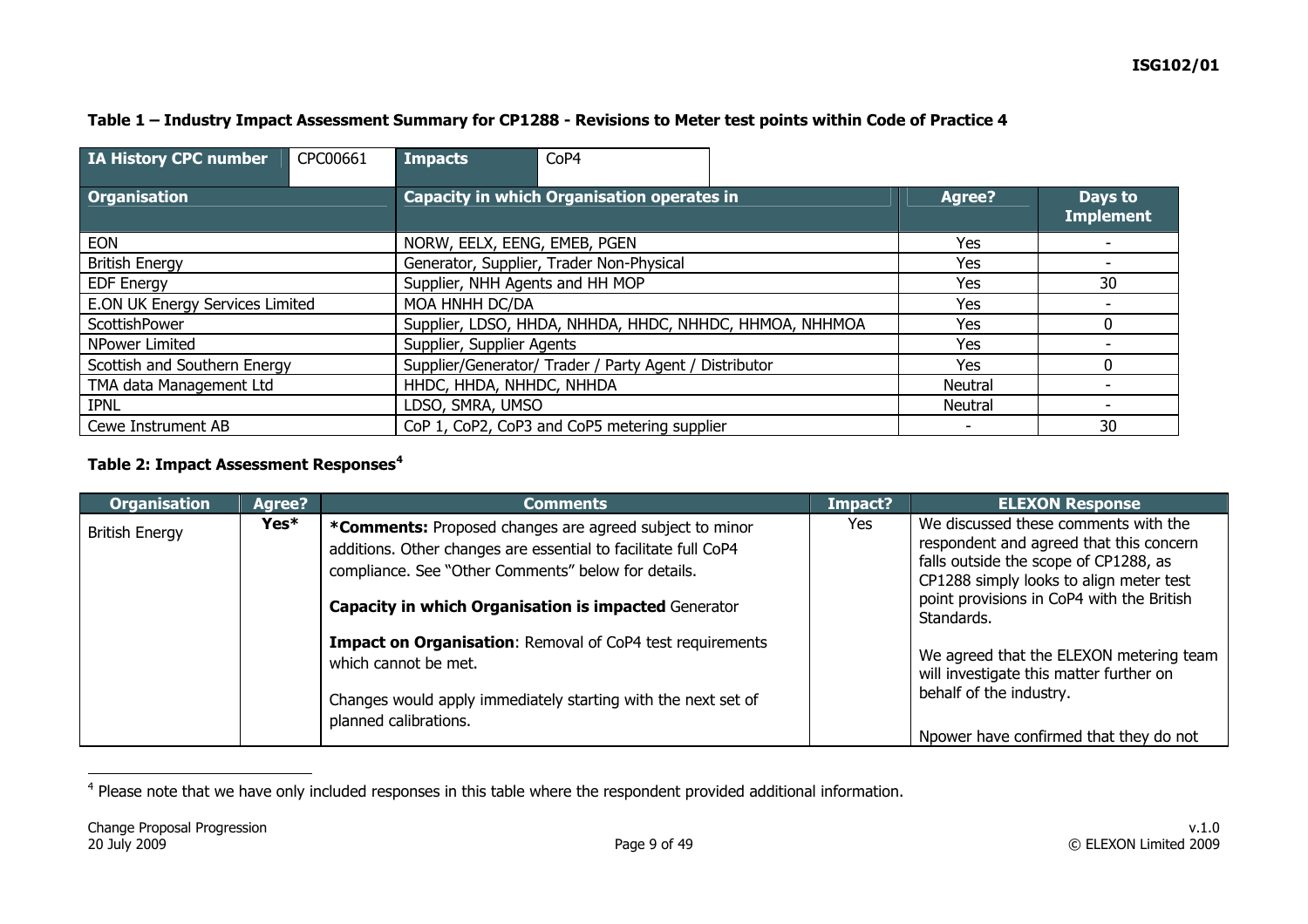#### **Table 1 – Industry Impact Assessment Summary for CP1288 - Revisions to Meter test points within Code of Practice 4**

| <b>IA History CPC number</b>    | CPC00661 | <b>Impacts</b>                                    | CoP4                                                    |     |               |                             |
|---------------------------------|----------|---------------------------------------------------|---------------------------------------------------------|-----|---------------|-----------------------------|
| <b>Organisation</b>             |          | <b>Capacity in which Organisation operates in</b> |                                                         |     | <b>Agree?</b> | Days to<br><b>Implement</b> |
| <b>EON</b>                      |          | NORW, EELX, EENG, EMEB, PGEN                      |                                                         |     | Yes           |                             |
| <b>British Energy</b>           |          |                                                   | Generator, Supplier, Trader Non-Physical                | Yes |               |                             |
| <b>EDF Energy</b>               |          | Supplier, NHH Agents and HH MOP                   |                                                         | Yes | 30            |                             |
| E.ON UK Energy Services Limited |          | MOA HNHH DC/DA                                    |                                                         | Yes |               |                             |
| ScottishPower                   |          |                                                   | Supplier, LDSO, HHDA, NHHDA, HHDC, NHHDC, HHMOA, NHHMOA | Yes |               |                             |
| NPower Limited                  |          | Supplier, Supplier Agents                         |                                                         | Yes |               |                             |
| Scottish and Southern Energy    |          |                                                   | Supplier/Generator/ Trader / Party Agent / Distributor  | Yes |               |                             |
| TMA data Management Ltd         |          | HHDC, HHDA, NHHDC, NHHDA                          |                                                         |     | Neutral       |                             |
| <b>IPNL</b>                     |          | LDSO, SMRA, UMSO                                  |                                                         |     | Neutral       |                             |
| Cewe Instrument AB              |          | CoP 1, CoP2, CoP3 and CoP5 metering supplier      |                                                         |     | ٠             | 30                          |

### **Table 2: Impact Assessment Responses[4](#page-8-0)**

| <b>Organisation</b>   | Agree? | <b>Comments</b>                                                                                                                                                                                                                          | Impact? | <b>ELEXON Response</b>                                                                                                                                                                                                         |
|-----------------------|--------|------------------------------------------------------------------------------------------------------------------------------------------------------------------------------------------------------------------------------------------|---------|--------------------------------------------------------------------------------------------------------------------------------------------------------------------------------------------------------------------------------|
| <b>British Energy</b> | Yes*   | *Comments: Proposed changes are agreed subject to minor<br>additions. Other changes are essential to facilitate full CoP4<br>compliance. See "Other Comments" below for details.<br>Capacity in which Organisation is impacted Generator | Yes     | We discussed these comments with the<br>respondent and agreed that this concern<br>falls outside the scope of CP1288, as<br>CP1288 simply looks to align meter test<br>point provisions in CoP4 with the British<br>Standards. |
|                       |        | <b>Impact on Organisation: Removal of CoP4 test requirements</b><br>which cannot be met.<br>Changes would apply immediately starting with the next set of<br>planned calibrations.                                                       |         | We agreed that the ELEXON metering team<br>will investigate this matter further on<br>behalf of the industry.<br>Npower have confirmed that they do not                                                                        |

<span id="page-8-0"></span><sup>&</sup>lt;sup>4</sup> Please note that we have only included responses in this table where the respondent provided additional information.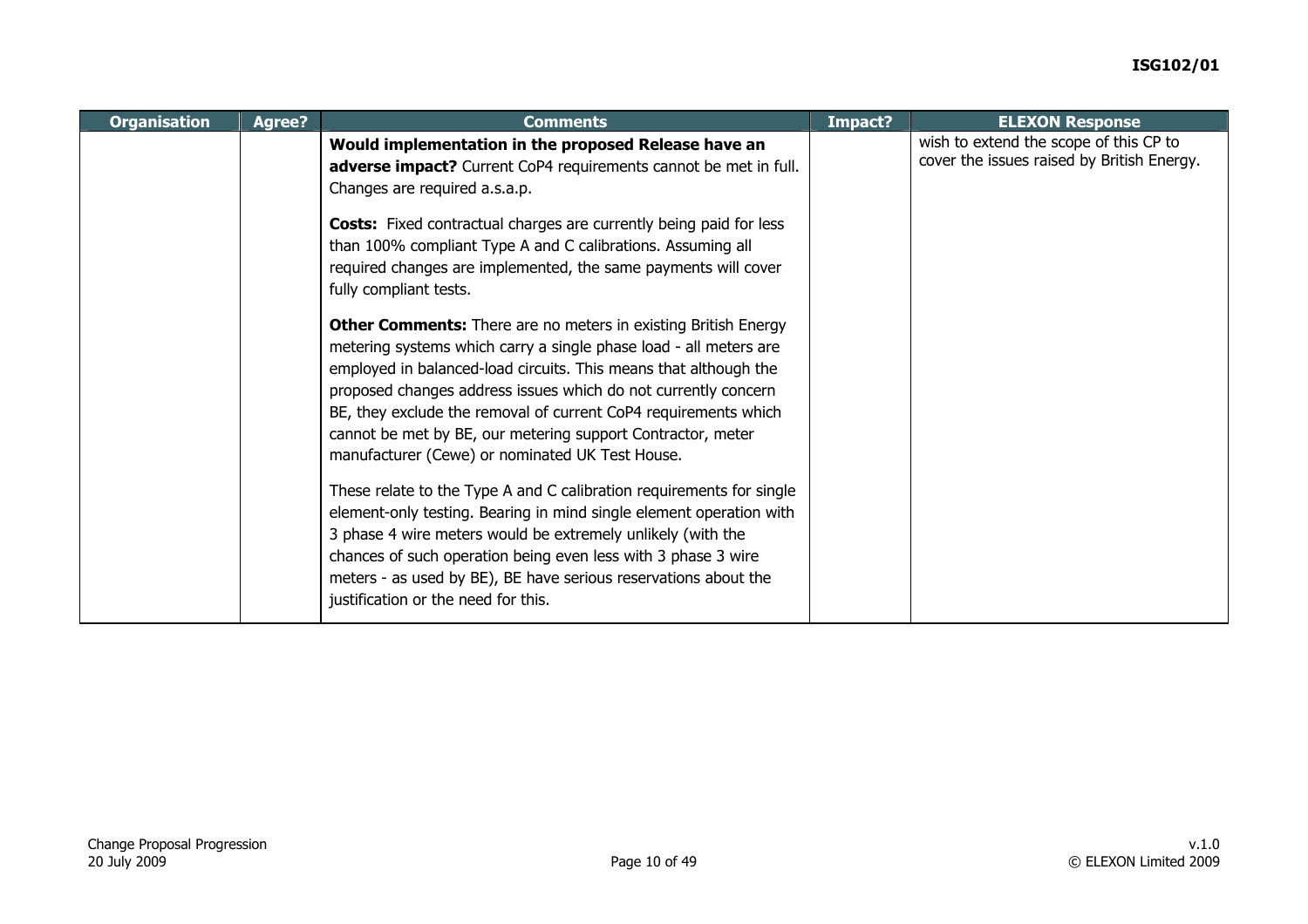| <b>Organisation</b> | Agree? | <b>Comments</b>                                                                                                                                                                                                                                                                                                                                                                                                                                                                                                                                                         | Impact? | <b>ELEXON Response</b>                                                               |
|---------------------|--------|-------------------------------------------------------------------------------------------------------------------------------------------------------------------------------------------------------------------------------------------------------------------------------------------------------------------------------------------------------------------------------------------------------------------------------------------------------------------------------------------------------------------------------------------------------------------------|---------|--------------------------------------------------------------------------------------|
|                     |        | Would implementation in the proposed Release have an<br>adverse impact? Current CoP4 requirements cannot be met in full.<br>Changes are required a.s.a.p.<br><b>Costs:</b> Fixed contractual charges are currently being paid for less<br>than 100% compliant Type A and C calibrations. Assuming all<br>required changes are implemented, the same payments will cover                                                                                                                                                                                                 |         | wish to extend the scope of this CP to<br>cover the issues raised by British Energy. |
|                     |        | fully compliant tests.<br><b>Other Comments:</b> There are no meters in existing British Energy<br>metering systems which carry a single phase load - all meters are<br>employed in balanced-load circuits. This means that although the<br>proposed changes address issues which do not currently concern<br>BE, they exclude the removal of current CoP4 requirements which<br>cannot be met by BE, our metering support Contractor, meter<br>manufacturer (Cewe) or nominated UK Test House.<br>These relate to the Type A and C calibration requirements for single |         |                                                                                      |
|                     |        | element-only testing. Bearing in mind single element operation with<br>3 phase 4 wire meters would be extremely unlikely (with the<br>chances of such operation being even less with 3 phase 3 wire<br>meters - as used by BE), BE have serious reservations about the<br>justification or the need for this.                                                                                                                                                                                                                                                           |         |                                                                                      |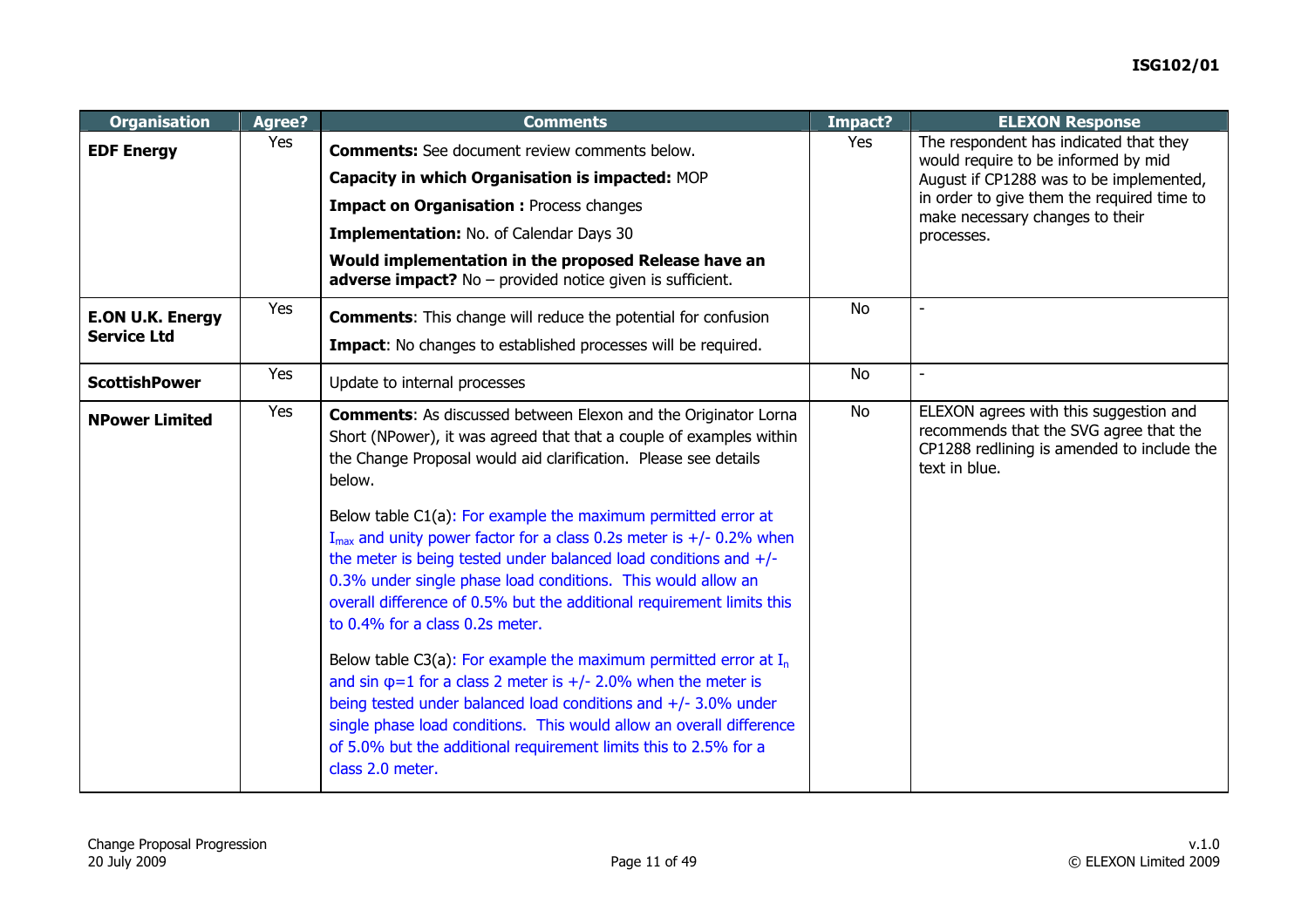| <b>Organisation</b>                           | Agree? | <b>Comments</b>                                                                                                                                                                                                                                                                                                                                                                                                                                                                                                                                                                                                                                                                                                                                                                                                                                                                                                                                                                                                    | Impact?   | <b>ELEXON Response</b>                                                                                                                                                                                                  |
|-----------------------------------------------|--------|--------------------------------------------------------------------------------------------------------------------------------------------------------------------------------------------------------------------------------------------------------------------------------------------------------------------------------------------------------------------------------------------------------------------------------------------------------------------------------------------------------------------------------------------------------------------------------------------------------------------------------------------------------------------------------------------------------------------------------------------------------------------------------------------------------------------------------------------------------------------------------------------------------------------------------------------------------------------------------------------------------------------|-----------|-------------------------------------------------------------------------------------------------------------------------------------------------------------------------------------------------------------------------|
| <b>EDF Energy</b>                             | Yes    | <b>Comments:</b> See document review comments below.<br>Capacity in which Organisation is impacted: MOP<br><b>Impact on Organisation : Process changes</b><br>Implementation: No. of Calendar Days 30<br>Would implementation in the proposed Release have an<br><b>adverse impact?</b> No - provided notice given is sufficient.                                                                                                                                                                                                                                                                                                                                                                                                                                                                                                                                                                                                                                                                                  | Yes       | The respondent has indicated that they<br>would require to be informed by mid<br>August if CP1288 was to be implemented,<br>in order to give them the required time to<br>make necessary changes to their<br>processes. |
| <b>E.ON U.K. Energy</b><br><b>Service Ltd</b> | Yes    | <b>Comments:</b> This change will reduce the potential for confusion<br><b>Impact:</b> No changes to established processes will be required.                                                                                                                                                                                                                                                                                                                                                                                                                                                                                                                                                                                                                                                                                                                                                                                                                                                                       | <b>No</b> |                                                                                                                                                                                                                         |
| <b>ScottishPower</b>                          | Yes    | Update to internal processes                                                                                                                                                                                                                                                                                                                                                                                                                                                                                                                                                                                                                                                                                                                                                                                                                                                                                                                                                                                       | No        |                                                                                                                                                                                                                         |
| <b>NPower Limited</b>                         | Yes    | <b>Comments:</b> As discussed between Elexon and the Originator Lorna<br>Short (NPower), it was agreed that that a couple of examples within<br>the Change Proposal would aid clarification. Please see details<br>below.<br>Below table C1(a): For example the maximum permitted error at<br>$I_{\text{max}}$ and unity power factor for a class 0.2s meter is +/- 0.2% when<br>the meter is being tested under balanced load conditions and $+/-$<br>0.3% under single phase load conditions. This would allow an<br>overall difference of 0.5% but the additional requirement limits this<br>to 0.4% for a class 0.2s meter.<br>Below table C3(a): For example the maximum permitted error at $I_n$<br>and sin $\varphi$ =1 for a class 2 meter is +/- 2.0% when the meter is<br>being tested under balanced load conditions and +/- 3.0% under<br>single phase load conditions. This would allow an overall difference<br>of 5.0% but the additional requirement limits this to 2.5% for a<br>class 2.0 meter. | <b>No</b> | ELEXON agrees with this suggestion and<br>recommends that the SVG agree that the<br>CP1288 redlining is amended to include the<br>text in blue.                                                                         |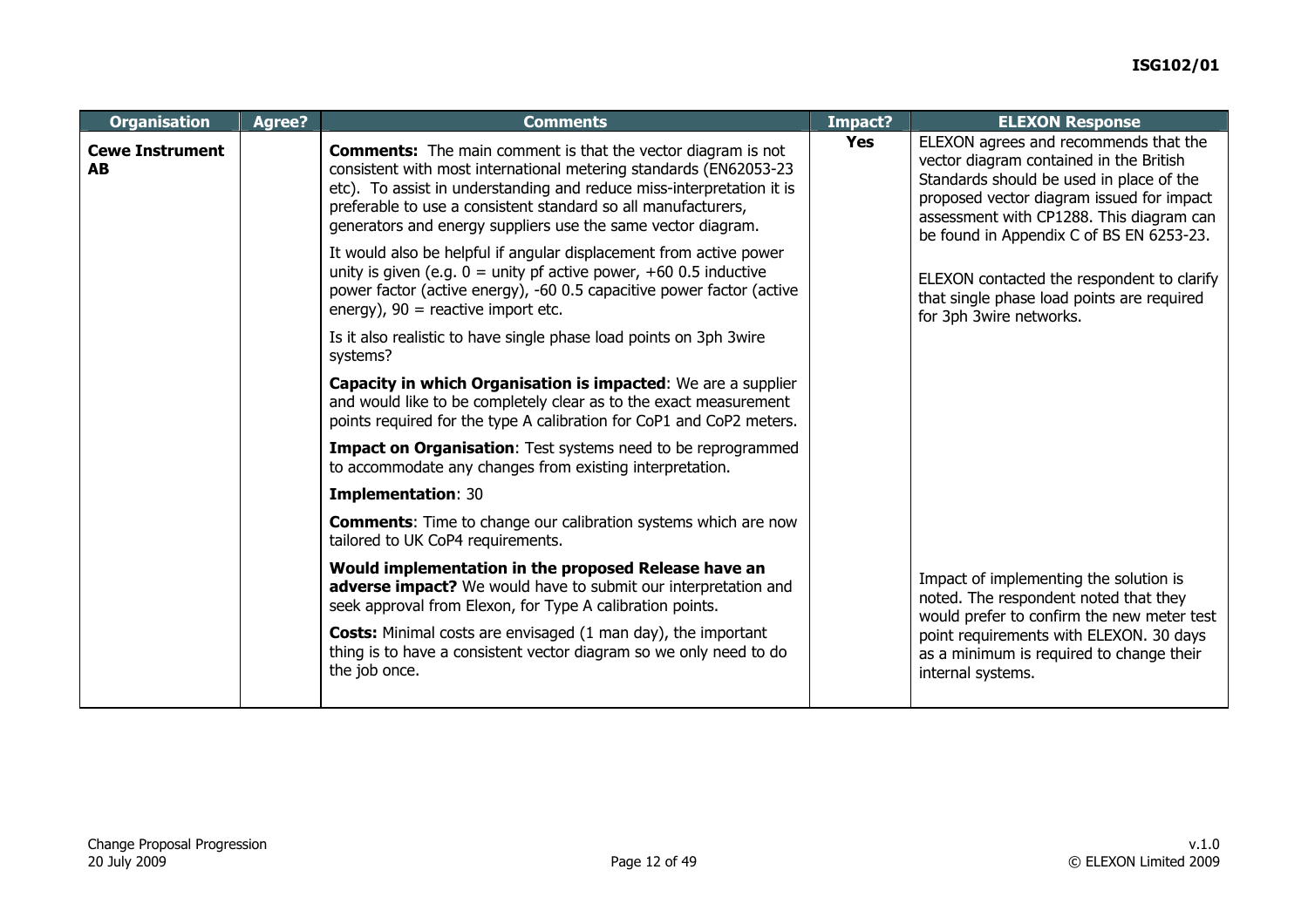| <b>Organisation</b>                 | <b>Agree?</b> | <b>Comments</b>                                                                                                                                                                                                                                                                                                                                    | Impact?    | <b>ELEXON Response</b>                                                                                                                                                                                                                                            |
|-------------------------------------|---------------|----------------------------------------------------------------------------------------------------------------------------------------------------------------------------------------------------------------------------------------------------------------------------------------------------------------------------------------------------|------------|-------------------------------------------------------------------------------------------------------------------------------------------------------------------------------------------------------------------------------------------------------------------|
| <b>Cewe Instrument</b><br><b>AB</b> |               | <b>Comments:</b> The main comment is that the vector diagram is not<br>consistent with most international metering standards (EN62053-23<br>etc). To assist in understanding and reduce miss-interpretation it is<br>preferable to use a consistent standard so all manufacturers,<br>generators and energy suppliers use the same vector diagram. | <b>Yes</b> | ELEXON agrees and recommends that the<br>vector diagram contained in the British<br>Standards should be used in place of the<br>proposed vector diagram issued for impact<br>assessment with CP1288. This diagram can<br>be found in Appendix C of BS EN 6253-23. |
|                                     |               | It would also be helpful if angular displacement from active power<br>unity is given (e.g. $0 =$ unity pf active power, +60 0.5 inductive<br>power factor (active energy), -60 0.5 capacitive power factor (active<br>energy), $90$ = reactive import etc.                                                                                         |            | ELEXON contacted the respondent to clarify<br>that single phase load points are required<br>for 3ph 3wire networks.                                                                                                                                               |
|                                     |               | Is it also realistic to have single phase load points on 3ph 3wire<br>systems?                                                                                                                                                                                                                                                                     |            |                                                                                                                                                                                                                                                                   |
|                                     |               | Capacity in which Organisation is impacted: We are a supplier<br>and would like to be completely clear as to the exact measurement<br>points required for the type A calibration for CoP1 and CoP2 meters.                                                                                                                                         |            |                                                                                                                                                                                                                                                                   |
|                                     |               | Impact on Organisation: Test systems need to be reprogrammed<br>to accommodate any changes from existing interpretation.                                                                                                                                                                                                                           |            |                                                                                                                                                                                                                                                                   |
|                                     |               | <b>Implementation: 30</b>                                                                                                                                                                                                                                                                                                                          |            |                                                                                                                                                                                                                                                                   |
|                                     |               | <b>Comments:</b> Time to change our calibration systems which are now<br>tailored to UK CoP4 requirements.                                                                                                                                                                                                                                         |            |                                                                                                                                                                                                                                                                   |
|                                     |               | Would implementation in the proposed Release have an<br>adverse impact? We would have to submit our interpretation and<br>seek approval from Elexon, for Type A calibration points.                                                                                                                                                                |            | Impact of implementing the solution is<br>noted. The respondent noted that they<br>would prefer to confirm the new meter test                                                                                                                                     |
|                                     |               | <b>Costs:</b> Minimal costs are envisaged (1 man day), the important<br>thing is to have a consistent vector diagram so we only need to do<br>the job once.                                                                                                                                                                                        |            | point requirements with ELEXON. 30 days<br>as a minimum is required to change their<br>internal systems.                                                                                                                                                          |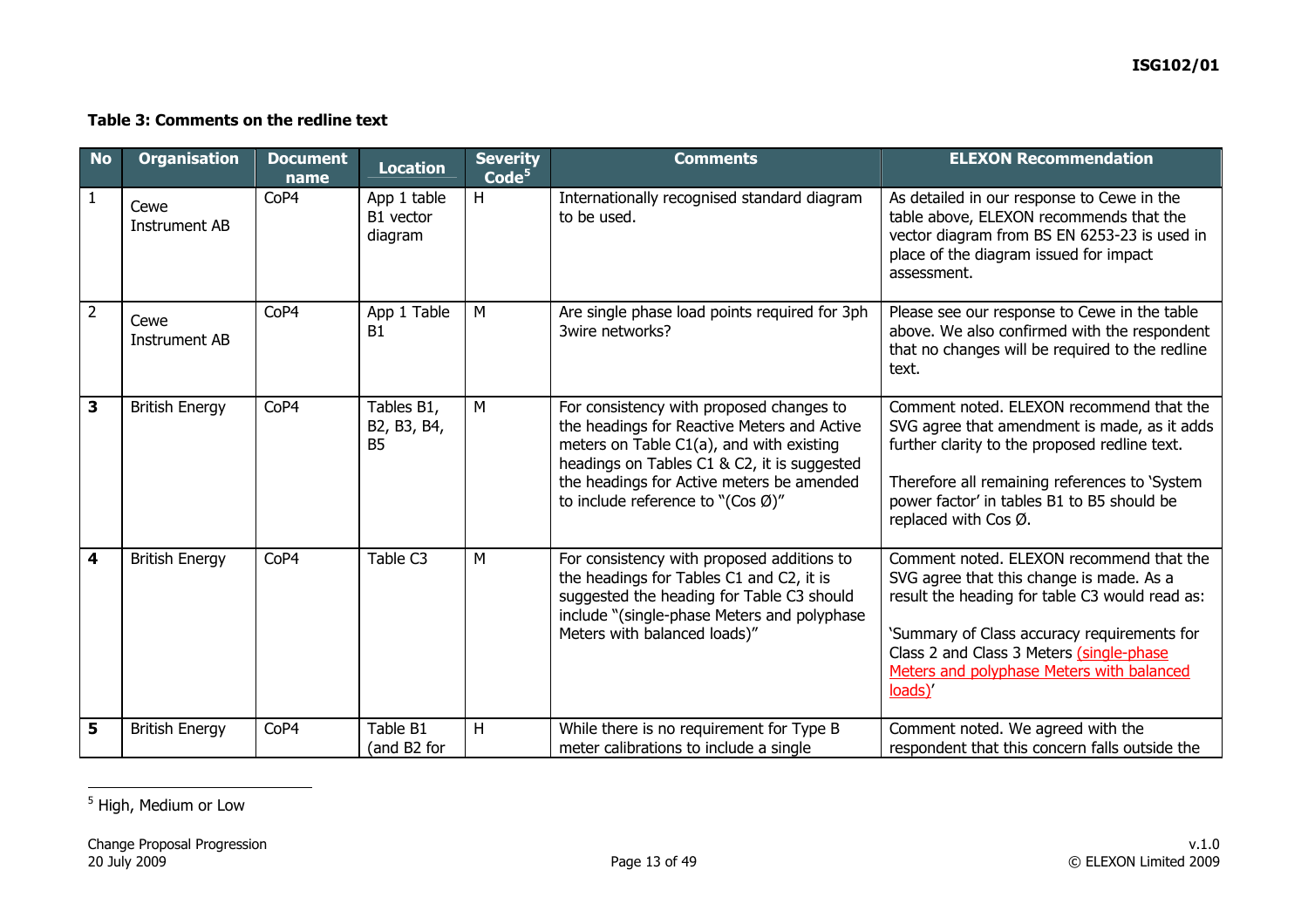#### **Table 3: Comments on the redline text**

| <b>No</b>               | <b>Organisation</b>          | <b>Document</b><br>name | <b>Location</b>                        | <b>Severity</b><br>$\overline{\textsf{Code}}^{\textsf{5}}$ | <b>Comments</b>                                                                                                                                                                                                                                                                   | <b>ELEXON Recommendation</b>                                                                                                                                                                                                                                                              |
|-------------------------|------------------------------|-------------------------|----------------------------------------|------------------------------------------------------------|-----------------------------------------------------------------------------------------------------------------------------------------------------------------------------------------------------------------------------------------------------------------------------------|-------------------------------------------------------------------------------------------------------------------------------------------------------------------------------------------------------------------------------------------------------------------------------------------|
| $\mathbf{1}$            | Cewe<br><b>Instrument AB</b> | CoP4                    | App 1 table<br>B1 vector<br>diagram    | H                                                          | Internationally recognised standard diagram<br>to be used.                                                                                                                                                                                                                        | As detailed in our response to Cewe in the<br>table above, ELEXON recommends that the<br>vector diagram from BS EN 6253-23 is used in<br>place of the diagram issued for impact<br>assessment.                                                                                            |
| $\overline{2}$          | Cewe<br><b>Instrument AB</b> | CoP4                    | App 1 Table<br><b>B1</b>               | M                                                          | Are single phase load points required for 3ph<br>3wire networks?                                                                                                                                                                                                                  | Please see our response to Cewe in the table<br>above. We also confirmed with the respondent<br>that no changes will be required to the redline<br>text.                                                                                                                                  |
| 3                       | <b>British Energy</b>        | CoP4                    | Tables B1,<br>B2, B3, B4,<br><b>B5</b> | M                                                          | For consistency with proposed changes to<br>the headings for Reactive Meters and Active<br>meters on Table C1(a), and with existing<br>headings on Tables C1 & C2, it is suggested<br>the headings for Active meters be amended<br>to include reference to "(Cos $\varnothing$ )" | Comment noted. ELEXON recommend that the<br>SVG agree that amendment is made, as it adds<br>further clarity to the proposed redline text.<br>Therefore all remaining references to 'System<br>power factor' in tables B1 to B5 should be<br>replaced with Cos Ø.                          |
| $\overline{\mathbf{4}}$ | <b>British Energy</b>        | CoP4                    | Table C <sub>3</sub>                   | M                                                          | For consistency with proposed additions to<br>the headings for Tables C1 and C2, it is<br>suggested the heading for Table C3 should<br>include "(single-phase Meters and polyphase<br>Meters with balanced loads)"                                                                | Comment noted. ELEXON recommend that the<br>SVG agree that this change is made. As a<br>result the heading for table C3 would read as:<br>'Summary of Class accuracy requirements for<br>Class 2 and Class 3 Meters (single-phase<br>Meters and polyphase Meters with balanced<br>loads)' |
| 5                       | <b>British Energy</b>        | CoP4                    | Table B1<br>(and B2 for                | H                                                          | While there is no requirement for Type B<br>meter calibrations to include a single                                                                                                                                                                                                | Comment noted. We agreed with the<br>respondent that this concern falls outside the                                                                                                                                                                                                       |

<span id="page-12-0"></span>5 High, Medium or Low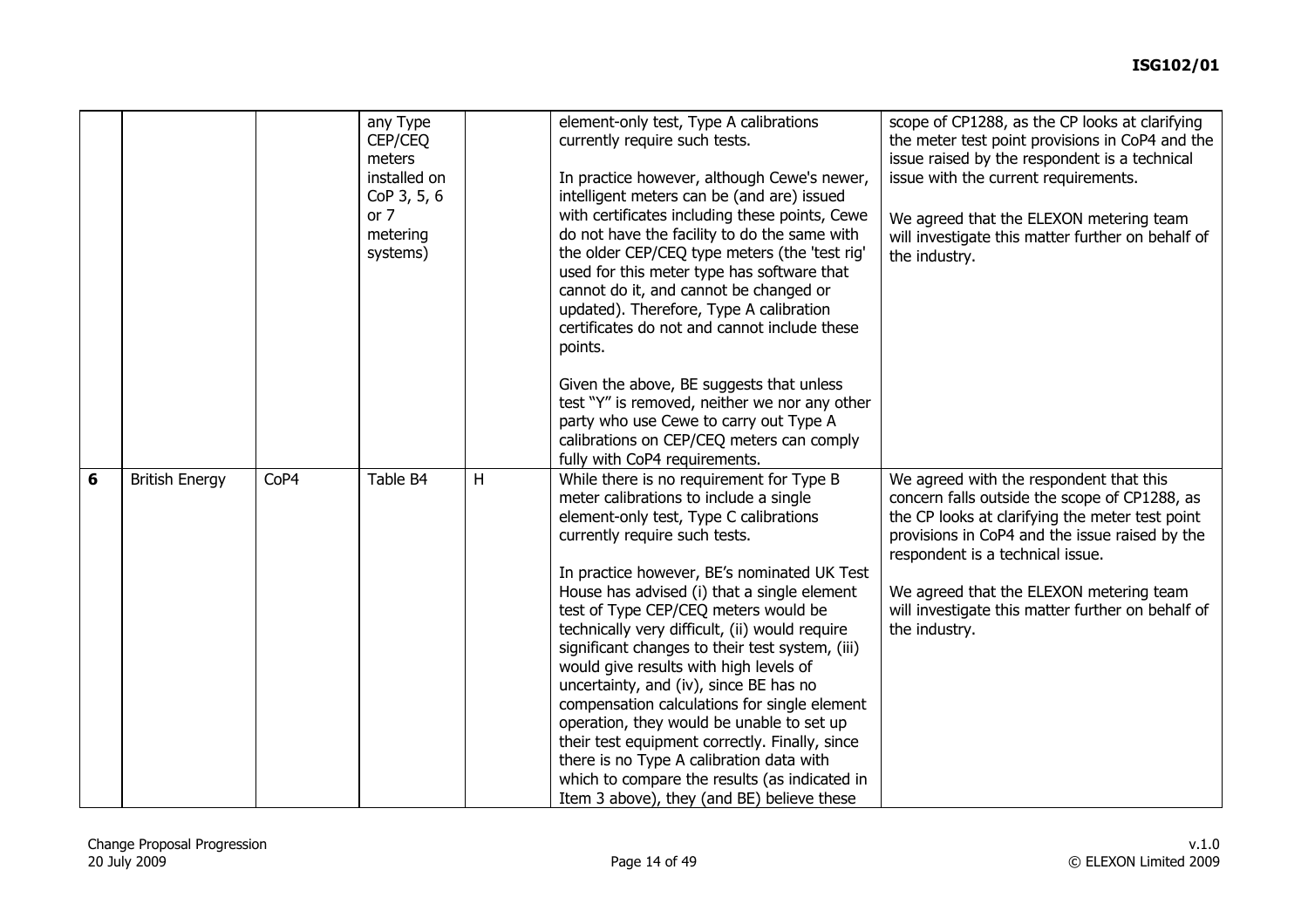|   |                       |      | any Type<br>CEP/CEQ<br>meters<br>installed on<br>CoP 3, 5, 6<br>or $7$<br>metering<br>systems) |   | element-only test, Type A calibrations<br>currently require such tests.<br>In practice however, although Cewe's newer,<br>intelligent meters can be (and are) issued<br>with certificates including these points, Cewe<br>do not have the facility to do the same with<br>the older CEP/CEQ type meters (the 'test rig'<br>used for this meter type has software that<br>cannot do it, and cannot be changed or<br>updated). Therefore, Type A calibration<br>certificates do not and cannot include these<br>points.<br>Given the above, BE suggests that unless<br>test "Y" is removed, neither we nor any other<br>party who use Cewe to carry out Type A<br>calibrations on CEP/CEQ meters can comply<br>fully with CoP4 requirements.                                             | scope of CP1288, as the CP looks at clarifying<br>the meter test point provisions in CoP4 and the<br>issue raised by the respondent is a technical<br>issue with the current requirements.<br>We agreed that the ELEXON metering team<br>will investigate this matter further on behalf of<br>the industry.                                        |
|---|-----------------------|------|------------------------------------------------------------------------------------------------|---|----------------------------------------------------------------------------------------------------------------------------------------------------------------------------------------------------------------------------------------------------------------------------------------------------------------------------------------------------------------------------------------------------------------------------------------------------------------------------------------------------------------------------------------------------------------------------------------------------------------------------------------------------------------------------------------------------------------------------------------------------------------------------------------|----------------------------------------------------------------------------------------------------------------------------------------------------------------------------------------------------------------------------------------------------------------------------------------------------------------------------------------------------|
| 6 | <b>British Energy</b> | CoP4 | Table B4                                                                                       | H | While there is no requirement for Type B<br>meter calibrations to include a single<br>element-only test, Type C calibrations<br>currently require such tests.<br>In practice however, BE's nominated UK Test<br>House has advised (i) that a single element<br>test of Type CEP/CEQ meters would be<br>technically very difficult, (ii) would require<br>significant changes to their test system, (iii)<br>would give results with high levels of<br>uncertainty, and (iv), since BE has no<br>compensation calculations for single element<br>operation, they would be unable to set up<br>their test equipment correctly. Finally, since<br>there is no Type A calibration data with<br>which to compare the results (as indicated in<br>Item 3 above), they (and BE) believe these | We agreed with the respondent that this<br>concern falls outside the scope of CP1288, as<br>the CP looks at clarifying the meter test point<br>provisions in CoP4 and the issue raised by the<br>respondent is a technical issue.<br>We agreed that the ELEXON metering team<br>will investigate this matter further on behalf of<br>the industry. |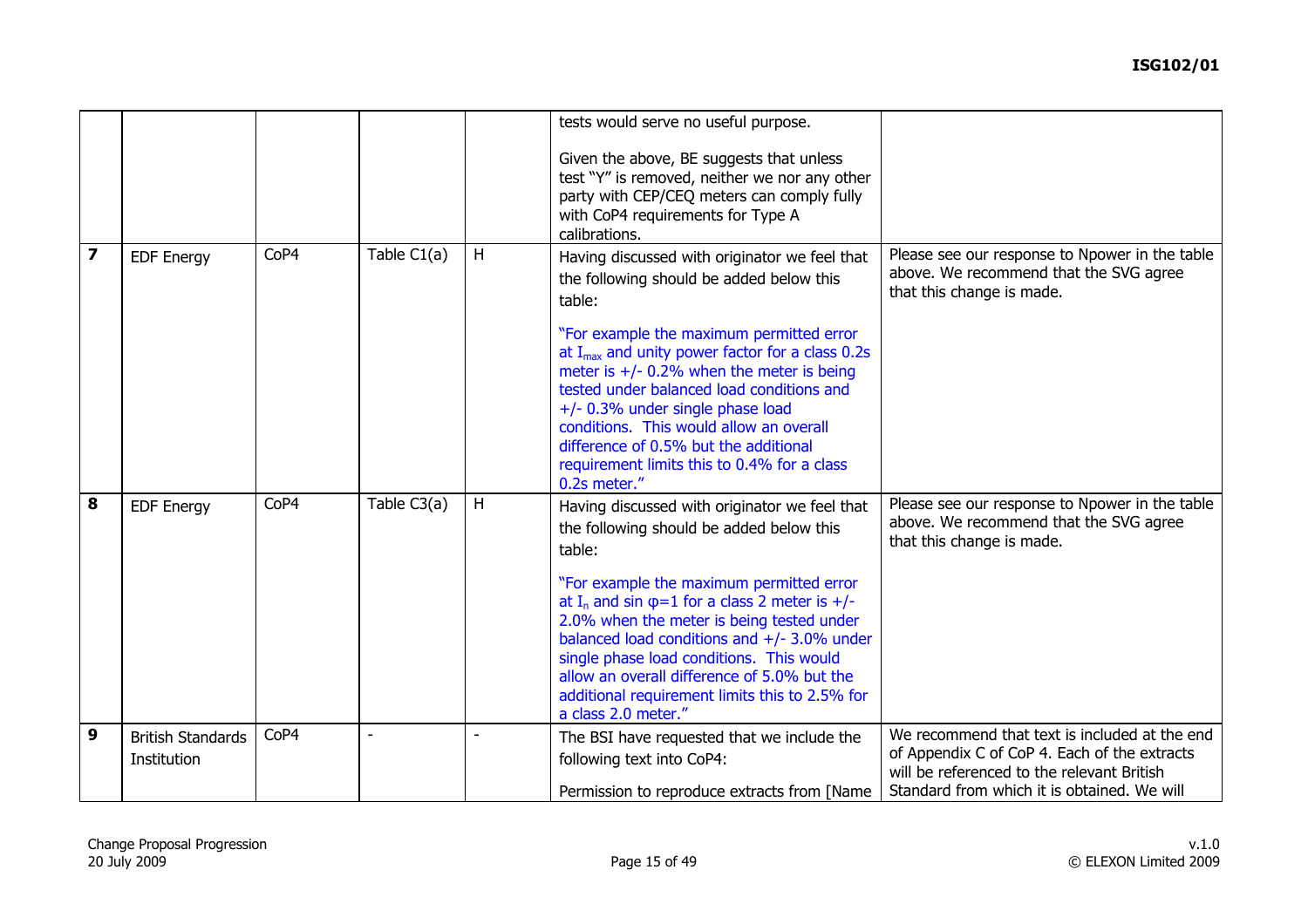|                         |                                         |      |                |   | tests would serve no useful purpose.                                                                                                                                                                                                                                                                                                                                                                                                                                                        |                                                                                                                                                                                            |
|-------------------------|-----------------------------------------|------|----------------|---|---------------------------------------------------------------------------------------------------------------------------------------------------------------------------------------------------------------------------------------------------------------------------------------------------------------------------------------------------------------------------------------------------------------------------------------------------------------------------------------------|--------------------------------------------------------------------------------------------------------------------------------------------------------------------------------------------|
|                         |                                         |      |                |   | Given the above, BE suggests that unless<br>test "Y" is removed, neither we nor any other<br>party with CEP/CEQ meters can comply fully<br>with CoP4 requirements for Type A<br>calibrations.                                                                                                                                                                                                                                                                                               |                                                                                                                                                                                            |
| $\overline{\mathbf{z}}$ | <b>EDF Energy</b>                       | CoP4 | Table C1(a)    | H | Having discussed with originator we feel that<br>the following should be added below this<br>table:<br>"For example the maximum permitted error<br>at $I_{max}$ and unity power factor for a class 0.2s<br>meter is $+/- 0.2\%$ when the meter is being<br>tested under balanced load conditions and<br>+/- 0.3% under single phase load<br>conditions. This would allow an overall<br>difference of 0.5% but the additional<br>requirement limits this to 0.4% for a class<br>0.2s meter." | Please see our response to Npower in the table<br>above. We recommend that the SVG agree<br>that this change is made.                                                                      |
| 8                       | <b>EDF Energy</b>                       | CoP4 | Table C3(a)    | H | Having discussed with originator we feel that<br>the following should be added below this<br>table:<br>"For example the maximum permitted error<br>at I <sub>n</sub> and sin $\varphi$ =1 for a class 2 meter is +/-<br>2.0% when the meter is being tested under<br>balanced load conditions and $+/-$ 3.0% under<br>single phase load conditions. This would<br>allow an overall difference of 5.0% but the<br>additional requirement limits this to 2.5% for<br>a class 2.0 meter."      | Please see our response to Npower in the table<br>above. We recommend that the SVG agree<br>that this change is made.                                                                      |
| 9                       | <b>British Standards</b><br>Institution | CoP4 | $\blacksquare$ |   | The BSI have requested that we include the<br>following text into CoP4:<br>Permission to reproduce extracts from [Name]                                                                                                                                                                                                                                                                                                                                                                     | We recommend that text is included at the end<br>of Appendix C of CoP 4. Each of the extracts<br>will be referenced to the relevant British<br>Standard from which it is obtained. We will |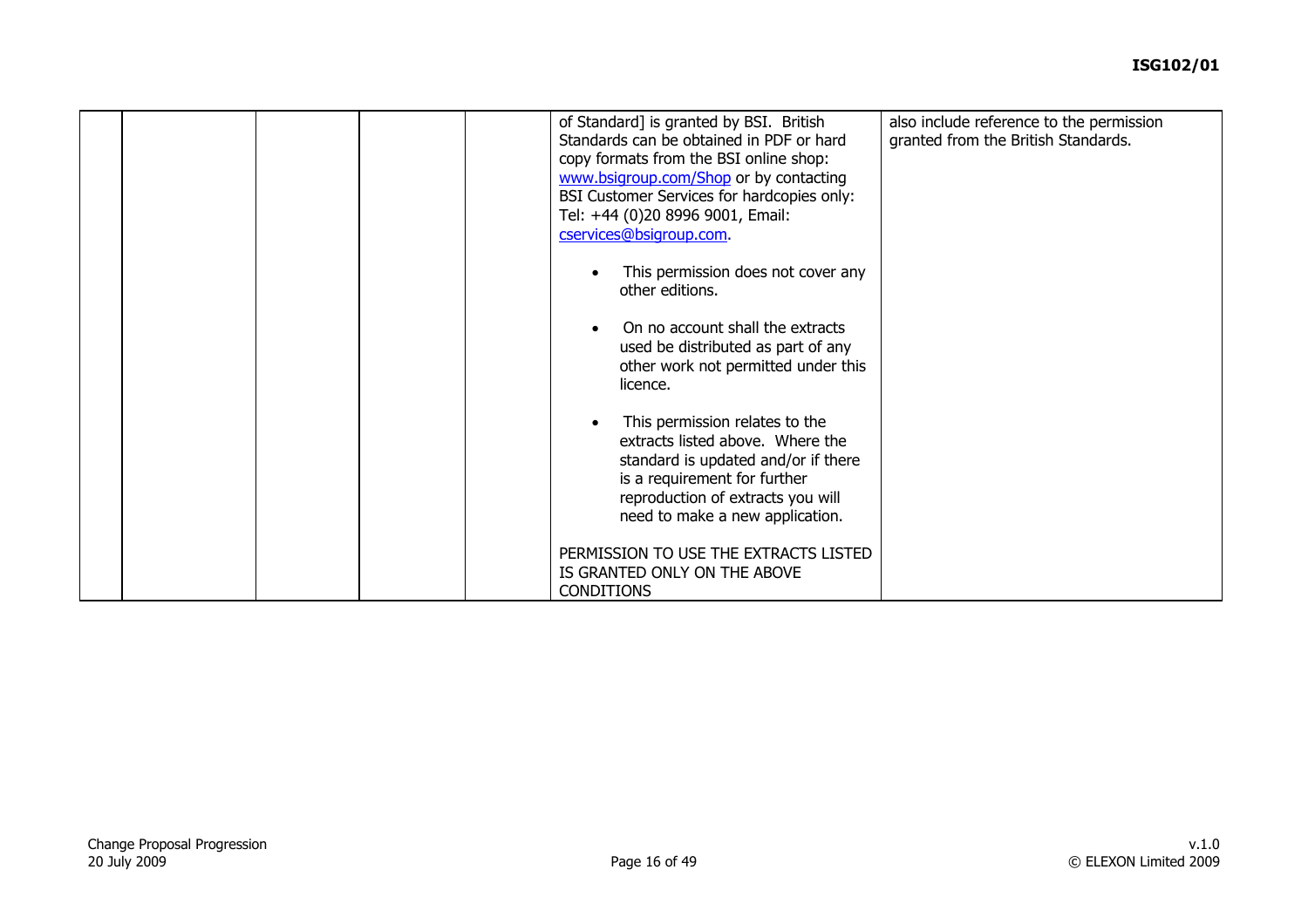|  | of Standard] is granted by BSI. British<br>Standards can be obtained in PDF or hard<br>copy formats from the BSI online shop:<br>www.bsigroup.com/Shop or by contacting<br>BSI Customer Services for hardcopies only:<br>Tel: +44 (0)20 8996 9001, Email:<br>cservices@bsigroup.com.<br>This permission does not cover any<br>other editions.<br>On no account shall the extracts<br>used be distributed as part of any<br>other work not permitted under this<br>licence.<br>This permission relates to the<br>extracts listed above. Where the<br>standard is updated and/or if there<br>is a requirement for further<br>reproduction of extracts you will<br>need to make a new application.<br>PERMISSION TO USE THE EXTRACTS LISTED | also include reference to the permission<br>granted from the British Standards. |
|--|------------------------------------------------------------------------------------------------------------------------------------------------------------------------------------------------------------------------------------------------------------------------------------------------------------------------------------------------------------------------------------------------------------------------------------------------------------------------------------------------------------------------------------------------------------------------------------------------------------------------------------------------------------------------------------------------------------------------------------------|---------------------------------------------------------------------------------|
|  | IS GRANTED ONLY ON THE ABOVE<br><b>CONDITIONS</b>                                                                                                                                                                                                                                                                                                                                                                                                                                                                                                                                                                                                                                                                                        |                                                                                 |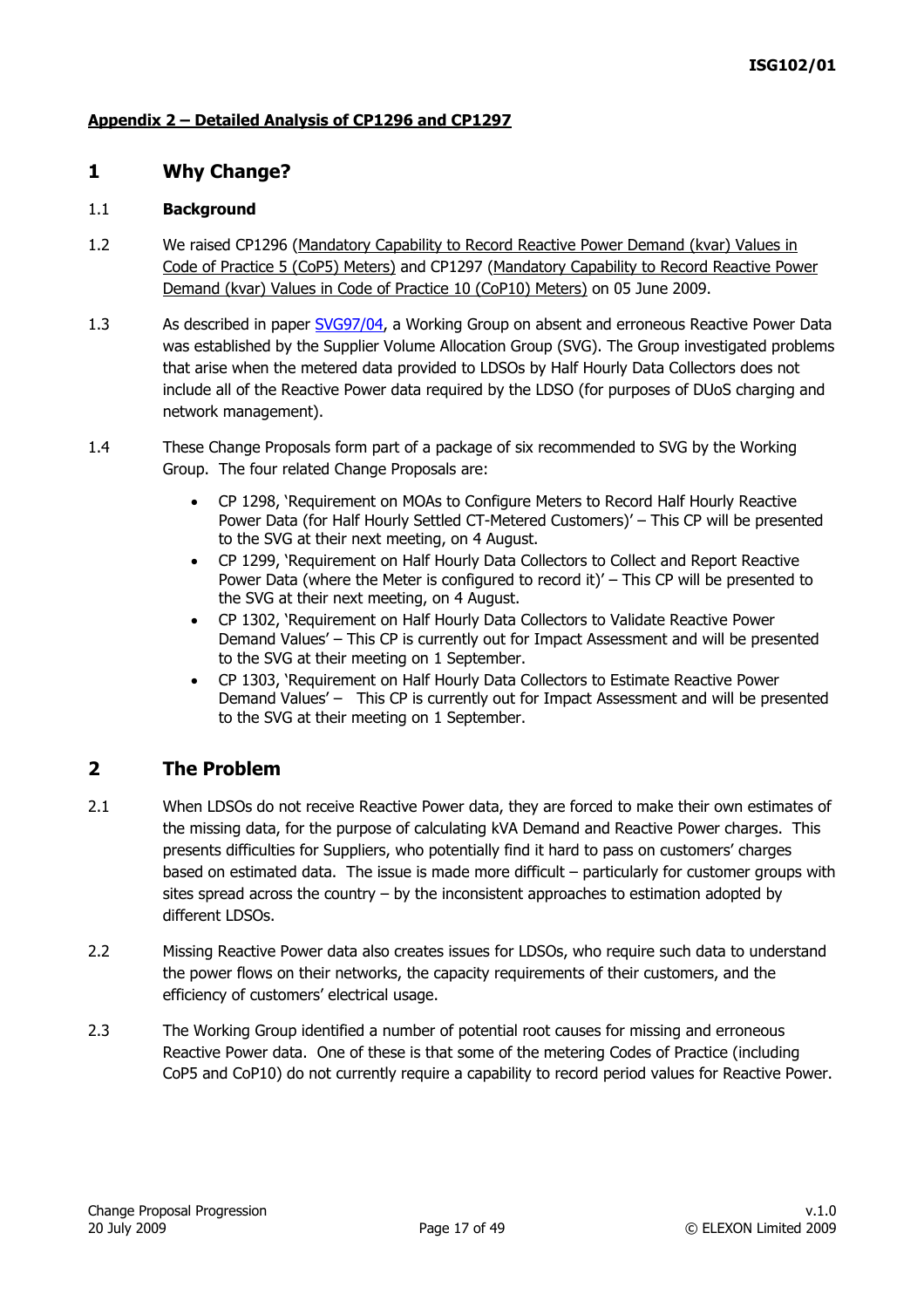### **Appendix 2 – Detailed Analysis of CP1296 and CP1297**

### **1 Why Change?**

#### 1.1 **Background**

- 1.2 We raised CP1296 (Mandatory Capability to Record Reactive Power Demand (kvar) Values in Code of Practice 5 (CoP5) Meters) and CP1297 (Mandatory Capability to Record Reactive Power Demand (kvar) Values in Code of Practice 10 (CoP10) Meters) on 05 June 2009.
- 1.3 As described in paper [SVG97/04,](http://www.elexon.co.uk/documents/BSC_Panel_and_Panel_Committees/SVG_Meeting_2008_-_097_-_Papers/SVG97_04_v1.0.pdf) a Working Group on absent and erroneous Reactive Power Data was established by the Supplier Volume Allocation Group (SVG). The Group investigated problems that arise when the metered data provided to LDSOs by Half Hourly Data Collectors does not include all of the Reactive Power data required by the LDSO (for purposes of DUoS charging and network management).
- 1.4 These Change Proposals form part of a package of six recommended to SVG by the Working Group. The four related Change Proposals are:
	- CP 1298, 'Requirement on MOAs to Configure Meters to Record Half Hourly Reactive Power Data (for Half Hourly Settled CT-Metered Customers)' – This CP will be presented to the SVG at their next meeting, on 4 August.
	- CP 1299, 'Requirement on Half Hourly Data Collectors to Collect and Report Reactive Power Data (where the Meter is configured to record it)' – This CP will be presented to the SVG at their next meeting, on 4 August.
	- CP 1302, 'Requirement on Half Hourly Data Collectors to Validate Reactive Power Demand Values' – This CP is currently out for Impact Assessment and will be presented to the SVG at their meeting on 1 September.
	- CP 1303, 'Requirement on Half Hourly Data Collectors to Estimate Reactive Power Demand Values' – This CP is currently out for Impact Assessment and will be presented to the SVG at their meeting on 1 September.

### **2 The Problem**

- 2.1 When LDSOs do not receive Reactive Power data, they are forced to make their own estimates of the missing data, for the purpose of calculating kVA Demand and Reactive Power charges. This presents difficulties for Suppliers, who potentially find it hard to pass on customers' charges based on estimated data. The issue is made more difficult – particularly for customer groups with sites spread across the country – by the inconsistent approaches to estimation adopted by different LDSOs.
- 2.2 Missing Reactive Power data also creates issues for LDSOs, who require such data to understand the power flows on their networks, the capacity requirements of their customers, and the efficiency of customers' electrical usage.
- 2.3 The Working Group identified a number of potential root causes for missing and erroneous Reactive Power data. One of these is that some of the metering Codes of Practice (including CoP5 and CoP10) do not currently require a capability to record period values for Reactive Power.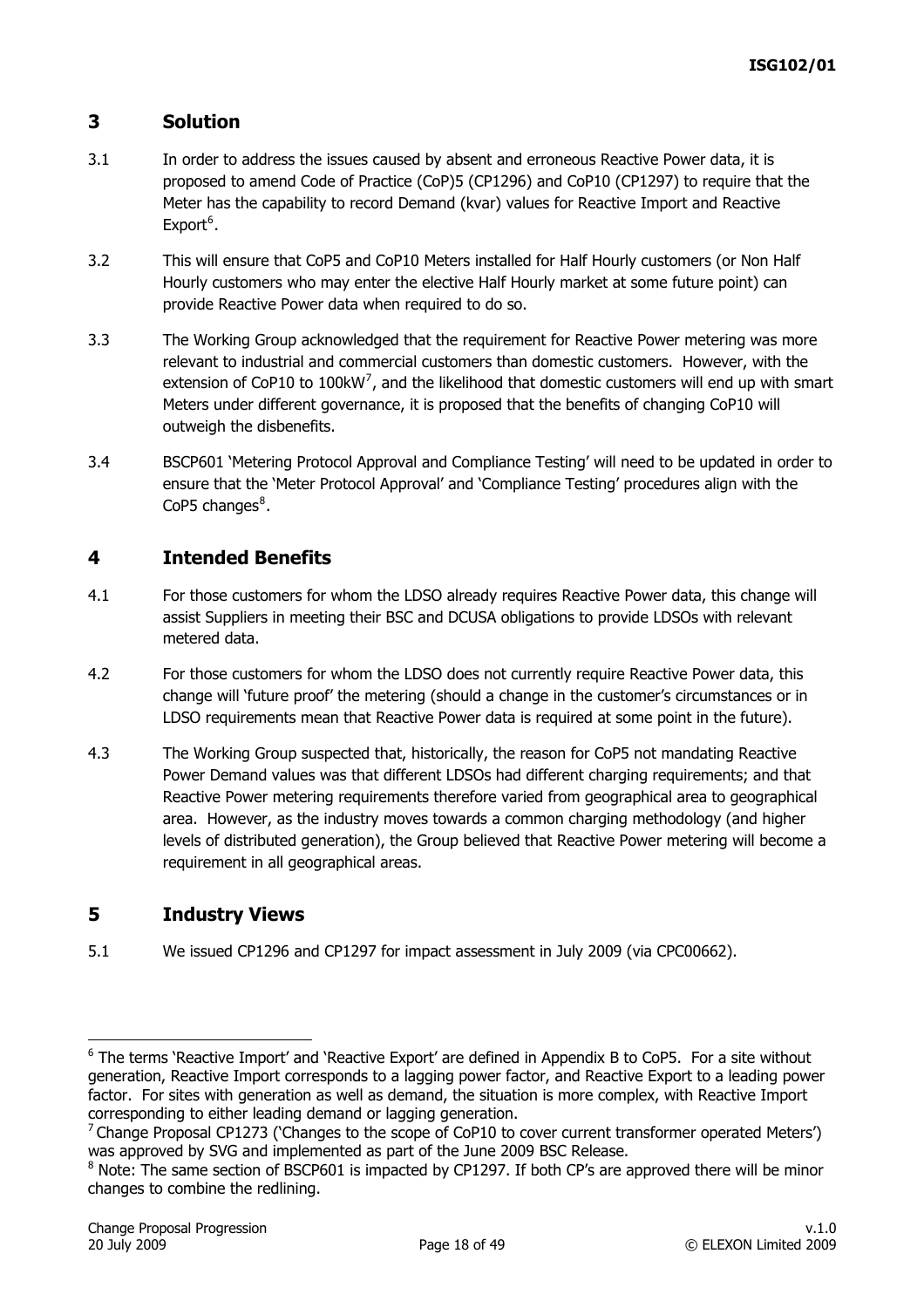# <span id="page-17-0"></span>**3 Solution**

- 3.1 In order to address the issues caused by absent and erroneous Reactive Power data, it is proposed to amend Code of Practice (CoP)5 (CP1296) and CoP10 (CP1297) to require that the Meter has the capability to record Demand (kvar) values for Reactive Import and Reactive  $Export<sup>6</sup>$  $Export<sup>6</sup>$  $Export<sup>6</sup>$ .
- 3.2 This will ensure that CoP5 and CoP10 Meters installed for Half Hourly customers (or Non Half Hourly customers who may enter the elective Half Hourly market at some future point) can provide Reactive Power data when required to do so.
- 3.3 The Working Group acknowledged that the requirement for Reactive Power metering was more relevant to industrial and commercial customers than domestic customers. However, with the extension of CoP10 to 100kW<sup>[7](#page-17-0)</sup>, and the likelihood that domestic customers will end up with smart Meters under different governance, it is proposed that the benefits of changing CoP10 will outweigh the disbenefits.
- 3.4 BSCP601 'Metering Protocol Approval and Compliance Testing' will need to be updated in order to ensure that the 'Meter Protocol Approval' and 'Compliance Testing' procedures align with the CoP5 changes $^8$  $^8$ .

# **4 Intended Benefits**

- 4.1 For those customers for whom the LDSO already requires Reactive Power data, this change will assist Suppliers in meeting their BSC and DCUSA obligations to provide LDSOs with relevant metered data.
- 4.2 For those customers for whom the LDSO does not currently require Reactive Power data, this change will 'future proof' the metering (should a change in the customer's circumstances or in LDSO requirements mean that Reactive Power data is required at some point in the future).
- 4.3 The Working Group suspected that, historically, the reason for CoP5 not mandating Reactive Power Demand values was that different LDSOs had different charging requirements; and that Reactive Power metering requirements therefore varied from geographical area to geographical area. However, as the industry moves towards a common charging methodology (and higher levels of distributed generation), the Group believed that Reactive Power metering will become a requirement in all geographical areas.

# **5 Industry Views**

5.1 We issued CP1296 and CP1297 for impact assessment in July 2009 (via CPC00662).

-

<sup>&</sup>lt;sup>6</sup> The terms 'Reactive Import' and 'Reactive Export' are defined in Appendix B to CoP5. For a site without generation, Reactive Import corresponds to a lagging power factor, and Reactive Export to a leading power factor. For sites with generation as well as demand, the situation is more complex, with Reactive Import corresponding to either leading demand or lagging generation.

<sup>&</sup>lt;sup>7</sup> Change Proposal CP1273 ('Changes to the scope of CoP10 to cover current transformer operated Meters') was approved by SVG and implemented as part of the June 2009 BSC Release.

 $8$  Note: The same section of BSCP601 is impacted by CP1297. If both CP's are approved there will be minor changes to combine the redlining.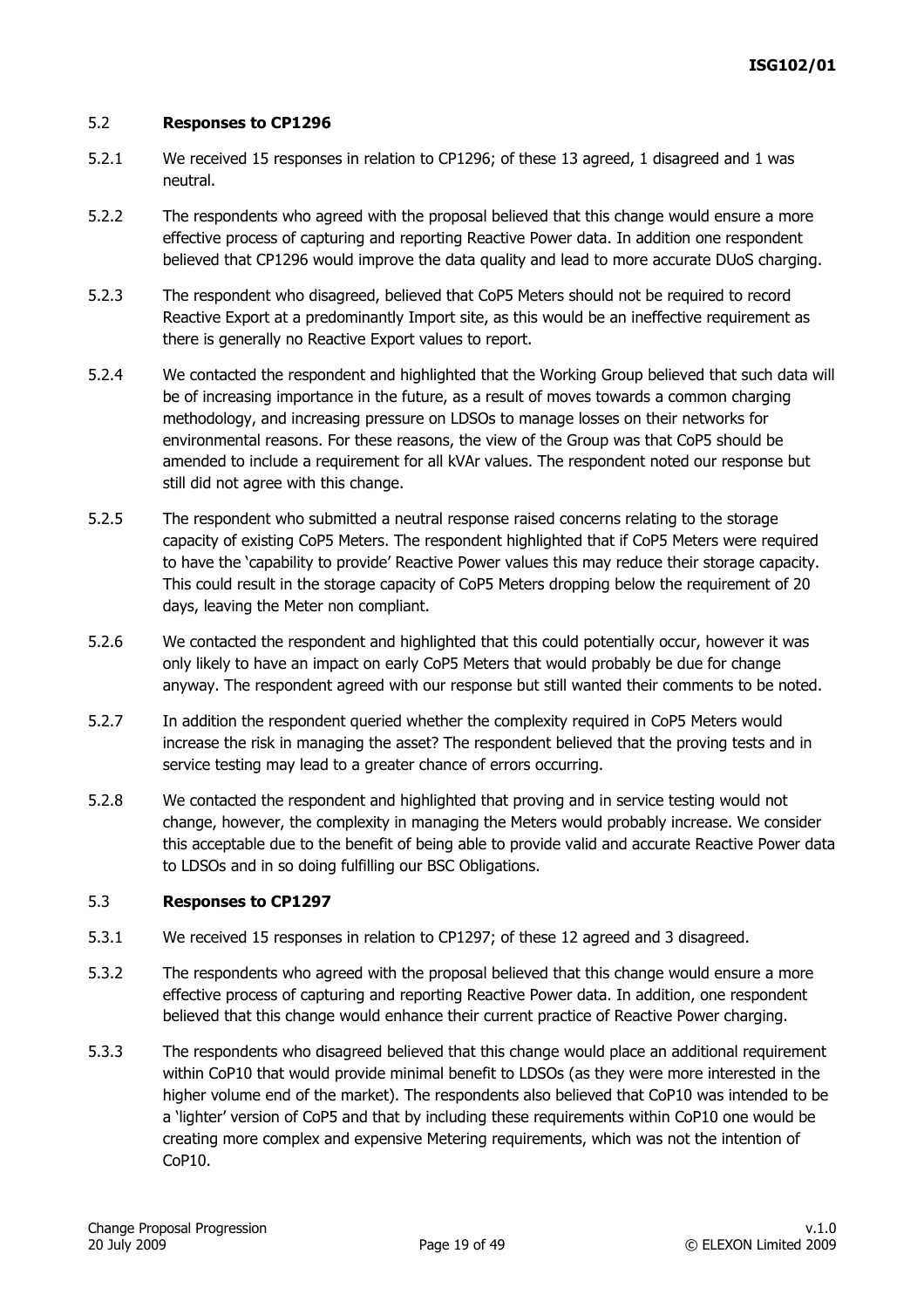#### 5.2 **Responses to CP1296**

- 5.2.1 We received 15 responses in relation to CP1296; of these 13 agreed, 1 disagreed and 1 was neutral.
- 5.2.2 The respondents who agreed with the proposal believed that this change would ensure a more effective process of capturing and reporting Reactive Power data. In addition one respondent believed that CP1296 would improve the data quality and lead to more accurate DUoS charging.
- 5.2.3 The respondent who disagreed, believed that CoP5 Meters should not be required to record Reactive Export at a predominantly Import site, as this would be an ineffective requirement as there is generally no Reactive Export values to report.
- 5.2.4 We contacted the respondent and highlighted that the Working Group believed that such data will be of increasing importance in the future, as a result of moves towards a common charging methodology, and increasing pressure on LDSOs to manage losses on their networks for environmental reasons. For these reasons, the view of the Group was that CoP5 should be amended to include a requirement for all kVAr values. The respondent noted our response but still did not agree with this change.
- 5.2.5 The respondent who submitted a neutral response raised concerns relating to the storage capacity of existing CoP5 Meters. The respondent highlighted that if CoP5 Meters were required to have the 'capability to provide' Reactive Power values this may reduce their storage capacity. This could result in the storage capacity of CoP5 Meters dropping below the requirement of 20 days, leaving the Meter non compliant.
- 5.2.6 We contacted the respondent and highlighted that this could potentially occur, however it was only likely to have an impact on early CoP5 Meters that would probably be due for change anyway. The respondent agreed with our response but still wanted their comments to be noted.
- 5.2.7 In addition the respondent queried whether the complexity required in CoP5 Meters would increase the risk in managing the asset? The respondent believed that the proving tests and in service testing may lead to a greater chance of errors occurring.
- 5.2.8 We contacted the respondent and highlighted that proving and in service testing would not change, however, the complexity in managing the Meters would probably increase. We consider this acceptable due to the benefit of being able to provide valid and accurate Reactive Power data to LDSOs and in so doing fulfilling our BSC Obligations.

#### 5.3 **Responses to CP1297**

- 5.3.1 We received 15 responses in relation to CP1297; of these 12 agreed and 3 disagreed.
- 5.3.2 The respondents who agreed with the proposal believed that this change would ensure a more effective process of capturing and reporting Reactive Power data. In addition, one respondent believed that this change would enhance their current practice of Reactive Power charging.
- 5.3.3 The respondents who disagreed believed that this change would place an additional requirement within CoP10 that would provide minimal benefit to LDSOs (as they were more interested in the higher volume end of the market). The respondents also believed that CoP10 was intended to be a 'lighter' version of CoP5 and that by including these requirements within CoP10 one would be creating more complex and expensive Metering requirements, which was not the intention of CoP10.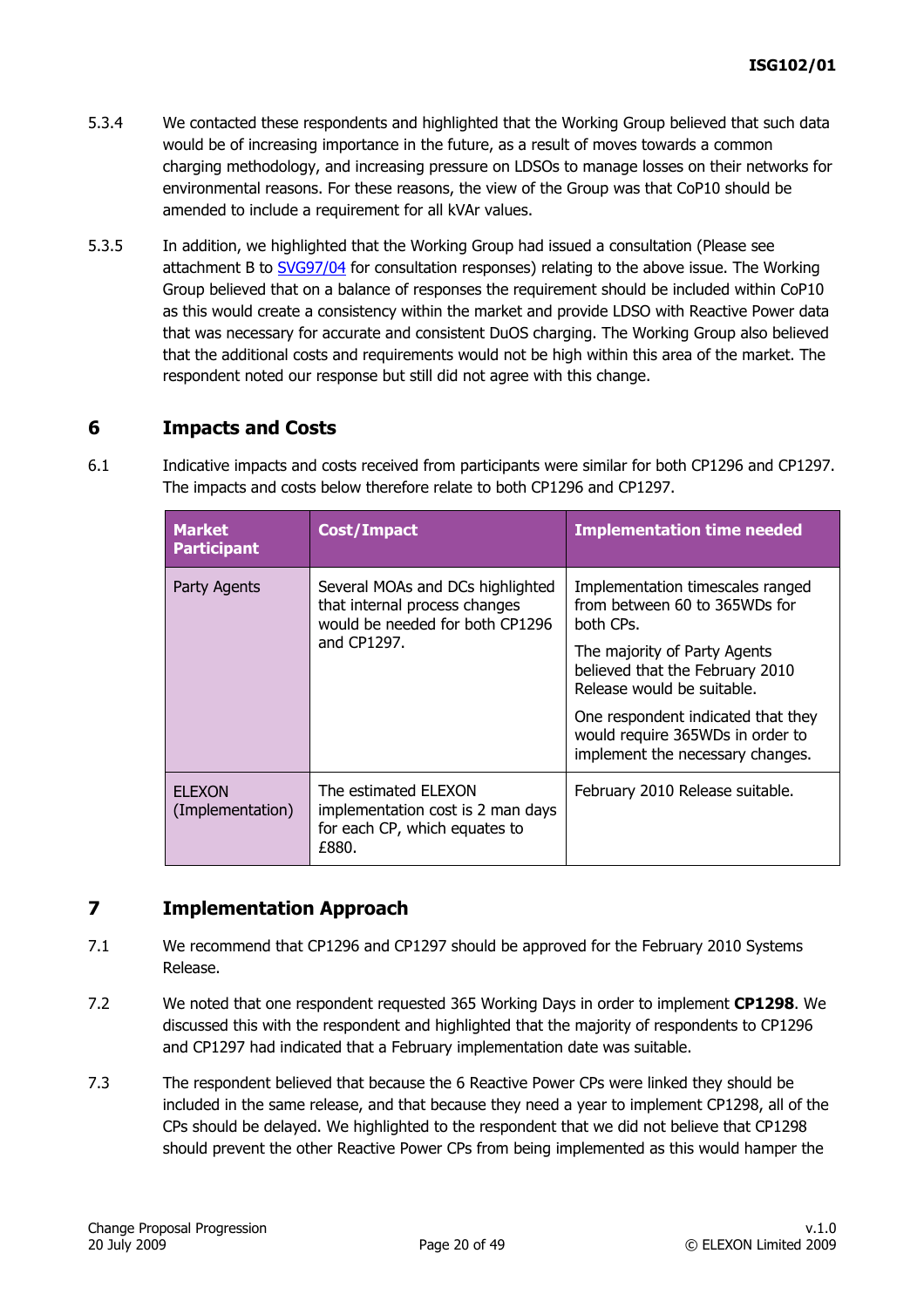- 5.3.4 We contacted these respondents and highlighted that the Working Group believed that such data would be of increasing importance in the future, as a result of moves towards a common charging methodology, and increasing pressure on LDSOs to manage losses on their networks for environmental reasons. For these reasons, the view of the Group was that CoP10 should be amended to include a requirement for all kVAr values.
- 5.3.5 In addition, we highlighted that the Working Group had issued a consultation (Please see attachment B to [SVG97/04](http://www.elexon.co.uk/documents/BSC_Panel_and_Panel_Committees/SVG_Meeting_2008_-_097_-_Papers/SVG97_04_v1.0.pdf) for consultation responses) relating to the above issue. The Working Group believed that on a balance of responses the requirement should be included within CoP10 as this would create a consistency within the market and provide LDSO with Reactive Power data that was necessary for accurate and consistent DuOS charging. The Working Group also believed that the additional costs and requirements would not be high within this area of the market. The respondent noted our response but still did not agree with this change.

# **6 Impacts and Costs**

6.1 Indicative impacts and costs received from participants were similar for both CP1296 and CP1297. The impacts and costs below therefore relate to both CP1296 and CP1297.

| <b>Market</b><br><b>Participant</b> | <b>Cost/Impact</b>                                                                                   | <b>Implementation time needed</b>                                                                          |
|-------------------------------------|------------------------------------------------------------------------------------------------------|------------------------------------------------------------------------------------------------------------|
| Party Agents                        | Several MOAs and DCs highlighted<br>that internal process changes<br>would be needed for both CP1296 | Implementation timescales ranged<br>from between 60 to 365WDs for<br>both CPs.                             |
|                                     | and CP1297.                                                                                          | The majority of Party Agents<br>believed that the February 2010<br>Release would be suitable.              |
|                                     |                                                                                                      | One respondent indicated that they<br>would require 365WDs in order to<br>implement the necessary changes. |
| <b>ELEXON</b><br>(Implementation)   | The estimated ELEXON<br>implementation cost is 2 man days<br>for each CP, which equates to<br>£880.  | February 2010 Release suitable.                                                                            |

# **7 Implementation Approach**

- 7.1 We recommend that CP1296 and CP1297 should be approved for the February 2010 Systems Release.
- 7.2 We noted that one respondent requested 365 Working Days in order to implement **CP1298**. We discussed this with the respondent and highlighted that the majority of respondents to CP1296 and CP1297 had indicated that a February implementation date was suitable.
- 7.3 The respondent believed that because the 6 Reactive Power CPs were linked they should be included in the same release, and that because they need a year to implement CP1298, all of the CPs should be delayed. We highlighted to the respondent that we did not believe that CP1298 should prevent the other Reactive Power CPs from being implemented as this would hamper the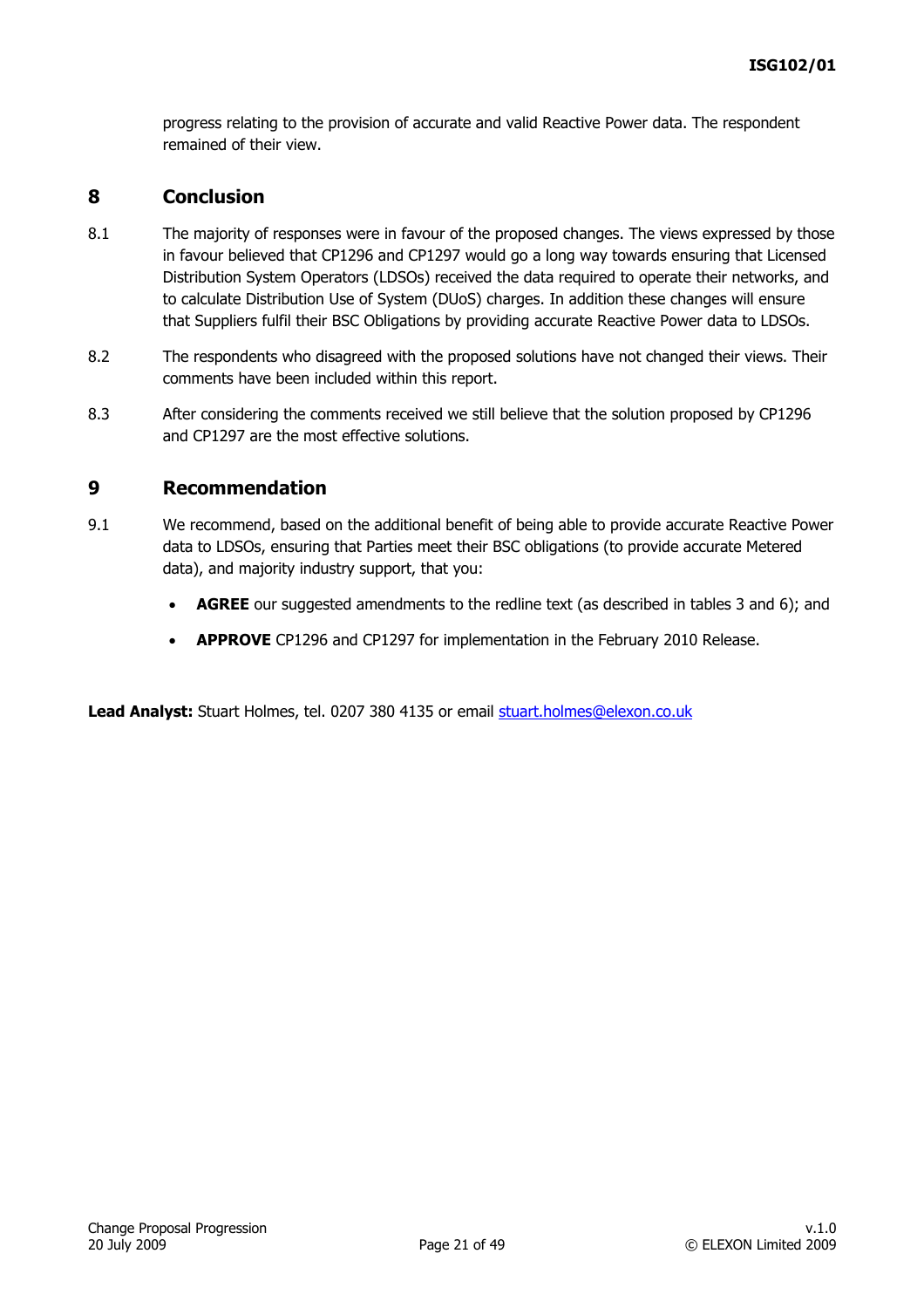progress relating to the provision of accurate and valid Reactive Power data. The respondent remained of their view.

### **8 Conclusion**

- 8.1 The majority of responses were in favour of the proposed changes. The views expressed by those in favour believed that CP1296 and CP1297 would go a long way towards ensuring that Licensed Distribution System Operators (LDSOs) received the data required to operate their networks, and to calculate Distribution Use of System (DUoS) charges. In addition these changes will ensure that Suppliers fulfil their BSC Obligations by providing accurate Reactive Power data to LDSOs.
- 8.2 The respondents who disagreed with the proposed solutions have not changed their views. Their comments have been included within this report.
- 8.3 After considering the comments received we still believe that the solution proposed by CP1296 and CP1297 are the most effective solutions.

### **9 Recommendation**

- 9.1 We recommend, based on the additional benefit of being able to provide accurate Reactive Power data to LDSOs, ensuring that Parties meet their BSC obligations (to provide accurate Metered data), and majority industry support, that you:
	- **AGREE** our suggested amendments to the redline text (as described in tables 3 and 6); and
	- **APPROVE** CP1296 and CP1297 for implementation in the February 2010 Release.

Lead Analyst: Stuart Holmes, tel. 0207 380 4135 or email [stuart.holmes@elexon.co.uk](mailto:stuart.holmes@elexon.co.uk)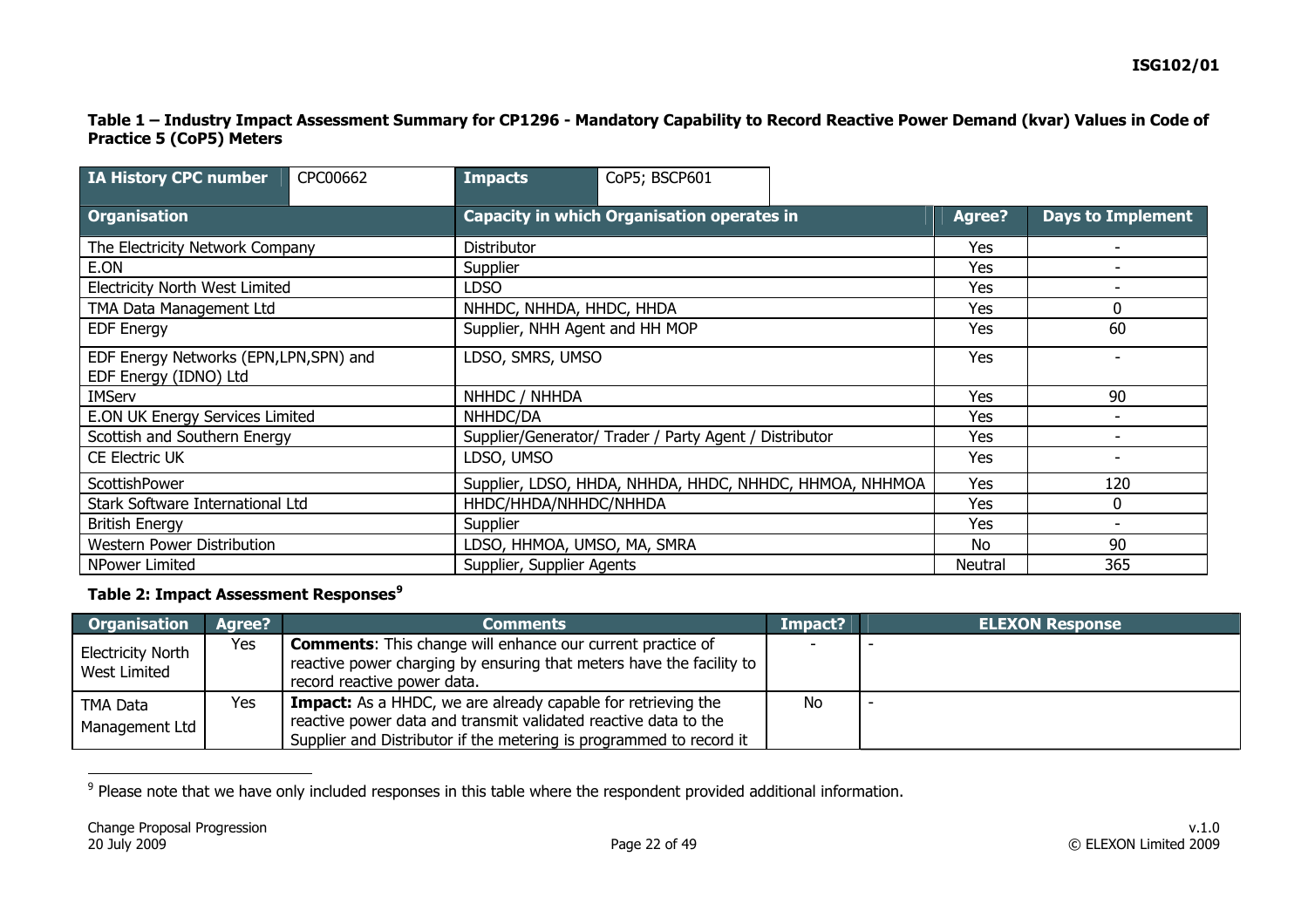#### **Table 1 – Industry Impact Assessment Summary for CP1296 - Mandatory Capability to Record Reactive Power Demand (kvar) Values in Code of Practice 5 (CoP5) Meters**

| IA History CPC number                                          | CPC00662 | Impacts                                                 | CoP5; BSCP601                                     |  |         |                          |
|----------------------------------------------------------------|----------|---------------------------------------------------------|---------------------------------------------------|--|---------|--------------------------|
| <b>Organisation</b>                                            |          |                                                         | <b>Capacity in which Organisation operates in</b> |  |         | <b>Days to Implement</b> |
| The Electricity Network Company                                |          | Distributor                                             |                                                   |  | Yes     | ۰                        |
| E.ON                                                           |          | Supplier                                                |                                                   |  | Yes     |                          |
| <b>Electricity North West Limited</b>                          |          | <b>LDSO</b>                                             |                                                   |  | Yes     | $\overline{\phantom{a}}$ |
| TMA Data Management Ltd                                        |          | NHHDC, NHHDA, HHDC, HHDA                                |                                                   |  | Yes     | 0                        |
| <b>EDF Energy</b>                                              |          | Supplier, NHH Agent and HH MOP                          |                                                   |  | Yes     | 60                       |
| EDF Energy Networks (EPN,LPN,SPN) and<br>EDF Energy (IDNO) Ltd |          | LDSO, SMRS, UMSO                                        |                                                   |  | Yes     |                          |
| <b>IMServ</b>                                                  |          | NHHDC / NHHDA                                           |                                                   |  | Yes     | 90                       |
| E.ON UK Energy Services Limited                                |          | NHHDC/DA                                                |                                                   |  | Yes     |                          |
| Scottish and Southern Energy                                   |          | Supplier/Generator/ Trader / Party Agent / Distributor  |                                                   |  | Yes     |                          |
| <b>CE Electric UK</b>                                          |          | LDSO, UMSO                                              |                                                   |  | Yes     |                          |
| ScottishPower                                                  |          | Supplier, LDSO, HHDA, NHHDA, HHDC, NHHDC, HHMOA, NHHMOA |                                                   |  | Yes     | 120                      |
| Stark Software International Ltd                               |          | HHDC/HHDA/NHHDC/NHHDA                                   |                                                   |  | Yes     | 0                        |
| <b>British Energy</b>                                          |          | Supplier                                                |                                                   |  | Yes     |                          |
| Western Power Distribution                                     |          | LDSO, HHMOA, UMSO, MA, SMRA                             |                                                   |  | No      | 90                       |
| NPower Limited                                                 |          | Supplier, Supplier Agents                               |                                                   |  | Neutral | 365                      |

### **Table 2: Impact Assessment Responses[9](#page-21-0)**

| <b>Organisation</b>                      | Agree? | <b>Comments</b>                                                                                                                                                                                               | Impact? | <b>ELEXON Response</b> |
|------------------------------------------|--------|---------------------------------------------------------------------------------------------------------------------------------------------------------------------------------------------------------------|---------|------------------------|
| <b>Electricity North</b><br>West Limited | Yes    | <b>Comments:</b> This change will enhance our current practice of<br>reactive power charging by ensuring that meters have the facility to<br>record reactive power data.                                      |         |                        |
| TMA Data<br>Management Ltd               | Yes    | <b>Impact:</b> As a HHDC, we are already capable for retrieving the<br>reactive power data and transmit validated reactive data to the<br>Supplier and Distributor if the metering is programmed to record it | No.     |                        |

<span id="page-21-0"></span><sup>&</sup>lt;sup>9</sup> Please note that we have only included responses in this table where the respondent provided additional information.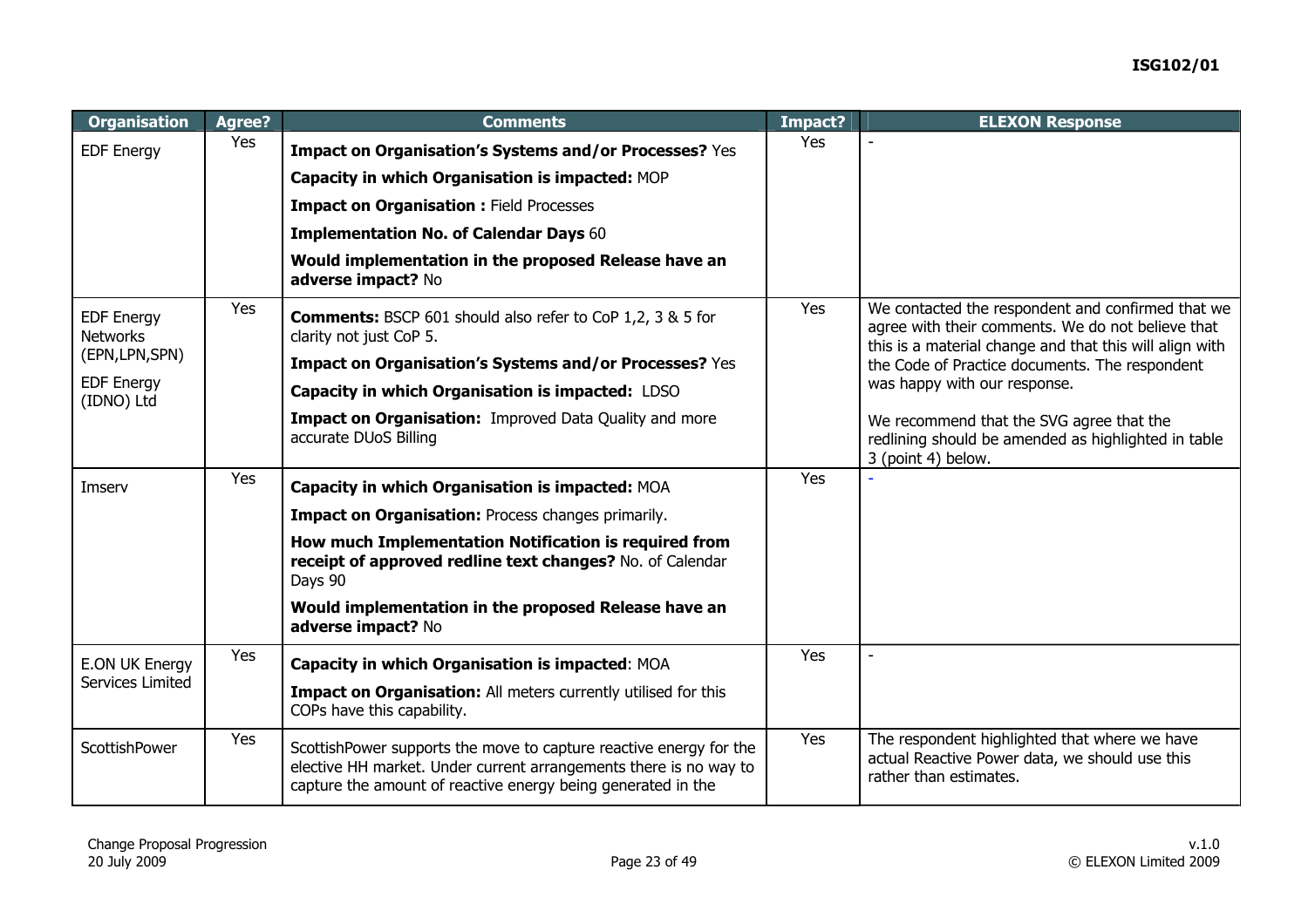| <b>Organisation</b>                         | Agree? | <b>Comments</b>                                                                                                                                                                                         | Impact? | <b>ELEXON Response</b>                                                                                                                                            |
|---------------------------------------------|--------|---------------------------------------------------------------------------------------------------------------------------------------------------------------------------------------------------------|---------|-------------------------------------------------------------------------------------------------------------------------------------------------------------------|
| <b>EDF Energy</b>                           | Yes    | Impact on Organisation's Systems and/or Processes? Yes                                                                                                                                                  | Yes     |                                                                                                                                                                   |
|                                             |        | Capacity in which Organisation is impacted: MOP                                                                                                                                                         |         |                                                                                                                                                                   |
|                                             |        | <b>Impact on Organisation: Field Processes</b>                                                                                                                                                          |         |                                                                                                                                                                   |
|                                             |        | <b>Implementation No. of Calendar Days 60</b>                                                                                                                                                           |         |                                                                                                                                                                   |
|                                             |        | Would implementation in the proposed Release have an<br>adverse impact? No                                                                                                                              |         |                                                                                                                                                                   |
| Yes<br><b>EDF Energy</b><br><b>Networks</b> |        | <b>Comments:</b> BSCP 601 should also refer to CoP 1,2, 3 & 5 for<br>clarity not just CoP 5.                                                                                                            | Yes     | We contacted the respondent and confirmed that we<br>agree with their comments. We do not believe that<br>this is a material change and that this will align with |
| (EPN,LPN,SPN)                               |        | Impact on Organisation's Systems and/or Processes? Yes                                                                                                                                                  |         | the Code of Practice documents. The respondent                                                                                                                    |
| <b>EDF Energy</b><br>(IDNO) Ltd             |        | Capacity in which Organisation is impacted: LDSO                                                                                                                                                        |         | was happy with our response.                                                                                                                                      |
|                                             |        | Impact on Organisation: Improved Data Quality and more<br>accurate DUoS Billing                                                                                                                         |         | We recommend that the SVG agree that the<br>redlining should be amended as highlighted in table<br>3 (point 4) below.                                             |
| Imserv                                      | Yes    | Capacity in which Organisation is impacted: MOA                                                                                                                                                         | Yes     |                                                                                                                                                                   |
|                                             |        | Impact on Organisation: Process changes primarily.                                                                                                                                                      |         |                                                                                                                                                                   |
|                                             |        | How much Implementation Notification is required from<br>receipt of approved redline text changes? No. of Calendar<br>Days 90                                                                           |         |                                                                                                                                                                   |
|                                             |        | Would implementation in the proposed Release have an<br>adverse impact? No                                                                                                                              |         |                                                                                                                                                                   |
| E.ON UK Energy                              | Yes    | Capacity in which Organisation is impacted: MOA                                                                                                                                                         | Yes     |                                                                                                                                                                   |
| Services Limited                            |        | <b>Impact on Organisation:</b> All meters currently utilised for this<br>COPs have this capability.                                                                                                     |         |                                                                                                                                                                   |
| ScottishPower                               | Yes    | ScottishPower supports the move to capture reactive energy for the<br>elective HH market. Under current arrangements there is no way to<br>capture the amount of reactive energy being generated in the | Yes     | The respondent highlighted that where we have<br>actual Reactive Power data, we should use this<br>rather than estimates.                                         |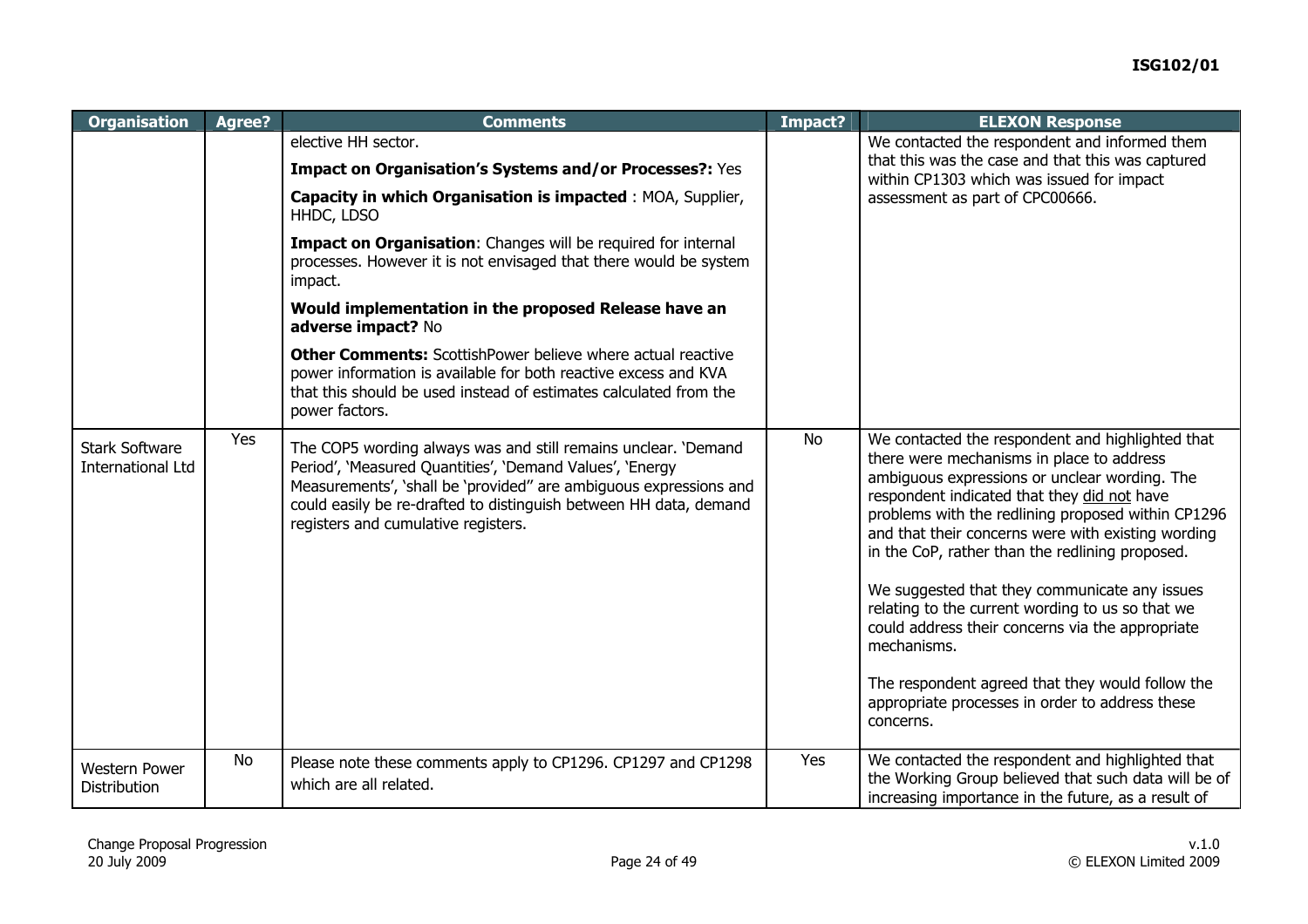| <b>Organisation</b>                               | Agree?    | <b>Comments</b>                                                                                                                                                                                                                                                                                             | Impact?   | <b>ELEXON Response</b>                                                                                                                                                                                                                                                                                                                                                                                                                                                                                                                                                                                                                                   |
|---------------------------------------------------|-----------|-------------------------------------------------------------------------------------------------------------------------------------------------------------------------------------------------------------------------------------------------------------------------------------------------------------|-----------|----------------------------------------------------------------------------------------------------------------------------------------------------------------------------------------------------------------------------------------------------------------------------------------------------------------------------------------------------------------------------------------------------------------------------------------------------------------------------------------------------------------------------------------------------------------------------------------------------------------------------------------------------------|
|                                                   |           | elective HH sector.                                                                                                                                                                                                                                                                                         |           | We contacted the respondent and informed them                                                                                                                                                                                                                                                                                                                                                                                                                                                                                                                                                                                                            |
|                                                   |           | Impact on Organisation's Systems and/or Processes?: Yes                                                                                                                                                                                                                                                     |           | that this was the case and that this was captured<br>within CP1303 which was issued for impact                                                                                                                                                                                                                                                                                                                                                                                                                                                                                                                                                           |
|                                                   |           | Capacity in which Organisation is impacted : MOA, Supplier,<br>HHDC, LDSO                                                                                                                                                                                                                                   |           | assessment as part of CPC00666.                                                                                                                                                                                                                                                                                                                                                                                                                                                                                                                                                                                                                          |
|                                                   |           | Impact on Organisation: Changes will be required for internal<br>processes. However it is not envisaged that there would be system<br>impact.                                                                                                                                                               |           |                                                                                                                                                                                                                                                                                                                                                                                                                                                                                                                                                                                                                                                          |
|                                                   |           | Would implementation in the proposed Release have an<br>adverse impact? No                                                                                                                                                                                                                                  |           |                                                                                                                                                                                                                                                                                                                                                                                                                                                                                                                                                                                                                                                          |
|                                                   |           | <b>Other Comments:</b> ScottishPower believe where actual reactive<br>power information is available for both reactive excess and KVA<br>that this should be used instead of estimates calculated from the<br>power factors.                                                                                |           |                                                                                                                                                                                                                                                                                                                                                                                                                                                                                                                                                                                                                                                          |
| <b>Stark Software</b><br><b>International Ltd</b> | Yes       | The COP5 wording always was and still remains unclear. 'Demand<br>Period', 'Measured Quantities', 'Demand Values', 'Energy<br>Measurements', 'shall be 'provided" are ambiguous expressions and<br>could easily be re-drafted to distinguish between HH data, demand<br>registers and cumulative registers. | <b>No</b> | We contacted the respondent and highlighted that<br>there were mechanisms in place to address<br>ambiguous expressions or unclear wording. The<br>respondent indicated that they did not have<br>problems with the redlining proposed within CP1296<br>and that their concerns were with existing wording<br>in the CoP, rather than the redlining proposed.<br>We suggested that they communicate any issues<br>relating to the current wording to us so that we<br>could address their concerns via the appropriate<br>mechanisms.<br>The respondent agreed that they would follow the<br>appropriate processes in order to address these<br>concerns. |
| <b>Western Power</b><br><b>Distribution</b>       | <b>No</b> | Please note these comments apply to CP1296. CP1297 and CP1298<br>which are all related.                                                                                                                                                                                                                     | Yes       | We contacted the respondent and highlighted that<br>the Working Group believed that such data will be of<br>increasing importance in the future, as a result of                                                                                                                                                                                                                                                                                                                                                                                                                                                                                          |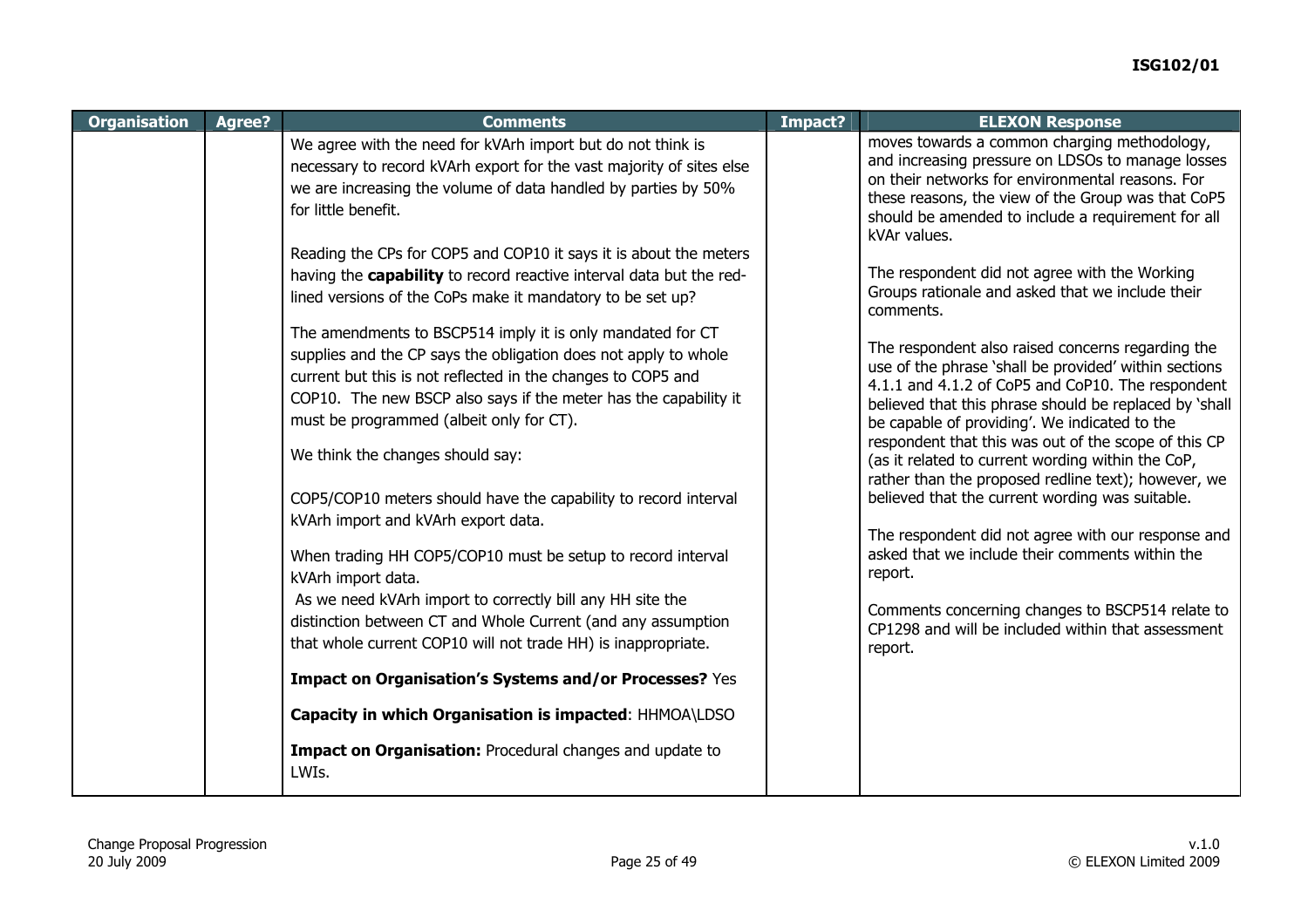| <b>Organisation</b> | Agree? | <b>Comments</b>                                                                                                                                                                                                                                                                                               | Impact? | <b>ELEXON Response</b>                                                                                                                                                                                                                                                                                                             |
|---------------------|--------|---------------------------------------------------------------------------------------------------------------------------------------------------------------------------------------------------------------------------------------------------------------------------------------------------------------|---------|------------------------------------------------------------------------------------------------------------------------------------------------------------------------------------------------------------------------------------------------------------------------------------------------------------------------------------|
|                     |        | We agree with the need for kVArh import but do not think is<br>necessary to record kVArh export for the vast majority of sites else<br>we are increasing the volume of data handled by parties by 50%<br>for little benefit.                                                                                  |         | moves towards a common charging methodology,<br>and increasing pressure on LDSOs to manage losses<br>on their networks for environmental reasons. For<br>these reasons, the view of the Group was that CoP5<br>should be amended to include a requirement for all<br>kVAr values.                                                  |
|                     |        | Reading the CPs for COP5 and COP10 it says it is about the meters<br>having the capability to record reactive interval data but the red-<br>lined versions of the CoPs make it mandatory to be set up?                                                                                                        |         | The respondent did not agree with the Working<br>Groups rationale and asked that we include their<br>comments.                                                                                                                                                                                                                     |
|                     |        | The amendments to BSCP514 imply it is only mandated for CT<br>supplies and the CP says the obligation does not apply to whole<br>current but this is not reflected in the changes to COP5 and<br>COP10. The new BSCP also says if the meter has the capability it<br>must be programmed (albeit only for CT). |         | The respondent also raised concerns regarding the<br>use of the phrase 'shall be provided' within sections<br>4.1.1 and 4.1.2 of CoP5 and CoP10. The respondent<br>believed that this phrase should be replaced by 'shall<br>be capable of providing'. We indicated to the<br>respondent that this was out of the scope of this CP |
|                     |        | We think the changes should say:<br>COP5/COP10 meters should have the capability to record interval<br>kVArh import and kVArh export data.                                                                                                                                                                    |         | (as it related to current wording within the CoP,<br>rather than the proposed redline text); however, we<br>believed that the current wording was suitable.<br>The respondent did not agree with our response and                                                                                                                  |
|                     |        | When trading HH COP5/COP10 must be setup to record interval<br>kVArh import data.<br>As we need kVArh import to correctly bill any HH site the                                                                                                                                                                |         | asked that we include their comments within the<br>report.                                                                                                                                                                                                                                                                         |
|                     |        | distinction between CT and Whole Current (and any assumption<br>that whole current COP10 will not trade HH) is inappropriate.                                                                                                                                                                                 |         | Comments concerning changes to BSCP514 relate to<br>CP1298 and will be included within that assessment<br>report.                                                                                                                                                                                                                  |
|                     |        | Impact on Organisation's Systems and/or Processes? Yes                                                                                                                                                                                                                                                        |         |                                                                                                                                                                                                                                                                                                                                    |
|                     |        | Capacity in which Organisation is impacted: HHMOA\LDSO                                                                                                                                                                                                                                                        |         |                                                                                                                                                                                                                                                                                                                                    |
|                     |        | Impact on Organisation: Procedural changes and update to<br>LWIs.                                                                                                                                                                                                                                             |         |                                                                                                                                                                                                                                                                                                                                    |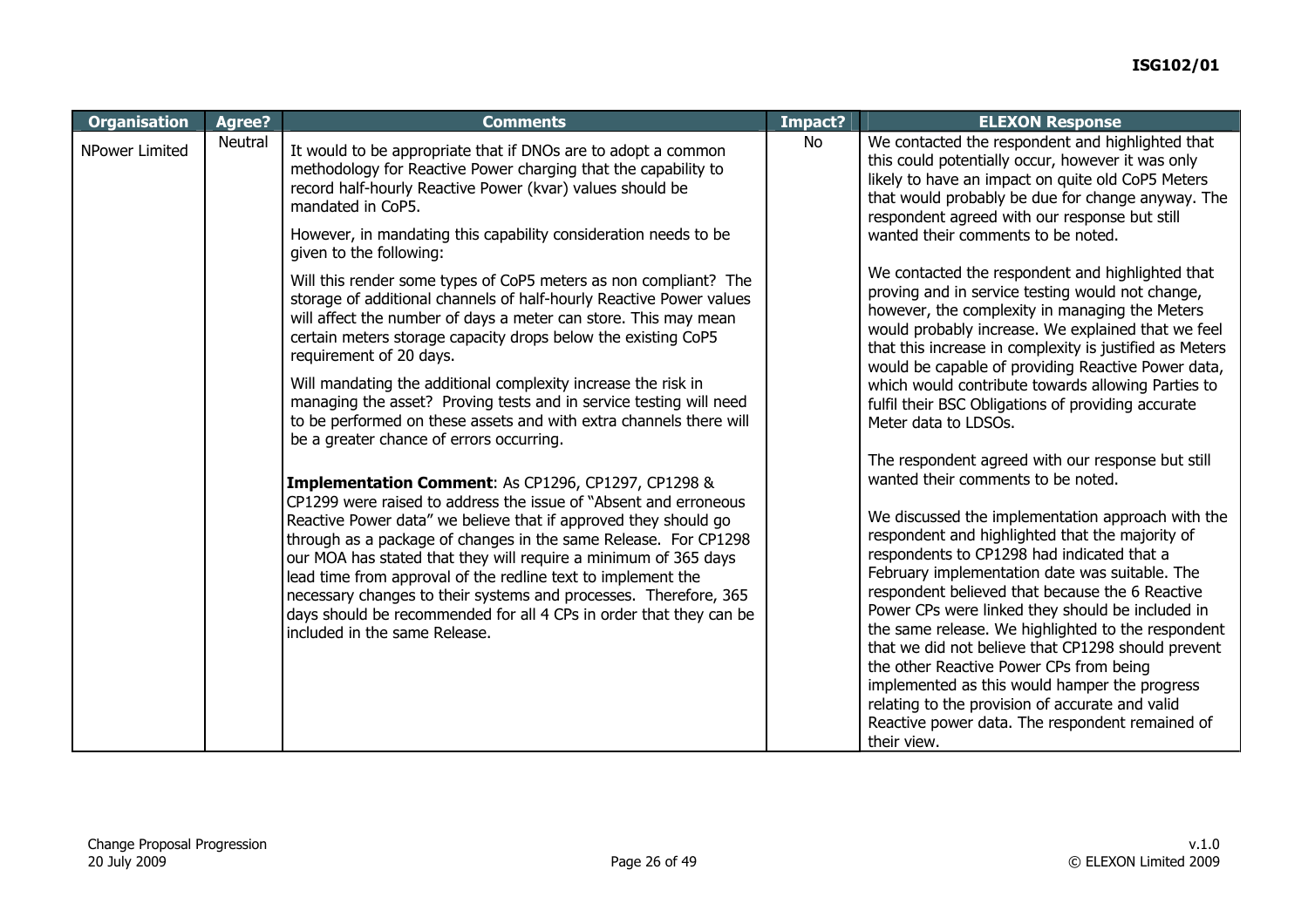| <b>Organisation</b>   | Agree?  | <b>Comments</b>                                                                                                                                                                                                                                                                                                                                                                                                                                                                                                                                                                                                                                                                                                                                                                                                                                                                          | Impact? | <b>ELEXON Response</b>                                                                                                                                                                                                                                                                                                                                                                                                                                                                                                                                                                                                                   |
|-----------------------|---------|------------------------------------------------------------------------------------------------------------------------------------------------------------------------------------------------------------------------------------------------------------------------------------------------------------------------------------------------------------------------------------------------------------------------------------------------------------------------------------------------------------------------------------------------------------------------------------------------------------------------------------------------------------------------------------------------------------------------------------------------------------------------------------------------------------------------------------------------------------------------------------------|---------|------------------------------------------------------------------------------------------------------------------------------------------------------------------------------------------------------------------------------------------------------------------------------------------------------------------------------------------------------------------------------------------------------------------------------------------------------------------------------------------------------------------------------------------------------------------------------------------------------------------------------------------|
| <b>NPower Limited</b> | Neutral | No<br>It would to be appropriate that if DNOs are to adopt a common<br>methodology for Reactive Power charging that the capability to<br>record half-hourly Reactive Power (kvar) values should be<br>mandated in CoP5.<br>However, in mandating this capability consideration needs to be<br>given to the following:<br>Will this render some types of CoP5 meters as non compliant? The<br>storage of additional channels of half-hourly Reactive Power values<br>will affect the number of days a meter can store. This may mean<br>certain meters storage capacity drops below the existing CoP5<br>requirement of 20 days.<br>Will mandating the additional complexity increase the risk in<br>managing the asset? Proving tests and in service testing will need<br>to be performed on these assets and with extra channels there will<br>be a greater chance of errors occurring. |         | We contacted the respondent and highlighted that<br>this could potentially occur, however it was only<br>likely to have an impact on quite old CoP5 Meters<br>that would probably be due for change anyway. The<br>respondent agreed with our response but still<br>wanted their comments to be noted.                                                                                                                                                                                                                                                                                                                                   |
|                       |         |                                                                                                                                                                                                                                                                                                                                                                                                                                                                                                                                                                                                                                                                                                                                                                                                                                                                                          |         | We contacted the respondent and highlighted that<br>proving and in service testing would not change,<br>however, the complexity in managing the Meters<br>would probably increase. We explained that we feel<br>that this increase in complexity is justified as Meters<br>would be capable of providing Reactive Power data,                                                                                                                                                                                                                                                                                                            |
|                       |         |                                                                                                                                                                                                                                                                                                                                                                                                                                                                                                                                                                                                                                                                                                                                                                                                                                                                                          |         | which would contribute towards allowing Parties to<br>fulfil their BSC Obligations of providing accurate<br>Meter data to LDSOs.                                                                                                                                                                                                                                                                                                                                                                                                                                                                                                         |
|                       |         | Implementation Comment: As CP1296, CP1297, CP1298 &                                                                                                                                                                                                                                                                                                                                                                                                                                                                                                                                                                                                                                                                                                                                                                                                                                      |         | The respondent agreed with our response but still<br>wanted their comments to be noted.                                                                                                                                                                                                                                                                                                                                                                                                                                                                                                                                                  |
|                       |         | CP1299 were raised to address the issue of "Absent and erroneous<br>Reactive Power data" we believe that if approved they should go<br>through as a package of changes in the same Release. For CP1298<br>our MOA has stated that they will require a minimum of 365 days<br>lead time from approval of the redline text to implement the<br>necessary changes to their systems and processes. Therefore, 365<br>days should be recommended for all 4 CPs in order that they can be<br>included in the same Release.                                                                                                                                                                                                                                                                                                                                                                     |         | We discussed the implementation approach with the<br>respondent and highlighted that the majority of<br>respondents to CP1298 had indicated that a<br>February implementation date was suitable. The<br>respondent believed that because the 6 Reactive<br>Power CPs were linked they should be included in<br>the same release. We highlighted to the respondent<br>that we did not believe that CP1298 should prevent<br>the other Reactive Power CPs from being<br>implemented as this would hamper the progress<br>relating to the provision of accurate and valid<br>Reactive power data. The respondent remained of<br>their view. |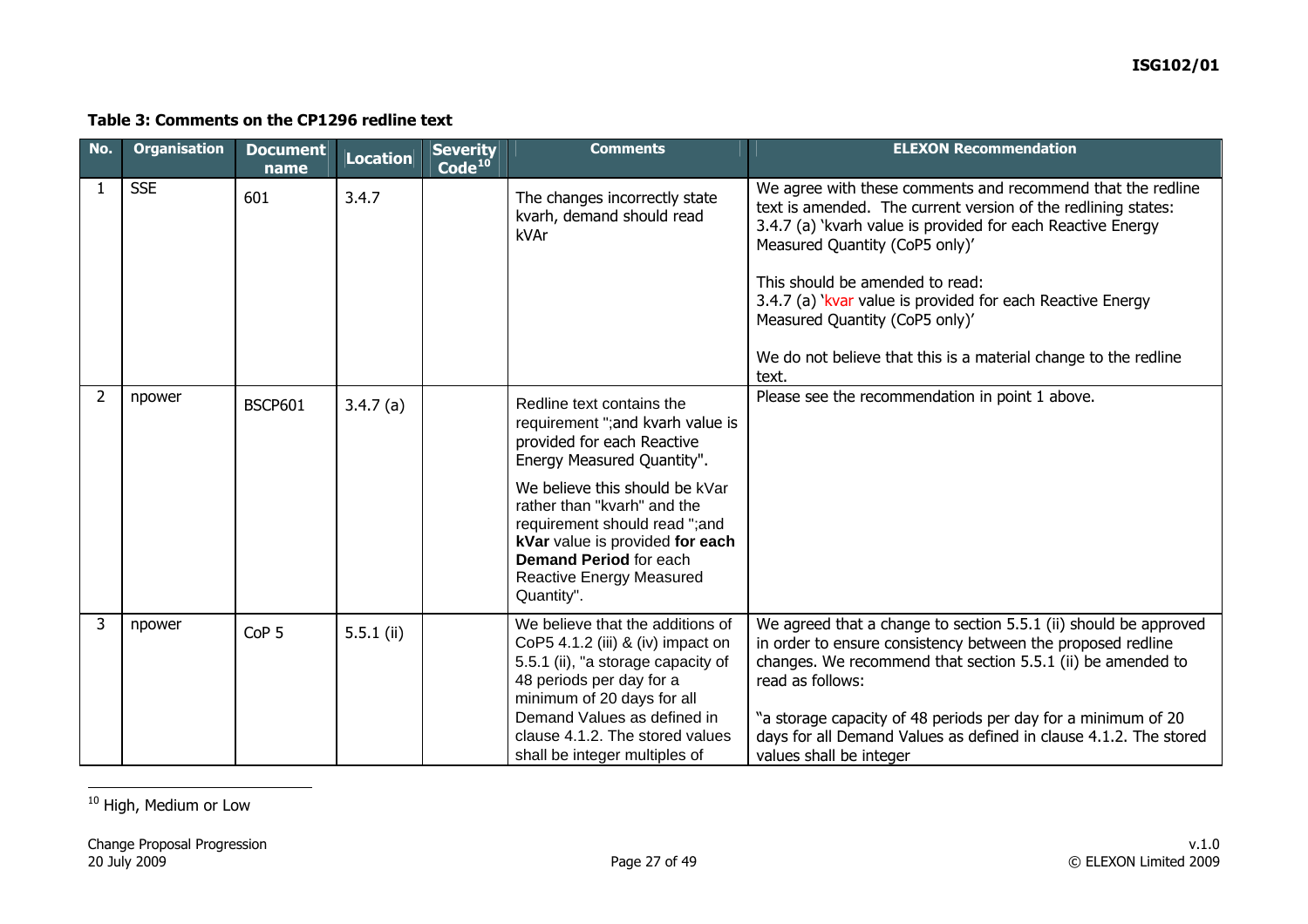#### **Table 3: Comments on the CP1296 redline text**

| No.            | <b>Organisation</b> | <b>Document</b><br>name | Location     | <b>Severity</b><br>$\overline{\text{Code}^{\hspace{0.05cm}10}}$ | <b>Comments</b>                                                                                                                                                                                                                                                                                                                            | <b>ELEXON Recommendation</b>                                                                                                                                                                                                                                                                                                                                                                                                                 |
|----------------|---------------------|-------------------------|--------------|-----------------------------------------------------------------|--------------------------------------------------------------------------------------------------------------------------------------------------------------------------------------------------------------------------------------------------------------------------------------------------------------------------------------------|----------------------------------------------------------------------------------------------------------------------------------------------------------------------------------------------------------------------------------------------------------------------------------------------------------------------------------------------------------------------------------------------------------------------------------------------|
| 1              | <b>SSE</b>          | 601                     | 3.4.7        |                                                                 | The changes incorrectly state<br>kvarh, demand should read<br>kVAr                                                                                                                                                                                                                                                                         | We agree with these comments and recommend that the redline<br>text is amended. The current version of the redlining states:<br>3.4.7 (a) 'kvarh value is provided for each Reactive Energy<br>Measured Quantity (CoP5 only)'<br>This should be amended to read:<br>3.4.7 (a) 'kvar value is provided for each Reactive Energy<br>Measured Quantity (CoP5 only)'<br>We do not believe that this is a material change to the redline<br>text. |
| $\overline{2}$ | npower              | <b>BSCP601</b>          | 3.4.7(a)     |                                                                 | Redline text contains the<br>requirement "; and kvarh value is<br>provided for each Reactive<br>Energy Measured Quantity".<br>We believe this should be kVar<br>rather than "kvarh" and the<br>requirement should read ";and<br>kVar value is provided for each<br><b>Demand Period for each</b><br>Reactive Energy Measured<br>Quantity". | Please see the recommendation in point 1 above.                                                                                                                                                                                                                                                                                                                                                                                              |
| 3              | npower              | CoP <sub>5</sub>        | $5.5.1$ (ii) |                                                                 | We believe that the additions of<br>CoP5 4.1.2 (iii) & (iv) impact on<br>5.5.1 (ii), "a storage capacity of<br>48 periods per day for a<br>minimum of 20 days for all<br>Demand Values as defined in<br>clause 4.1.2. The stored values<br>shall be integer multiples of                                                                   | We agreed that a change to section 5.5.1 (ii) should be approved<br>in order to ensure consistency between the proposed redline<br>changes. We recommend that section 5.5.1 (ii) be amended to<br>read as follows:<br>"a storage capacity of 48 periods per day for a minimum of 20<br>days for all Demand Values as defined in clause 4.1.2. The stored<br>values shall be integer                                                          |

<span id="page-26-0"></span><sup>10</sup> High, Medium or Low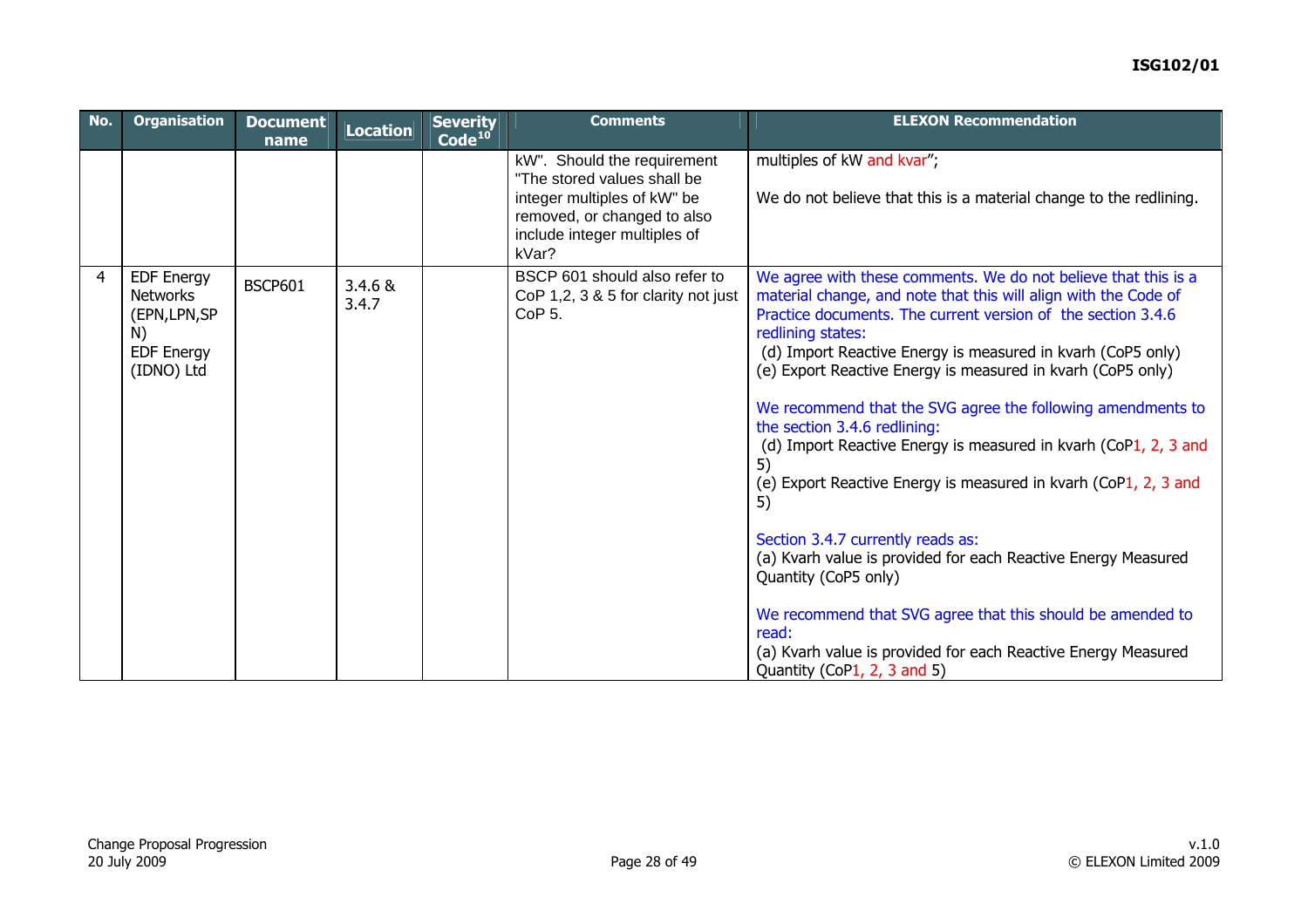### **ISG102/01**

| No. | <b>Organisation</b>                                                                            | <b>Document</b><br>name | Location         | <b>Severity</b><br>$\overline{\textsf{Code}}^{\text{10}}$ | <b>Comments</b>                                                                                                                                                   | <b>ELEXON Recommendation</b>                                                                                                                                                                                                                                                                                                                                                                                                                                                                                                                                                                                                                                                                                                                                                                                                                                                                               |
|-----|------------------------------------------------------------------------------------------------|-------------------------|------------------|-----------------------------------------------------------|-------------------------------------------------------------------------------------------------------------------------------------------------------------------|------------------------------------------------------------------------------------------------------------------------------------------------------------------------------------------------------------------------------------------------------------------------------------------------------------------------------------------------------------------------------------------------------------------------------------------------------------------------------------------------------------------------------------------------------------------------------------------------------------------------------------------------------------------------------------------------------------------------------------------------------------------------------------------------------------------------------------------------------------------------------------------------------------|
|     |                                                                                                |                         |                  |                                                           | kW". Should the requirement<br>"The stored values shall be<br>integer multiples of kW" be<br>removed, or changed to also<br>include integer multiples of<br>kVar? | multiples of kW and kvar";<br>We do not believe that this is a material change to the redlining.                                                                                                                                                                                                                                                                                                                                                                                                                                                                                                                                                                                                                                                                                                                                                                                                           |
| 4   | <b>EDF Energy</b><br><b>Networks</b><br>(EPN, LPN, SP<br>N)<br><b>EDF Energy</b><br>(IDNO) Ltd | <b>BSCP601</b>          | 3.4.6 &<br>3.4.7 |                                                           | BSCP 601 should also refer to<br>CoP 1,2, 3 & 5 for clarity not just<br>CoP <sub>5</sub> .                                                                        | We agree with these comments. We do not believe that this is a<br>material change, and note that this will align with the Code of<br>Practice documents. The current version of the section 3.4.6<br>redlining states:<br>(d) Import Reactive Energy is measured in kvarh (CoP5 only)<br>(e) Export Reactive Energy is measured in kvarh (CoP5 only)<br>We recommend that the SVG agree the following amendments to<br>the section 3.4.6 redlining:<br>(d) Import Reactive Energy is measured in kvarh (CoP1, 2, 3 and<br>5)<br>(e) Export Reactive Energy is measured in kvarh (CoP1, 2, 3 and<br>5)<br>Section 3.4.7 currently reads as:<br>(a) Kvarh value is provided for each Reactive Energy Measured<br>Quantity (CoP5 only)<br>We recommend that SVG agree that this should be amended to<br>read:<br>(a) Kvarh value is provided for each Reactive Energy Measured<br>Quantity (CoP1, 2, 3 and 5) |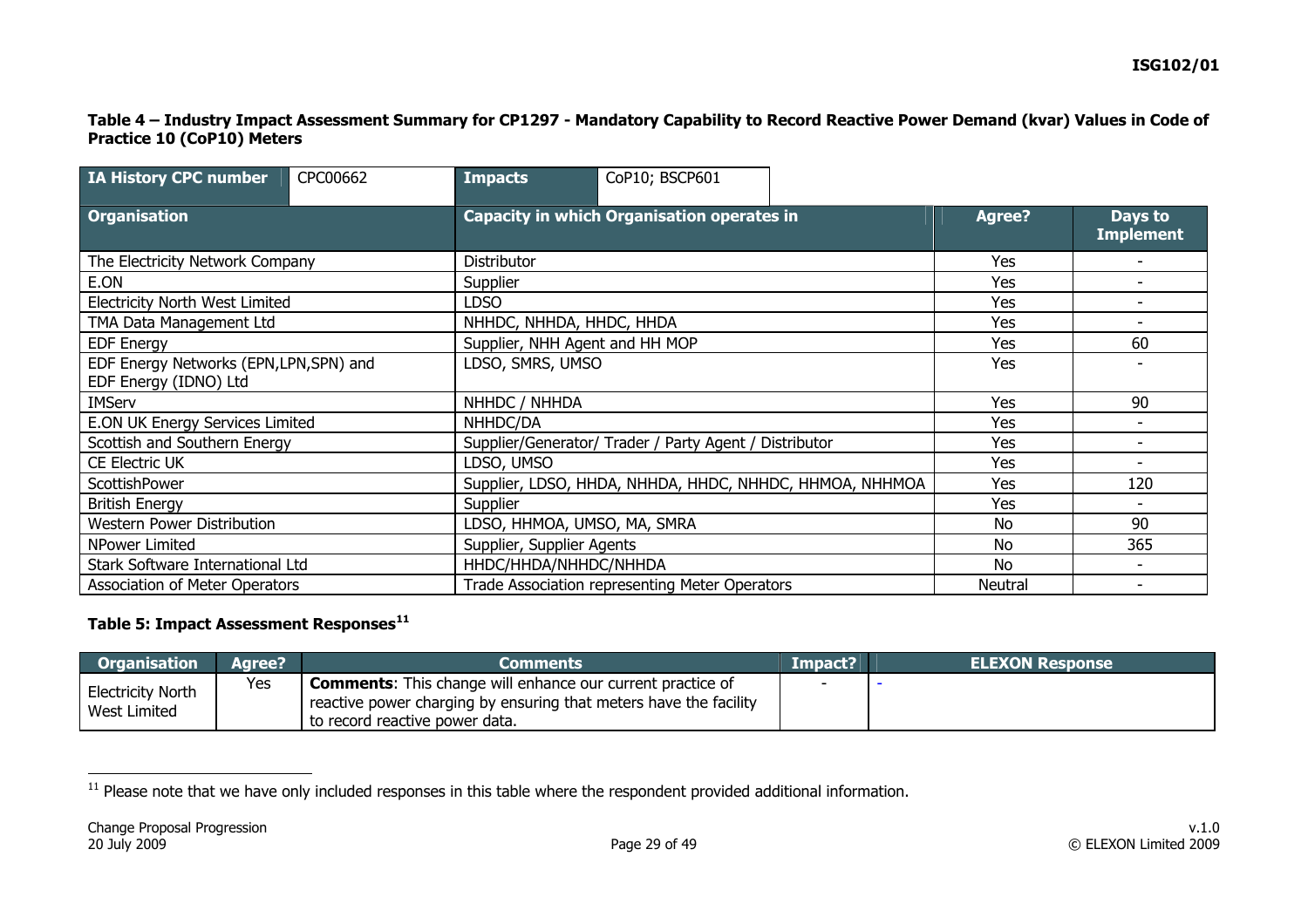#### **Table 4 – Industry Impact Assessment Summary for CP1297 - Mandatory Capability to Record Reactive Power Demand (kvar) Values in Code of Practice 10 (CoP10) Meters**

| IA History CPC number                                            | CPC00662 | <b>Impacts</b>                                         | CoP10; BSCP601                                          |  |               |                             |
|------------------------------------------------------------------|----------|--------------------------------------------------------|---------------------------------------------------------|--|---------------|-----------------------------|
| <b>Organisation</b>                                              |          |                                                        | <b>Capacity in which Organisation operates in</b>       |  | <b>Agree?</b> | Days to<br><b>Implement</b> |
| The Electricity Network Company                                  |          | Distributor                                            |                                                         |  | Yes           |                             |
| E.ON                                                             |          | Supplier                                               |                                                         |  | Yes           |                             |
| <b>Electricity North West Limited</b>                            |          | <b>LDSO</b>                                            |                                                         |  | Yes           |                             |
| TMA Data Management Ltd                                          |          | NHHDC, NHHDA, HHDC, HHDA                               |                                                         |  | Yes           |                             |
| <b>EDF Energy</b>                                                |          | Supplier, NHH Agent and HH MOP                         |                                                         |  | Yes           | 60                          |
| EDF Energy Networks (EPN, LPN, SPN) and<br>EDF Energy (IDNO) Ltd |          |                                                        | LDSO, SMRS, UMSO                                        |  |               |                             |
| <b>IMServ</b>                                                    |          | NHHDC / NHHDA                                          |                                                         |  | Yes           | 90                          |
| E.ON UK Energy Services Limited                                  |          | NHHDC/DA                                               |                                                         |  |               |                             |
| Scottish and Southern Energy                                     |          | Supplier/Generator/ Trader / Party Agent / Distributor |                                                         |  | Yes           |                             |
| CE Electric UK                                                   |          | LDSO, UMSO                                             |                                                         |  |               |                             |
| ScottishPower                                                    |          |                                                        | Supplier, LDSO, HHDA, NHHDA, HHDC, NHHDC, HHMOA, NHHMOA |  |               | 120                         |
| <b>British Energy</b>                                            |          | Supplier                                               |                                                         |  |               |                             |
| Western Power Distribution                                       |          | LDSO, HHMOA, UMSO, MA, SMRA                            |                                                         |  | No            | 90                          |
| NPower Limited                                                   |          | Supplier, Supplier Agents                              |                                                         |  | No.           | 365                         |
| Stark Software International Ltd                                 |          | HHDC/HHDA/NHHDC/NHHDA                                  |                                                         |  | No.           |                             |
| Association of Meter Operators                                   |          |                                                        | Trade Association representing Meter Operators          |  |               |                             |

### **Table 5: Impact Assessment Responses[11](#page-28-0)**

| <b>Organisation</b>                      | Aaree? | Comments                                                                                                                                                                 | Impact? | <b>ELEXON Response</b> |
|------------------------------------------|--------|--------------------------------------------------------------------------------------------------------------------------------------------------------------------------|---------|------------------------|
| <b>Electricity North</b><br>West Limited | Yes    | <b>Comments:</b> This change will enhance our current practice of<br>reactive power charging by ensuring that meters have the facility<br>to record reactive power data. |         |                        |

<span id="page-28-0"></span> $11$  Please note that we have only included responses in this table where the respondent provided additional information.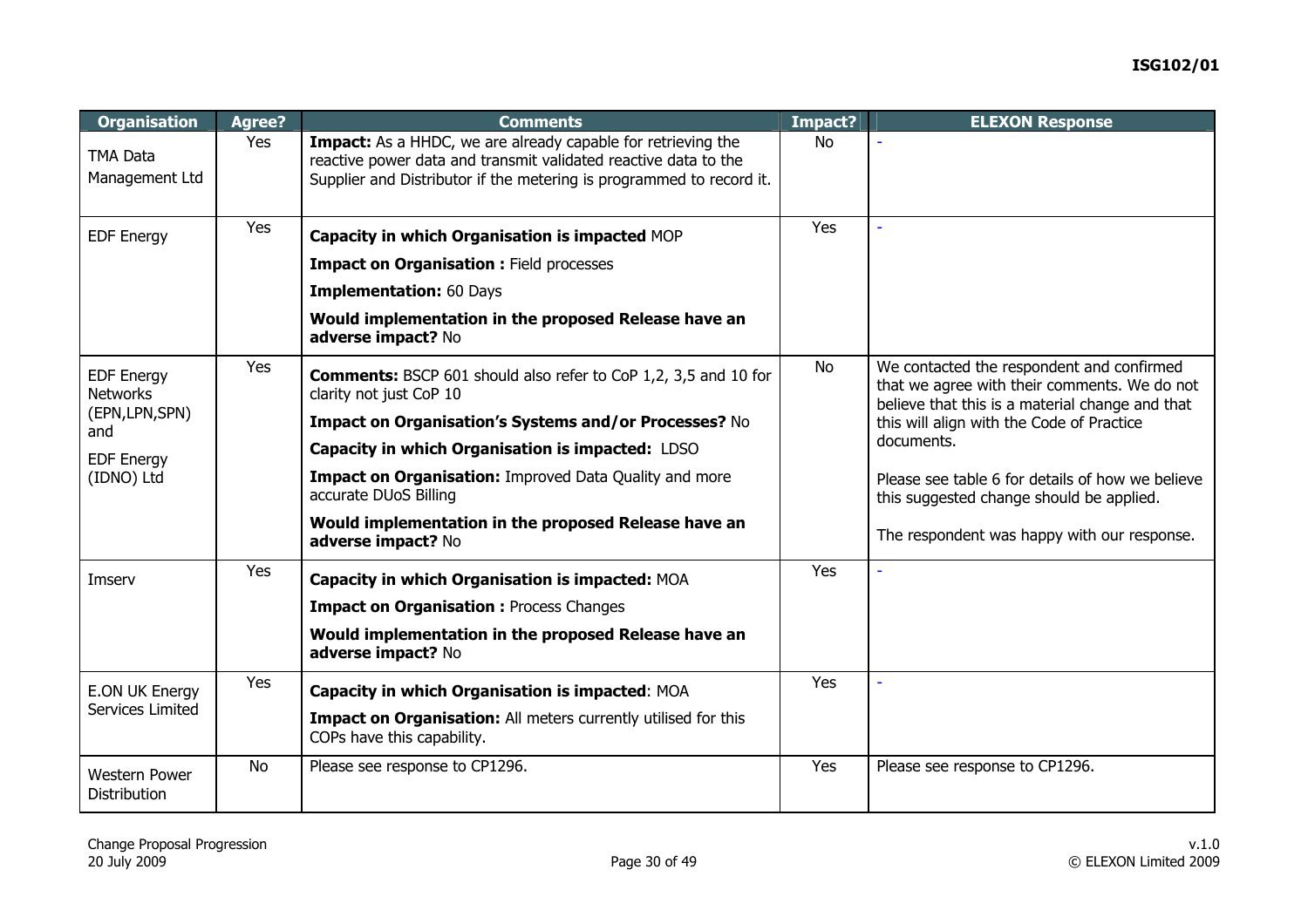| <b>Organisation</b>                         | Agree?    | <b>Comments</b>                                                                                                                                                                                                | Impact?   | <b>ELEXON Response</b>                                                                                                                       |
|---------------------------------------------|-----------|----------------------------------------------------------------------------------------------------------------------------------------------------------------------------------------------------------------|-----------|----------------------------------------------------------------------------------------------------------------------------------------------|
| <b>TMA Data</b><br>Management Ltd           | Yes       | <b>Impact:</b> As a HHDC, we are already capable for retrieving the<br>reactive power data and transmit validated reactive data to the<br>Supplier and Distributor if the metering is programmed to record it. | No        |                                                                                                                                              |
|                                             | Yes       |                                                                                                                                                                                                                | Yes       | $\overline{\phantom{a}}$                                                                                                                     |
| <b>EDF Energy</b>                           |           | Capacity in which Organisation is impacted MOP                                                                                                                                                                 |           |                                                                                                                                              |
|                                             |           | <b>Impact on Organisation : Field processes</b>                                                                                                                                                                |           |                                                                                                                                              |
|                                             |           | <b>Implementation: 60 Days</b>                                                                                                                                                                                 |           |                                                                                                                                              |
|                                             |           | Would implementation in the proposed Release have an<br>adverse impact? No                                                                                                                                     |           |                                                                                                                                              |
| <b>EDF Energy</b><br><b>Networks</b>        | Yes       | <b>Comments:</b> BSCP 601 should also refer to CoP 1,2, 3,5 and 10 for<br>clarity not just CoP 10                                                                                                              | <b>No</b> | We contacted the respondent and confirmed<br>that we agree with their comments. We do not<br>believe that this is a material change and that |
| (EPN, LPN, SPN)                             |           | Impact on Organisation's Systems and/or Processes? No                                                                                                                                                          |           | this will align with the Code of Practice                                                                                                    |
| and<br><b>EDF Energy</b>                    |           | Capacity in which Organisation is impacted: LDSO                                                                                                                                                               |           | documents.                                                                                                                                   |
| (IDNO) Ltd                                  |           | Impact on Organisation: Improved Data Quality and more<br>accurate DUoS Billing                                                                                                                                |           | Please see table 6 for details of how we believe<br>this suggested change should be applied.                                                 |
|                                             |           | Would implementation in the proposed Release have an<br>adverse impact? No                                                                                                                                     |           | The respondent was happy with our response.                                                                                                  |
| Imserv                                      | Yes       | Capacity in which Organisation is impacted: MOA                                                                                                                                                                | Yes       |                                                                                                                                              |
|                                             |           | <b>Impact on Organisation : Process Changes</b>                                                                                                                                                                |           |                                                                                                                                              |
|                                             |           | Would implementation in the proposed Release have an<br>adverse impact? No                                                                                                                                     |           |                                                                                                                                              |
| E.ON UK Energy<br>Services Limited          | Yes       | Capacity in which Organisation is impacted: MOA                                                                                                                                                                | Yes       |                                                                                                                                              |
|                                             |           | Impact on Organisation: All meters currently utilised for this<br>COPs have this capability.                                                                                                                   |           |                                                                                                                                              |
| <b>Western Power</b><br><b>Distribution</b> | <b>No</b> | Please see response to CP1296.                                                                                                                                                                                 | Yes       | Please see response to CP1296.                                                                                                               |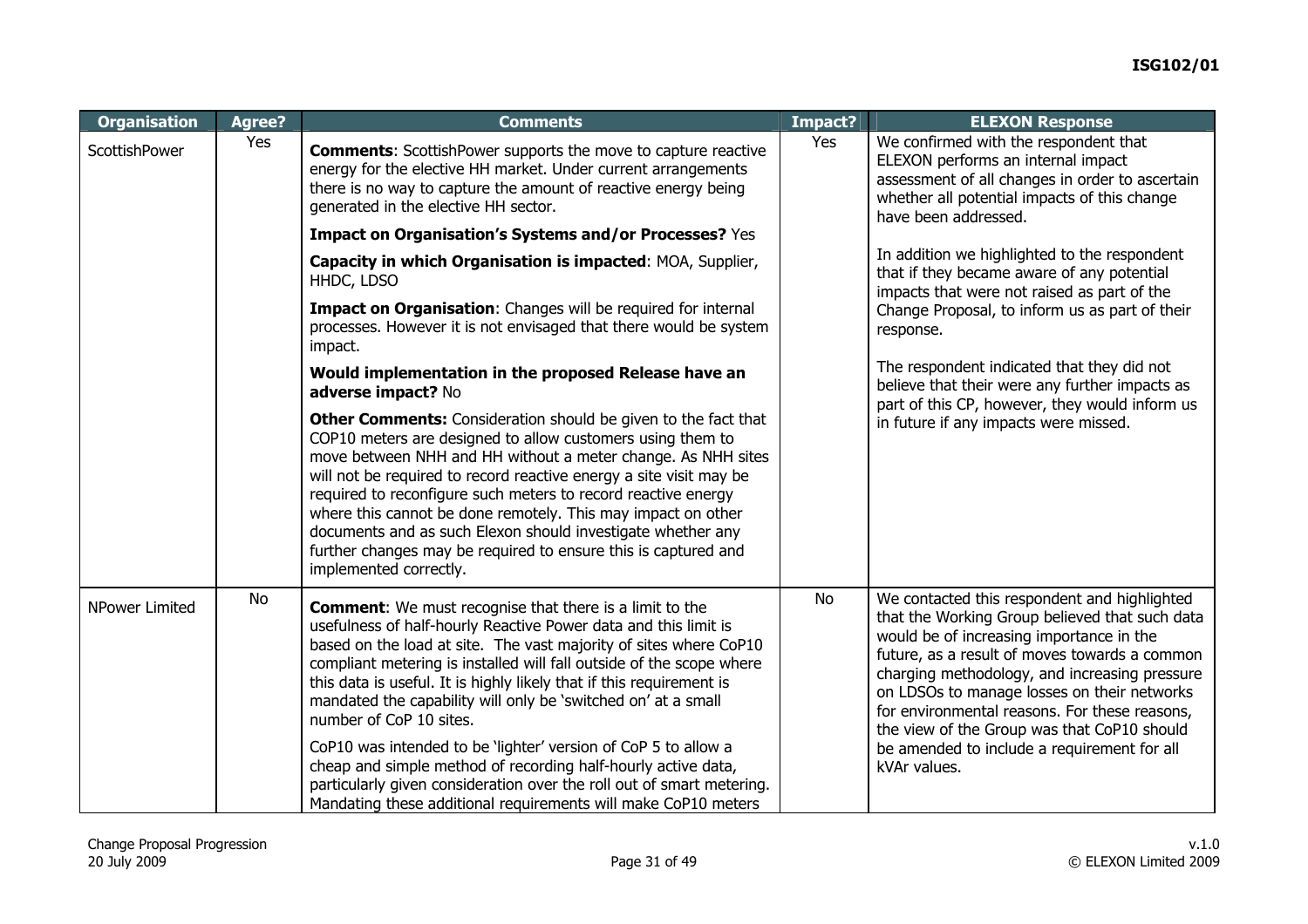| <b>Organisation</b>   | Agree?    | <b>Comments</b>                                                                                                                                                                                                                                                                                                                                                                                                                                                                                                                                                                                                                                                                                                                  | Impact?   | <b>ELEXON Response</b>                                                                                                                                                                                                                                                                                                                                                                                                                                     |
|-----------------------|-----------|----------------------------------------------------------------------------------------------------------------------------------------------------------------------------------------------------------------------------------------------------------------------------------------------------------------------------------------------------------------------------------------------------------------------------------------------------------------------------------------------------------------------------------------------------------------------------------------------------------------------------------------------------------------------------------------------------------------------------------|-----------|------------------------------------------------------------------------------------------------------------------------------------------------------------------------------------------------------------------------------------------------------------------------------------------------------------------------------------------------------------------------------------------------------------------------------------------------------------|
| ScottishPower         | Yes       | <b>Comments:</b> ScottishPower supports the move to capture reactive<br>energy for the elective HH market. Under current arrangements<br>there is no way to capture the amount of reactive energy being<br>generated in the elective HH sector.                                                                                                                                                                                                                                                                                                                                                                                                                                                                                  | Yes       | We confirmed with the respondent that<br>ELEXON performs an internal impact<br>assessment of all changes in order to ascertain<br>whether all potential impacts of this change<br>have been addressed.                                                                                                                                                                                                                                                     |
|                       |           | Impact on Organisation's Systems and/or Processes? Yes                                                                                                                                                                                                                                                                                                                                                                                                                                                                                                                                                                                                                                                                           |           |                                                                                                                                                                                                                                                                                                                                                                                                                                                            |
|                       |           | Capacity in which Organisation is impacted: MOA, Supplier,<br>HHDC, LDSO                                                                                                                                                                                                                                                                                                                                                                                                                                                                                                                                                                                                                                                         |           | In addition we highlighted to the respondent<br>that if they became aware of any potential<br>impacts that were not raised as part of the                                                                                                                                                                                                                                                                                                                  |
|                       |           | Impact on Organisation: Changes will be required for internal<br>processes. However it is not envisaged that there would be system<br>impact.                                                                                                                                                                                                                                                                                                                                                                                                                                                                                                                                                                                    |           | Change Proposal, to inform us as part of their<br>response.                                                                                                                                                                                                                                                                                                                                                                                                |
|                       |           | Would implementation in the proposed Release have an<br>adverse impact? No                                                                                                                                                                                                                                                                                                                                                                                                                                                                                                                                                                                                                                                       |           | The respondent indicated that they did not<br>believe that their were any further impacts as<br>part of this CP, however, they would inform us                                                                                                                                                                                                                                                                                                             |
|                       |           | <b>Other Comments:</b> Consideration should be given to the fact that<br>COP10 meters are designed to allow customers using them to<br>move between NHH and HH without a meter change. As NHH sites<br>will not be required to record reactive energy a site visit may be<br>required to reconfigure such meters to record reactive energy<br>where this cannot be done remotely. This may impact on other<br>documents and as such Elexon should investigate whether any<br>further changes may be required to ensure this is captured and<br>implemented correctly.                                                                                                                                                            |           | in future if any impacts were missed.                                                                                                                                                                                                                                                                                                                                                                                                                      |
| <b>NPower Limited</b> | <b>No</b> | <b>Comment:</b> We must recognise that there is a limit to the<br>usefulness of half-hourly Reactive Power data and this limit is<br>based on the load at site. The vast majority of sites where CoP10<br>compliant metering is installed will fall outside of the scope where<br>this data is useful. It is highly likely that if this requirement is<br>mandated the capability will only be 'switched on' at a small<br>number of CoP 10 sites.<br>CoP10 was intended to be 'lighter' version of CoP 5 to allow a<br>cheap and simple method of recording half-hourly active data,<br>particularly given consideration over the roll out of smart metering.<br>Mandating these additional requirements will make CoP10 meters | <b>No</b> | We contacted this respondent and highlighted<br>that the Working Group believed that such data<br>would be of increasing importance in the<br>future, as a result of moves towards a common<br>charging methodology, and increasing pressure<br>on LDSOs to manage losses on their networks<br>for environmental reasons. For these reasons,<br>the view of the Group was that CoP10 should<br>be amended to include a requirement for all<br>kVAr values. |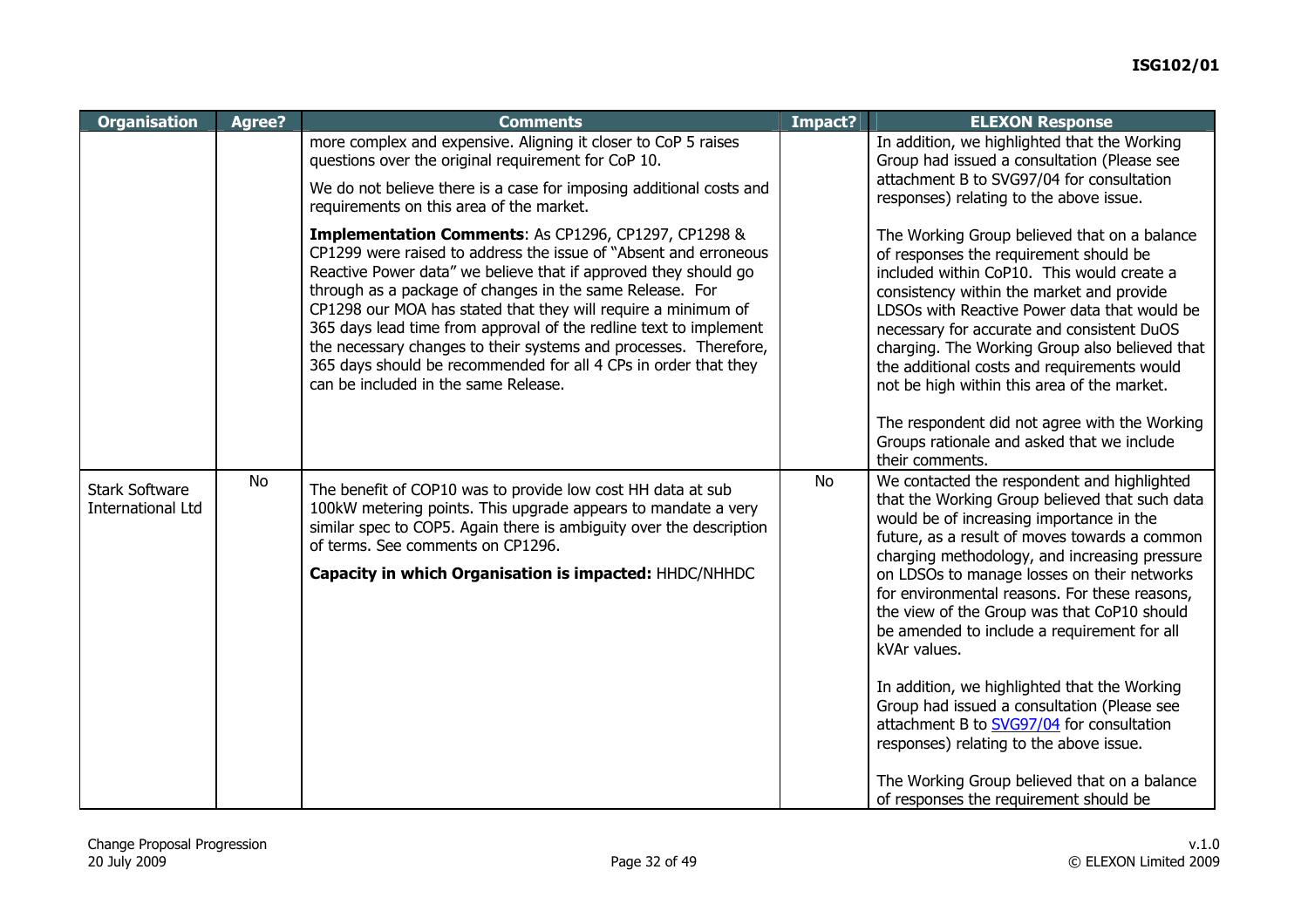| <b>Organisation</b>                               | Agree? | <b>Comments</b>                                                                                                                                                                                                                                                                                                                                                                                                                                                                                                                                                                         | Impact?   | <b>ELEXON Response</b>                                                                                                                                                                                                                                                                                                                                                                                                                                    |
|---------------------------------------------------|--------|-----------------------------------------------------------------------------------------------------------------------------------------------------------------------------------------------------------------------------------------------------------------------------------------------------------------------------------------------------------------------------------------------------------------------------------------------------------------------------------------------------------------------------------------------------------------------------------------|-----------|-----------------------------------------------------------------------------------------------------------------------------------------------------------------------------------------------------------------------------------------------------------------------------------------------------------------------------------------------------------------------------------------------------------------------------------------------------------|
|                                                   |        | more complex and expensive. Aligning it closer to CoP 5 raises<br>questions over the original requirement for CoP 10.                                                                                                                                                                                                                                                                                                                                                                                                                                                                   |           | In addition, we highlighted that the Working<br>Group had issued a consultation (Please see                                                                                                                                                                                                                                                                                                                                                               |
|                                                   |        | We do not believe there is a case for imposing additional costs and<br>requirements on this area of the market.                                                                                                                                                                                                                                                                                                                                                                                                                                                                         |           | attachment B to SVG97/04 for consultation<br>responses) relating to the above issue.                                                                                                                                                                                                                                                                                                                                                                      |
|                                                   |        | <b>Implementation Comments: As CP1296, CP1297, CP1298 &amp;</b><br>CP1299 were raised to address the issue of "Absent and erroneous<br>Reactive Power data" we believe that if approved they should go<br>through as a package of changes in the same Release. For<br>CP1298 our MOA has stated that they will require a minimum of<br>365 days lead time from approval of the redline text to implement<br>the necessary changes to their systems and processes. Therefore,<br>365 days should be recommended for all 4 CPs in order that they<br>can be included in the same Release. |           | The Working Group believed that on a balance<br>of responses the requirement should be<br>included within CoP10. This would create a<br>consistency within the market and provide<br>LDSOs with Reactive Power data that would be<br>necessary for accurate and consistent DuOS<br>charging. The Working Group also believed that<br>the additional costs and requirements would<br>not be high within this area of the market.                           |
|                                                   |        |                                                                                                                                                                                                                                                                                                                                                                                                                                                                                                                                                                                         |           | The respondent did not agree with the Working<br>Groups rationale and asked that we include<br>their comments.                                                                                                                                                                                                                                                                                                                                            |
| <b>Stark Software</b><br><b>International Ltd</b> | No     | The benefit of COP10 was to provide low cost HH data at sub<br>100kW metering points. This upgrade appears to mandate a very<br>similar spec to COP5. Again there is ambiguity over the description<br>of terms. See comments on CP1296.<br>Capacity in which Organisation is impacted: HHDC/NHHDC                                                                                                                                                                                                                                                                                      | <b>No</b> | We contacted the respondent and highlighted<br>that the Working Group believed that such data<br>would be of increasing importance in the<br>future, as a result of moves towards a common<br>charging methodology, and increasing pressure<br>on LDSOs to manage losses on their networks<br>for environmental reasons. For these reasons,<br>the view of the Group was that CoP10 should<br>be amended to include a requirement for all<br>kVAr values. |
|                                                   |        |                                                                                                                                                                                                                                                                                                                                                                                                                                                                                                                                                                                         |           | In addition, we highlighted that the Working<br>Group had issued a consultation (Please see<br>attachment B to SVG97/04 for consultation<br>responses) relating to the above issue.<br>The Working Group believed that on a balance<br>of responses the requirement should be                                                                                                                                                                             |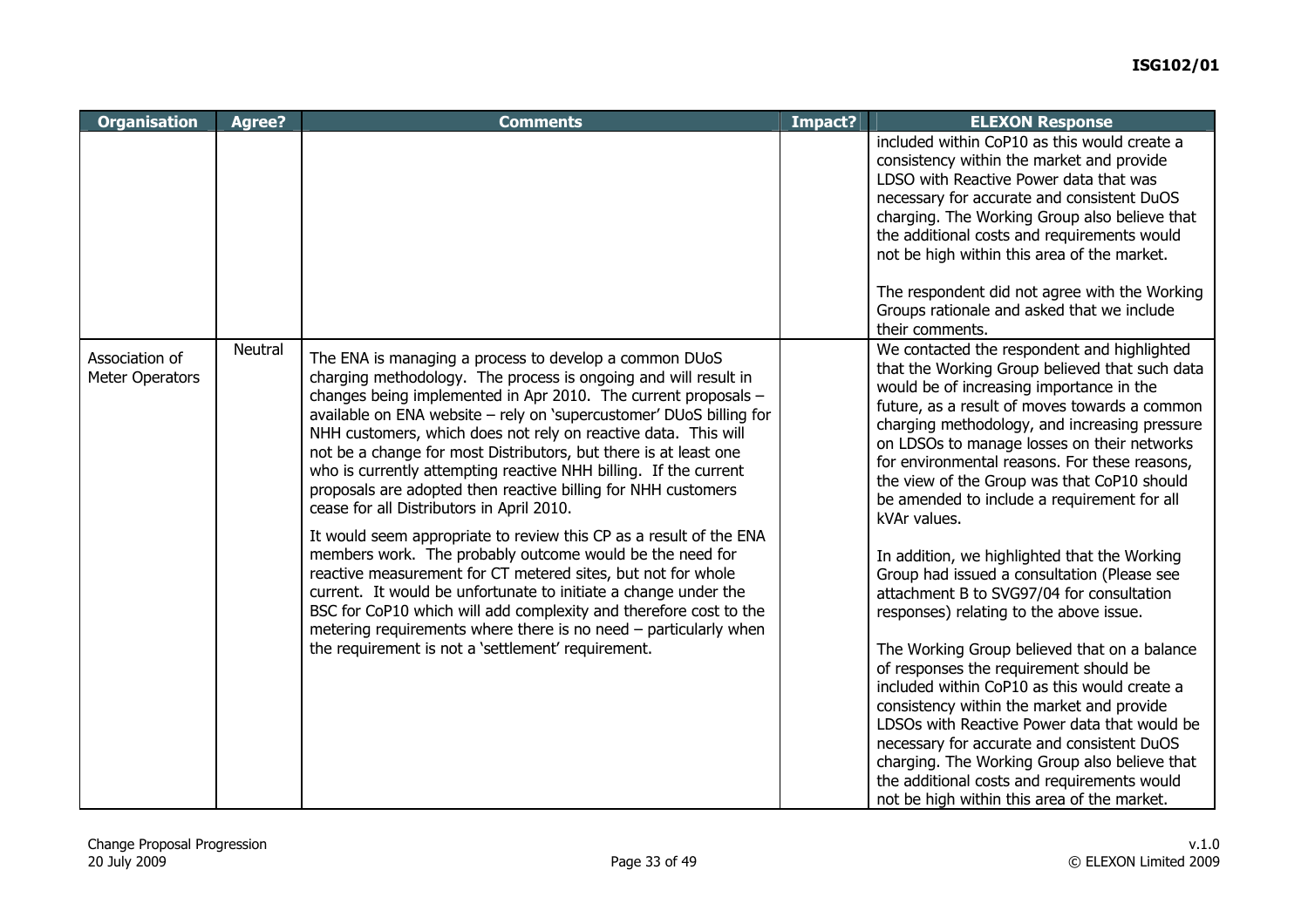| <b>Organisation</b>               | Agree?  | <b>Comments</b>                                                                                                                                                                                                                                                                                                                                                                                                                                                                                                                                                                                                                                                                                                                                                                                                                                                                                                                                                                                                                                                | Impact? | <b>ELEXON Response</b>                                                                                                                                                                                                                                                                                                                                                                                                                                                                                                                                                                                                                                                                                                                                                                                                                                                                                                                                                                                                                                                               |
|-----------------------------------|---------|----------------------------------------------------------------------------------------------------------------------------------------------------------------------------------------------------------------------------------------------------------------------------------------------------------------------------------------------------------------------------------------------------------------------------------------------------------------------------------------------------------------------------------------------------------------------------------------------------------------------------------------------------------------------------------------------------------------------------------------------------------------------------------------------------------------------------------------------------------------------------------------------------------------------------------------------------------------------------------------------------------------------------------------------------------------|---------|--------------------------------------------------------------------------------------------------------------------------------------------------------------------------------------------------------------------------------------------------------------------------------------------------------------------------------------------------------------------------------------------------------------------------------------------------------------------------------------------------------------------------------------------------------------------------------------------------------------------------------------------------------------------------------------------------------------------------------------------------------------------------------------------------------------------------------------------------------------------------------------------------------------------------------------------------------------------------------------------------------------------------------------------------------------------------------------|
|                                   |         |                                                                                                                                                                                                                                                                                                                                                                                                                                                                                                                                                                                                                                                                                                                                                                                                                                                                                                                                                                                                                                                                |         | included within CoP10 as this would create a<br>consistency within the market and provide<br>LDSO with Reactive Power data that was<br>necessary for accurate and consistent DuOS<br>charging. The Working Group also believe that<br>the additional costs and requirements would<br>not be high within this area of the market.<br>The respondent did not agree with the Working<br>Groups rationale and asked that we include<br>their comments.                                                                                                                                                                                                                                                                                                                                                                                                                                                                                                                                                                                                                                   |
| Association of<br>Meter Operators | Neutral | The ENA is managing a process to develop a common DUoS<br>charging methodology. The process is ongoing and will result in<br>changes being implemented in Apr 2010. The current proposals -<br>available on ENA website - rely on 'supercustomer' DUoS billing for<br>NHH customers, which does not rely on reactive data. This will<br>not be a change for most Distributors, but there is at least one<br>who is currently attempting reactive NHH billing. If the current<br>proposals are adopted then reactive billing for NHH customers<br>cease for all Distributors in April 2010.<br>It would seem appropriate to review this CP as a result of the ENA<br>members work. The probably outcome would be the need for<br>reactive measurement for CT metered sites, but not for whole<br>current. It would be unfortunate to initiate a change under the<br>BSC for CoP10 which will add complexity and therefore cost to the<br>metering requirements where there is no need - particularly when<br>the requirement is not a 'settlement' requirement. |         | We contacted the respondent and highlighted<br>that the Working Group believed that such data<br>would be of increasing importance in the<br>future, as a result of moves towards a common<br>charging methodology, and increasing pressure<br>on LDSOs to manage losses on their networks<br>for environmental reasons. For these reasons,<br>the view of the Group was that CoP10 should<br>be amended to include a requirement for all<br>kVAr values.<br>In addition, we highlighted that the Working<br>Group had issued a consultation (Please see<br>attachment B to SVG97/04 for consultation<br>responses) relating to the above issue.<br>The Working Group believed that on a balance<br>of responses the requirement should be<br>included within CoP10 as this would create a<br>consistency within the market and provide<br>LDSOs with Reactive Power data that would be<br>necessary for accurate and consistent DuOS<br>charging. The Working Group also believe that<br>the additional costs and requirements would<br>not be high within this area of the market. |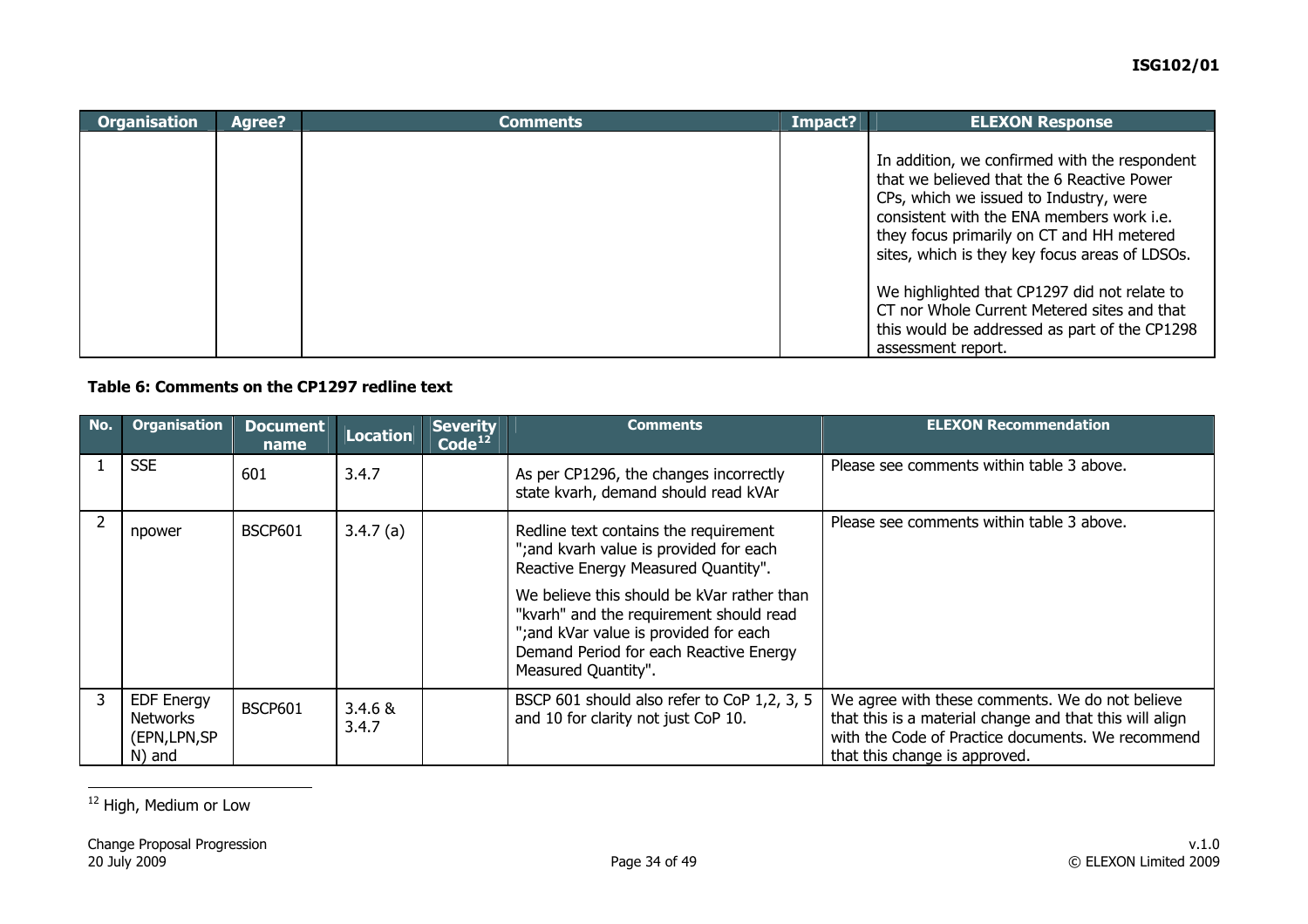| <b>Organisation</b> | <b>Agree?</b> | <b>Comments</b> | Impact? | <b>ELEXON Response</b>                                                                                                                                                                                                                                                            |
|---------------------|---------------|-----------------|---------|-----------------------------------------------------------------------------------------------------------------------------------------------------------------------------------------------------------------------------------------------------------------------------------|
|                     |               |                 |         | In addition, we confirmed with the respondent<br>that we believed that the 6 Reactive Power<br>CPs, which we issued to Industry, were<br>consistent with the ENA members work i.e.<br>they focus primarily on CT and HH metered<br>sites, which is they key focus areas of LDSOs. |
|                     |               |                 |         | We highlighted that CP1297 did not relate to<br>CT nor Whole Current Metered sites and that<br>this would be addressed as part of the CP1298<br>assessment report.                                                                                                                |

### **Table 6: Comments on the CP1297 redline text**

| No. | <b>Organisation</b>                                             | <b>Document</b><br>name | Location            | <b>Severity</b><br>Code <sup>12</sup> | <b>Comments</b>                                                                                                                                                                                                                                                                                                             | <b>ELEXON Recommendation</b>                                                                                                                                                                     |
|-----|-----------------------------------------------------------------|-------------------------|---------------------|---------------------------------------|-----------------------------------------------------------------------------------------------------------------------------------------------------------------------------------------------------------------------------------------------------------------------------------------------------------------------------|--------------------------------------------------------------------------------------------------------------------------------------------------------------------------------------------------|
|     | <b>SSE</b>                                                      | 601                     | 3.4.7               |                                       | As per CP1296, the changes incorrectly<br>state kvarh, demand should read kVAr                                                                                                                                                                                                                                              | Please see comments within table 3 above.                                                                                                                                                        |
|     | npower                                                          | <b>BSCP601</b>          | 3.4.7(a)            |                                       | Redline text contains the requirement<br>"; and kvarh value is provided for each<br>Reactive Energy Measured Quantity".<br>We believe this should be kVar rather than<br>"kvarh" and the requirement should read<br>"; and kVar value is provided for each<br>Demand Period for each Reactive Energy<br>Measured Quantity". | Please see comments within table 3 above.                                                                                                                                                        |
| 3   | <b>EDF Energy</b><br><b>Networks</b><br>(EPN, LPN, SP<br>N) and | <b>BSCP601</b>          | $3.4.6 \&$<br>3.4.7 |                                       | BSCP 601 should also refer to CoP 1,2, 3, 5<br>and 10 for clarity not just CoP 10.                                                                                                                                                                                                                                          | We agree with these comments. We do not believe<br>that this is a material change and that this will align<br>with the Code of Practice documents. We recommend<br>that this change is approved. |

<span id="page-33-0"></span><sup>12</sup> High, Medium or Low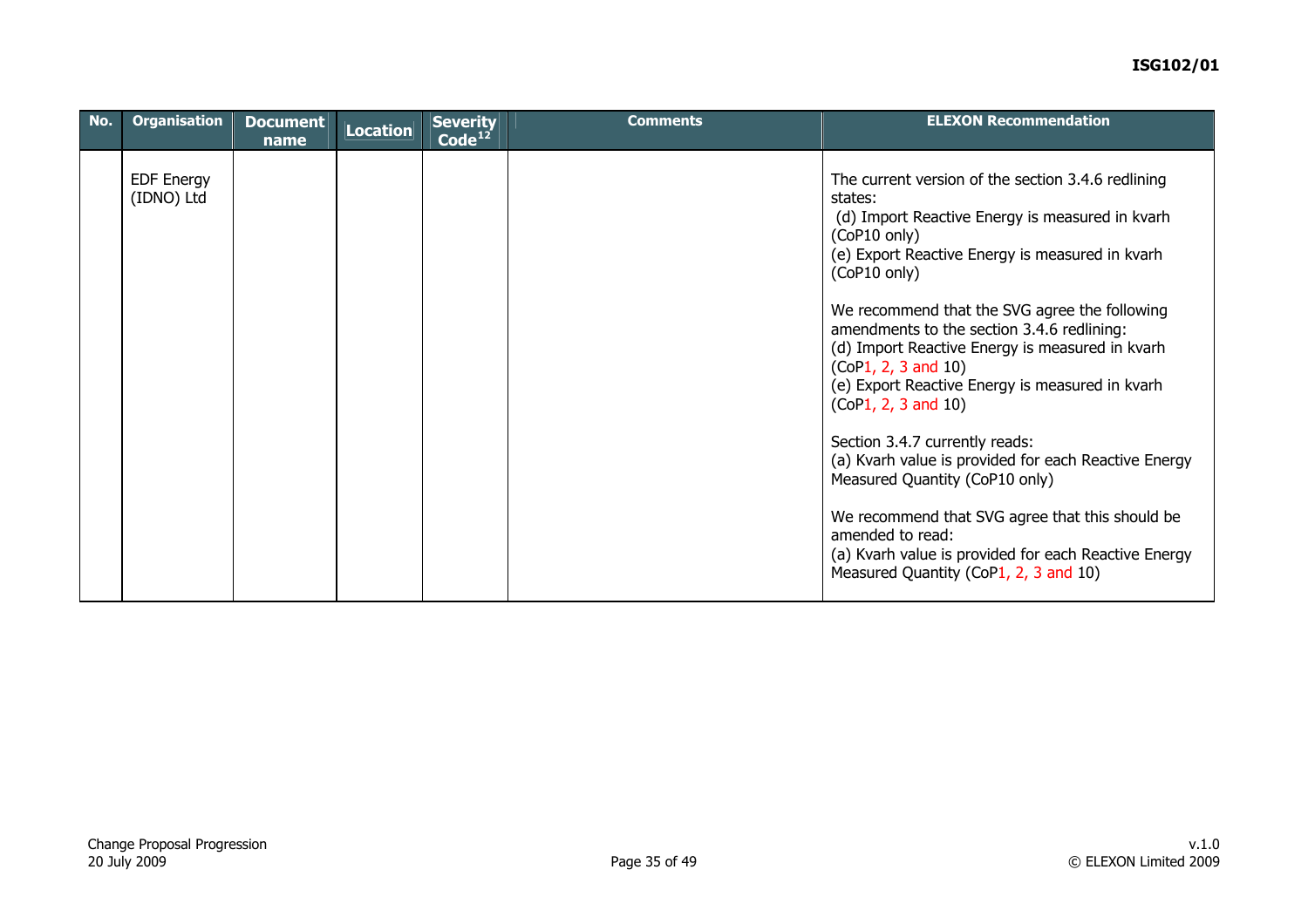| No. | <b>Organisation</b>             | <b>Document</b><br>name | Location | <b>Severity</b><br>$\overline{\text{Code}^{12}}$ | <b>Comments</b> | <b>ELEXON Recommendation</b>                                                                                                                                                                                                                                                                                                                                                                                                                                                                                                                                                                                                                                                                                                                               |
|-----|---------------------------------|-------------------------|----------|--------------------------------------------------|-----------------|------------------------------------------------------------------------------------------------------------------------------------------------------------------------------------------------------------------------------------------------------------------------------------------------------------------------------------------------------------------------------------------------------------------------------------------------------------------------------------------------------------------------------------------------------------------------------------------------------------------------------------------------------------------------------------------------------------------------------------------------------------|
|     | <b>EDF Energy</b><br>(IDNO) Ltd |                         |          |                                                  |                 | The current version of the section 3.4.6 redlining<br>states:<br>(d) Import Reactive Energy is measured in kvarh<br>(CoP10 only)<br>(e) Export Reactive Energy is measured in kvarh<br>(CoP10 only)<br>We recommend that the SVG agree the following<br>amendments to the section 3.4.6 redlining:<br>(d) Import Reactive Energy is measured in kvarh<br>(CoP1, 2, 3 and 10)<br>(e) Export Reactive Energy is measured in kvarh<br>(CoP1, 2, 3 and 10)<br>Section 3.4.7 currently reads:<br>(a) Kvarh value is provided for each Reactive Energy<br>Measured Quantity (CoP10 only)<br>We recommend that SVG agree that this should be<br>amended to read:<br>(a) Kvarh value is provided for each Reactive Energy<br>Measured Quantity (CoP1, 2, 3 and 10) |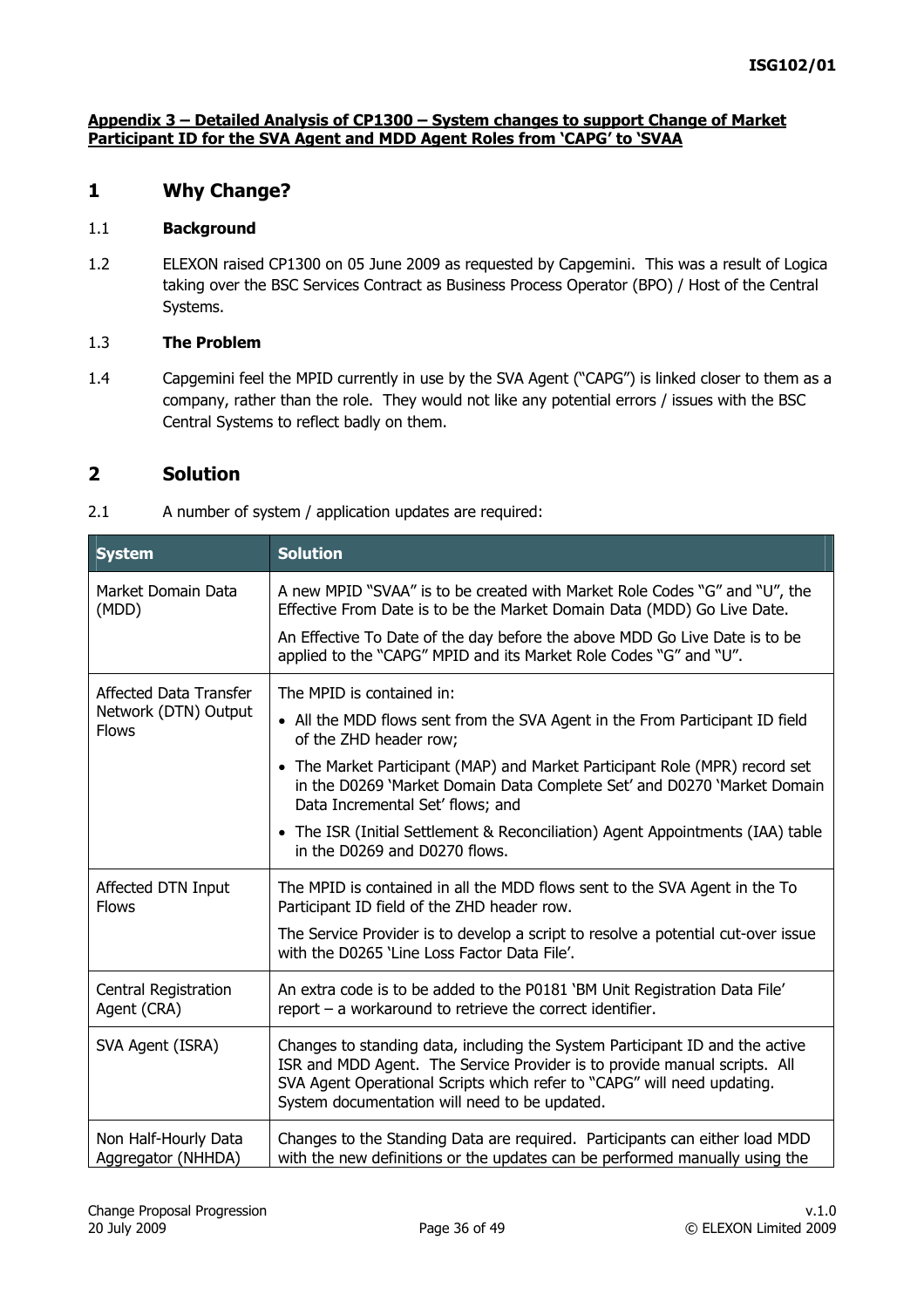#### **Appendix 3 – Detailed Analysis of CP1300 – System changes to support Change of Market Participant ID for the SVA Agent and MDD Agent Roles from 'CAPG' to 'SVAA**

# **1 Why Change?**

#### 1.1 **Background**

1.2 ELEXON raised CP1300 on 05 June 2009 as requested by Capgemini. This was a result of Logica taking over the BSC Services Contract as Business Process Operator (BPO) / Host of the Central Systems.

### 1.3 **The Problem**

1.4 Capgemini feel the MPID currently in use by the SVA Agent ("CAPG") is linked closer to them as a company, rather than the role. They would not like any potential errors / issues with the BSC Central Systems to reflect badly on them.

## **2 Solution**

2.1 A number of system / application updates are required:

| <b>System</b>                              | <b>Solution</b>                                                                                                                                                                                                                                                                       |
|--------------------------------------------|---------------------------------------------------------------------------------------------------------------------------------------------------------------------------------------------------------------------------------------------------------------------------------------|
| Market Domain Data<br>(MDD)                | A new MPID "SVAA" is to be created with Market Role Codes "G" and "U", the<br>Effective From Date is to be the Market Domain Data (MDD) Go Live Date.                                                                                                                                 |
|                                            | An Effective To Date of the day before the above MDD Go Live Date is to be<br>applied to the "CAPG" MPID and its Market Role Codes "G" and "U".                                                                                                                                       |
| Affected Data Transfer                     | The MPID is contained in:                                                                                                                                                                                                                                                             |
| Network (DTN) Output<br><b>Flows</b>       | • All the MDD flows sent from the SVA Agent in the From Participant ID field<br>of the ZHD header row;                                                                                                                                                                                |
|                                            | • The Market Participant (MAP) and Market Participant Role (MPR) record set<br>in the D0269 'Market Domain Data Complete Set' and D0270 'Market Domain<br>Data Incremental Set' flows; and                                                                                            |
|                                            | • The ISR (Initial Settlement & Reconciliation) Agent Appointments (IAA) table<br>in the D0269 and D0270 flows.                                                                                                                                                                       |
| Affected DTN Input<br><b>Flows</b>         | The MPID is contained in all the MDD flows sent to the SVA Agent in the To<br>Participant ID field of the ZHD header row.                                                                                                                                                             |
|                                            | The Service Provider is to develop a script to resolve a potential cut-over issue<br>with the D0265 'Line Loss Factor Data File'.                                                                                                                                                     |
| Central Registration<br>Agent (CRA)        | An extra code is to be added to the P0181 'BM Unit Registration Data File'<br>report $-$ a workaround to retrieve the correct identifier.                                                                                                                                             |
| SVA Agent (ISRA)                           | Changes to standing data, including the System Participant ID and the active<br>ISR and MDD Agent. The Service Provider is to provide manual scripts. All<br>SVA Agent Operational Scripts which refer to "CAPG" will need updating.<br>System documentation will need to be updated. |
| Non Half-Hourly Data<br>Aggregator (NHHDA) | Changes to the Standing Data are required. Participants can either load MDD<br>with the new definitions or the updates can be performed manually using the                                                                                                                            |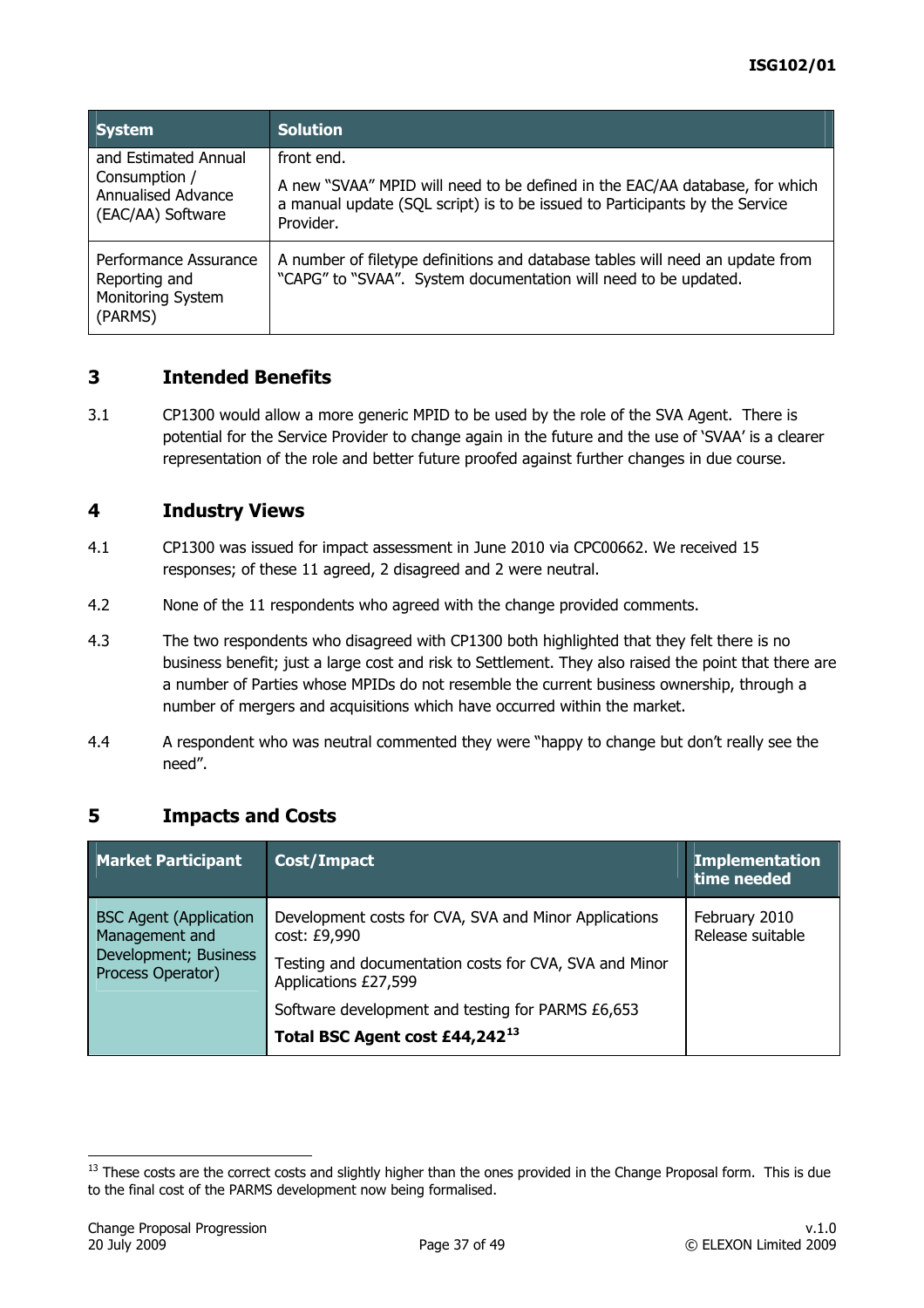<span id="page-36-0"></span>

| <b>System</b>                                                                           | <b>Solution</b>                                                                                                                                                                       |
|-----------------------------------------------------------------------------------------|---------------------------------------------------------------------------------------------------------------------------------------------------------------------------------------|
| and Estimated Annual<br>Consumption /<br><b>Annualised Advance</b><br>(EAC/AA) Software | front end.<br>A new "SVAA" MPID will need to be defined in the EAC/AA database, for which<br>a manual update (SQL script) is to be issued to Participants by the Service<br>Provider. |
| Performance Assurance<br>Reporting and<br>Monitoring System<br>(PARMS)                  | A number of filetype definitions and database tables will need an update from<br>"CAPG" to "SVAA". System documentation will need to be updated.                                      |

# **3 Intended Benefits**

3.1 CP1300 would allow a more generic MPID to be used by the role of the SVA Agent. There is potential for the Service Provider to change again in the future and the use of 'SVAA' is a clearer representation of the role and better future proofed against further changes in due course.

### **4 Industry Views**

- 4.1 CP1300 was issued for impact assessment in June 2010 via CPC00662. We received 15 responses; of these 11 agreed, 2 disagreed and 2 were neutral.
- 4.2 None of the 11 respondents who agreed with the change provided comments.
- 4.3 The two respondents who disagreed with CP1300 both highlighted that they felt there is no business benefit; just a large cost and risk to Settlement. They also raised the point that there are a number of Parties whose MPIDs do not resemble the current business ownership, through a number of mergers and acquisitions which have occurred within the market.
- 4.4 A respondent who was neutral commented they were "happy to change but don't really see the need".

# **5 Impacts and Costs**

| <b>Market Participant</b>                       | Cost/Impact                                                                    | <b>Implementation</b><br>time needed |
|-------------------------------------------------|--------------------------------------------------------------------------------|--------------------------------------|
| <b>BSC Agent (Application</b><br>Management and | Development costs for CVA, SVA and Minor Applications<br>cost: £9,990          | February 2010<br>Release suitable    |
| Development; Business<br>Process Operator)      | Testing and documentation costs for CVA, SVA and Minor<br>Applications £27,599 |                                      |
|                                                 | Software development and testing for PARMS £6,653                              |                                      |
|                                                 | Total BSC Agent cost £44,24213                                                 |                                      |

<sup>&</sup>lt;sup>13</sup> These costs are the correct costs and slightly higher than the ones provided in the Change Proposal form. This is due to the final cost of the PARMS development now being formalised.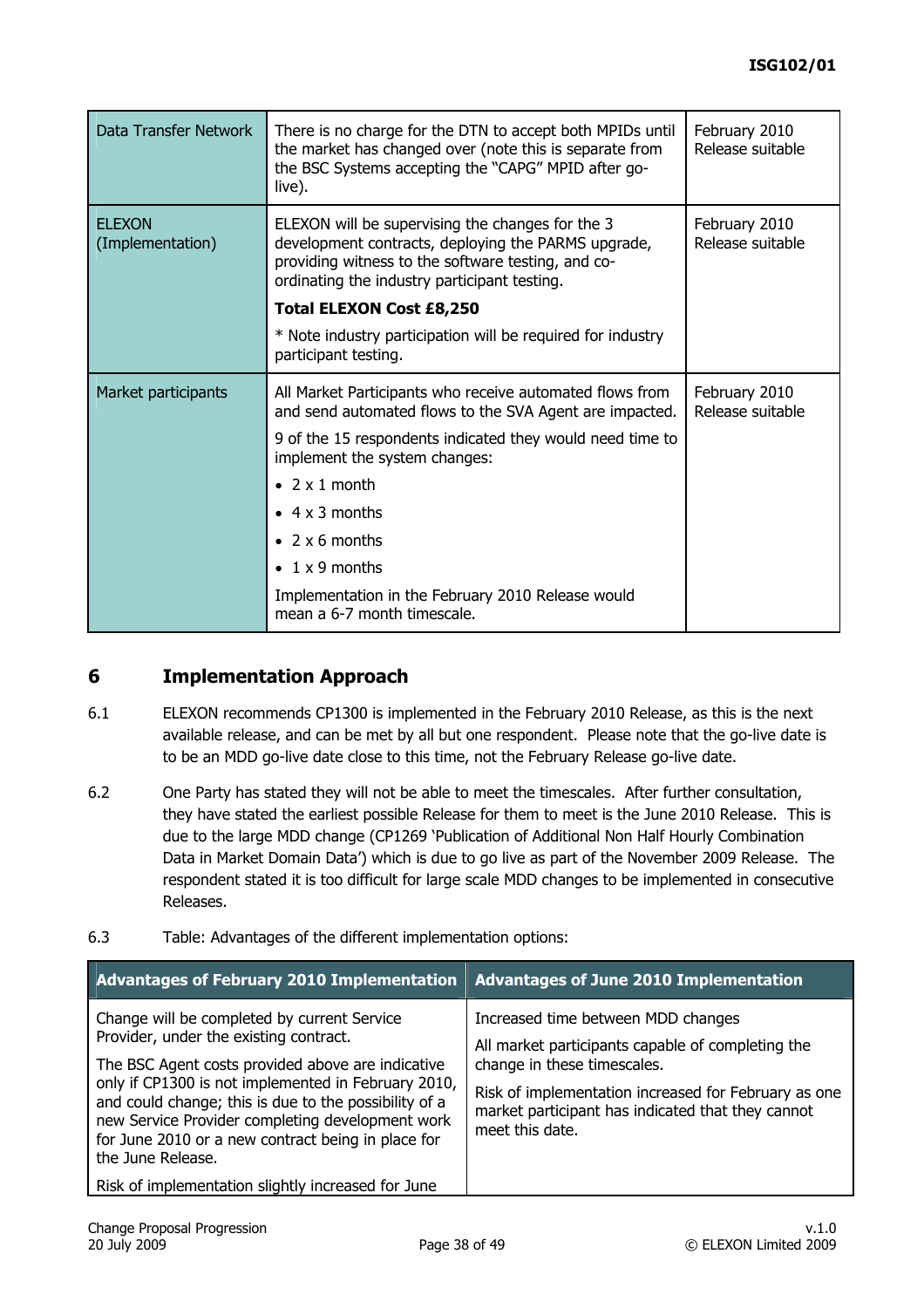| Data Transfer Network             | There is no charge for the DTN to accept both MPIDs until<br>the market has changed over (note this is separate from<br>the BSC Systems accepting the "CAPG" MPID after go-<br>live).                         | February 2010<br>Release suitable |
|-----------------------------------|---------------------------------------------------------------------------------------------------------------------------------------------------------------------------------------------------------------|-----------------------------------|
| <b>ELEXON</b><br>(Implementation) | ELEXON will be supervising the changes for the 3<br>development contracts, deploying the PARMS upgrade,<br>providing witness to the software testing, and co-<br>ordinating the industry participant testing. |                                   |
|                                   | <b>Total ELEXON Cost £8,250</b>                                                                                                                                                                               |                                   |
|                                   | * Note industry participation will be required for industry<br>participant testing.                                                                                                                           |                                   |
| Market participants               | All Market Participants who receive automated flows from<br>and send automated flows to the SVA Agent are impacted.                                                                                           | February 2010<br>Release suitable |
|                                   | 9 of the 15 respondents indicated they would need time to<br>implement the system changes:                                                                                                                    |                                   |
|                                   | • $2 \times 1$ month                                                                                                                                                                                          |                                   |
|                                   | $\bullet$ 4 x 3 months                                                                                                                                                                                        |                                   |
|                                   | $\bullet$ 2 x 6 months                                                                                                                                                                                        |                                   |
|                                   | $\bullet$ 1 x 9 months                                                                                                                                                                                        |                                   |
|                                   | Implementation in the February 2010 Release would<br>mean a 6-7 month timescale.                                                                                                                              |                                   |

# **6 Implementation Approach**

- 6.1 ELEXON recommends CP1300 is implemented in the February 2010 Release, as this is the next available release, and can be met by all but one respondent. Please note that the go-live date is to be an MDD go-live date close to this time, not the February Release go-live date.
- 6.2 One Party has stated they will not be able to meet the timescales. After further consultation, they have stated the earliest possible Release for them to meet is the June 2010 Release. This is due to the large MDD change (CP1269 'Publication of Additional Non Half Hourly Combination Data in Market Domain Data') which is due to go live as part of the November 2009 Release. The respondent stated it is too difficult for large scale MDD changes to be implemented in consecutive Releases.
- 6.3 Table: Advantages of the different implementation options:

| <b>Advantages of February 2010 Implementation</b>                                                                                                                                                                                                                                                                                                                                         | <b>Advantages of June 2010 Implementation</b>                                                                                                                                                                                                          |
|-------------------------------------------------------------------------------------------------------------------------------------------------------------------------------------------------------------------------------------------------------------------------------------------------------------------------------------------------------------------------------------------|--------------------------------------------------------------------------------------------------------------------------------------------------------------------------------------------------------------------------------------------------------|
| Change will be completed by current Service<br>Provider, under the existing contract.<br>The BSC Agent costs provided above are indicative<br>only if CP1300 is not implemented in February 2010,<br>and could change; this is due to the possibility of a<br>new Service Provider completing development work<br>for June 2010 or a new contract being in place for<br>the June Release. | Increased time between MDD changes<br>All market participants capable of completing the<br>change in these timescales.<br>Risk of implementation increased for February as one<br>market participant has indicated that they cannot<br>meet this date. |
| Risk of implementation slightly increased for June                                                                                                                                                                                                                                                                                                                                        |                                                                                                                                                                                                                                                        |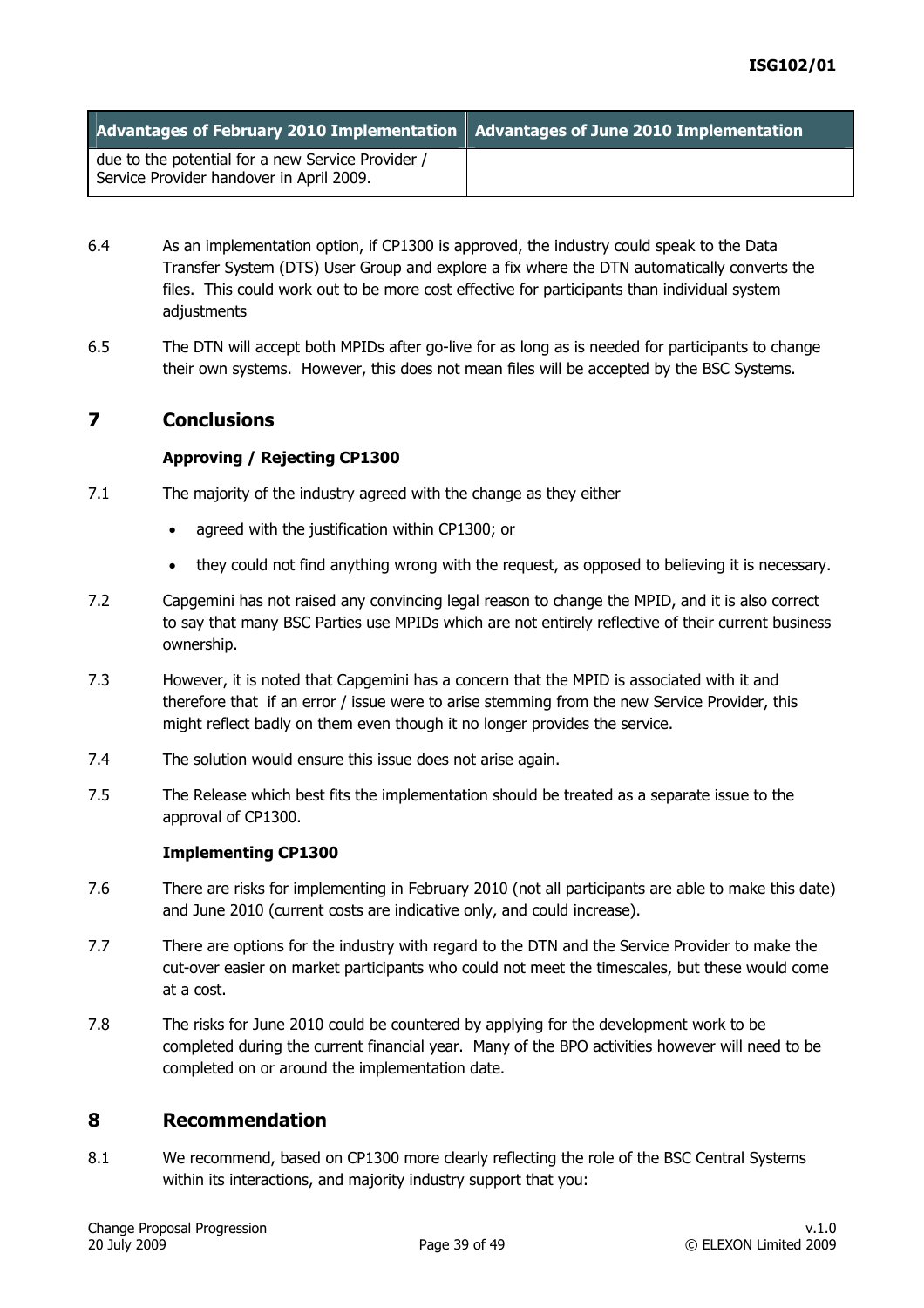| Advantages of February 2010 Implementation   Advantages of June 2010 Implementation           |  |
|-----------------------------------------------------------------------------------------------|--|
| due to the potential for a new Service Provider /<br>Service Provider handover in April 2009. |  |

- 6.4 As an implementation option, if CP1300 is approved, the industry could speak to the Data Transfer System (DTS) User Group and explore a fix where the DTN automatically converts the files. This could work out to be more cost effective for participants than individual system adjustments
- 6.5 The DTN will accept both MPIDs after go-live for as long as is needed for participants to change their own systems. However, this does not mean files will be accepted by the BSC Systems.

### **7 Conclusions**

### **Approving / Rejecting CP1300**

- 7.1 The majority of the industry agreed with the change as they either
	- agreed with the justification within CP1300; or
	- they could not find anything wrong with the request, as opposed to believing it is necessary.
- 7.2 Capgemini has not raised any convincing legal reason to change the MPID, and it is also correct to say that many BSC Parties use MPIDs which are not entirely reflective of their current business ownership.
- 7.3 However, it is noted that Capgemini has a concern that the MPID is associated with it and therefore that if an error / issue were to arise stemming from the new Service Provider, this might reflect badly on them even though it no longer provides the service.
- 7.4 The solution would ensure this issue does not arise again.
- 7.5 The Release which best fits the implementation should be treated as a separate issue to the approval of CP1300.

### **Implementing CP1300**

- 7.6 There are risks for implementing in February 2010 (not all participants are able to make this date) and June 2010 (current costs are indicative only, and could increase).
- 7.7 There are options for the industry with regard to the DTN and the Service Provider to make the cut-over easier on market participants who could not meet the timescales, but these would come at a cost.
- 7.8 The risks for June 2010 could be countered by applying for the development work to be completed during the current financial year. Many of the BPO activities however will need to be completed on or around the implementation date.

### **8 Recommendation**

8.1 We recommend, based on CP1300 more clearly reflecting the role of the BSC Central Systems within its interactions, and majority industry support that you: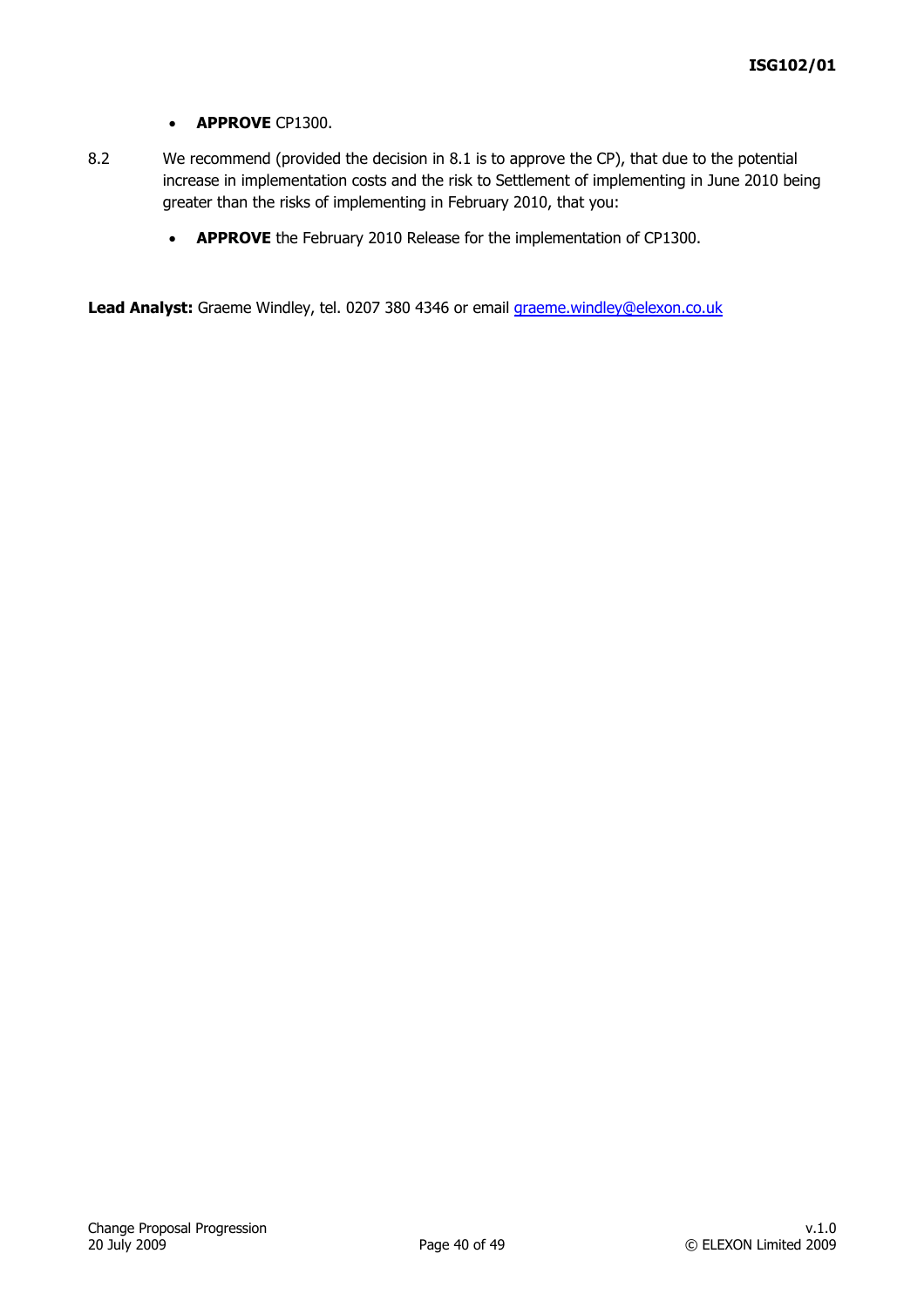#### • **APPROVE** CP1300.

- 8.2 We recommend (provided the decision in 8.1 is to approve the CP), that due to the potential increase in implementation costs and the risk to Settlement of implementing in June 2010 being greater than the risks of implementing in February 2010, that you:
	- **APPROVE** the February 2010 Release for the implementation of CP1300.

Lead Analyst: Graeme Windley, tel. 0207 380 4346 or email *graeme.windley@elexon.co.uk*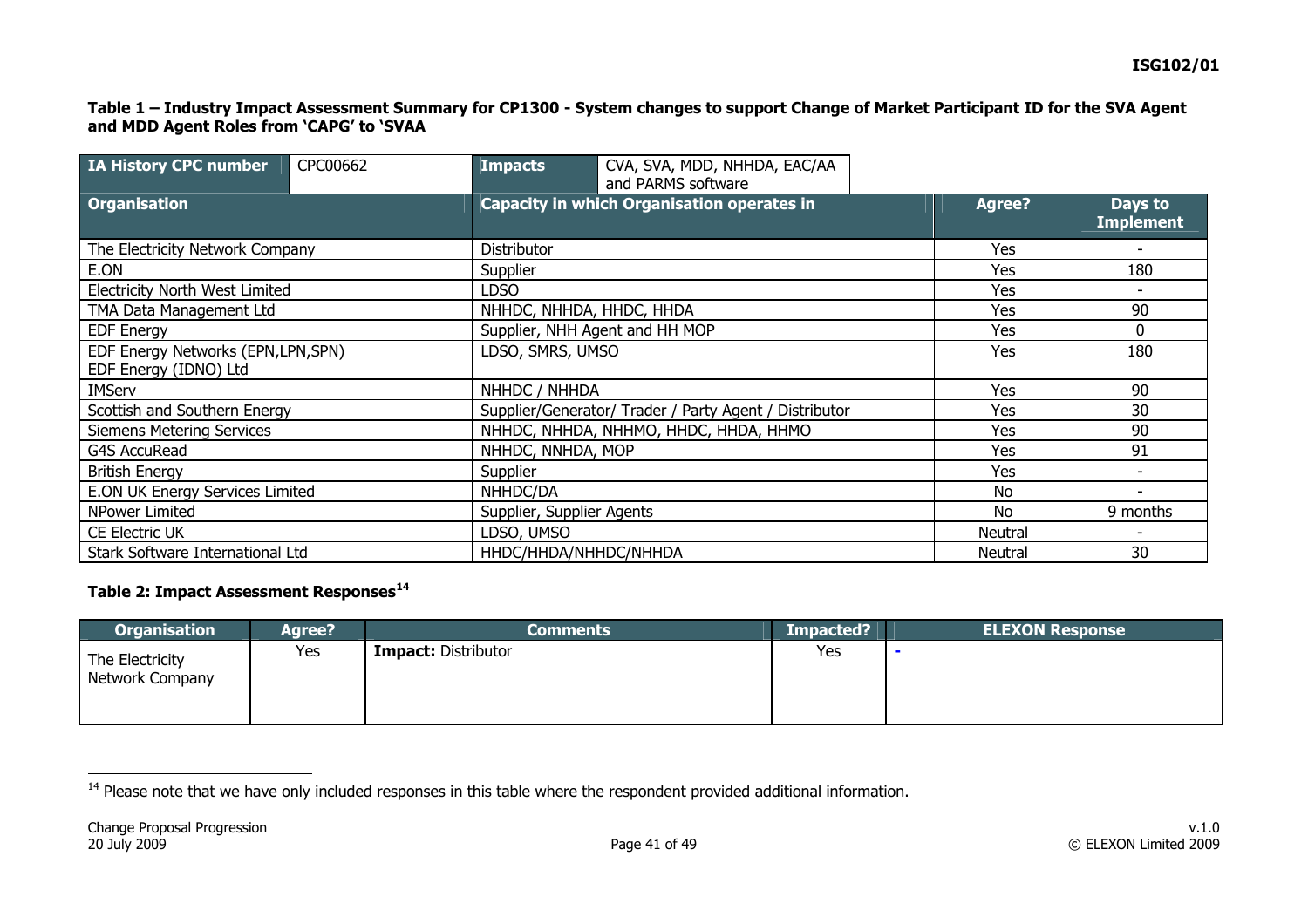#### **Table 1 – Industry Impact Assessment Summary for CP1300 - System changes to support Change of Market Participant ID for the SVA Agent and MDD Agent Roles from 'CAPG' to 'SVAA**

| IA History CPC number                                        | CPC00662 | <b>Impacts</b> | CVA, SVA, MDD, NHHDA, EAC/AA<br>and PARMS software     |     |                             |
|--------------------------------------------------------------|----------|----------------|--------------------------------------------------------|-----|-----------------------------|
| <b>Organisation</b>                                          |          |                | Capacity in which Organisation operates in             |     | Days to<br><b>Implement</b> |
| The Electricity Network Company                              |          | Distributor    |                                                        | Yes |                             |
| E.ON                                                         |          | Supplier       |                                                        | Yes | 180                         |
| <b>Electricity North West Limited</b>                        |          | LDSO           |                                                        | Yes |                             |
| TMA Data Management Ltd                                      |          |                | NHHDC, NHHDA, HHDC, HHDA                               | Yes | 90                          |
| <b>EDF Energy</b>                                            |          |                | Supplier, NHH Agent and HH MOP                         | Yes | $\mathbf 0$                 |
| EDF Energy Networks (EPN, LPN, SPN)<br>EDF Energy (IDNO) Ltd |          |                | LDSO, SMRS, UMSO                                       |     | 180                         |
| <b>IMServ</b>                                                |          |                | NHHDC / NHHDA                                          |     | 90                          |
| Scottish and Southern Energy                                 |          |                | Supplier/Generator/ Trader / Party Agent / Distributor |     | 30                          |
| <b>Siemens Metering Services</b>                             |          |                | NHHDC, NHHDA, NHHMO, HHDC, HHDA, HHMO                  |     | 90                          |
| <b>G4S AccuRead</b>                                          |          |                | NHHDC, NNHDA, MOP                                      |     | 91                          |
| <b>British Energy</b>                                        |          | Supplier       |                                                        |     | $\overline{\phantom{a}}$    |
| E.ON UK Energy Services Limited                              |          | NHHDC/DA       |                                                        |     |                             |
| NPower Limited                                               |          |                | Supplier, Supplier Agents                              |     | 9 months                    |
| <b>CE Electric UK</b>                                        |          | LDSO, UMSO     |                                                        |     |                             |
| Stark Software International Ltd                             |          |                | HHDC/HHDA/NHHDC/NHHDA                                  |     | 30                          |

### **Table 2: Impact Assessment Responses[14](#page-40-0)**

| <b>Organisation</b>                | <b>Agree?</b> | <b>Comments</b>            | Impacted? | <b>ELEXON Response</b> |
|------------------------------------|---------------|----------------------------|-----------|------------------------|
| The Electricity<br>Network Company | Yes           | <b>Impact: Distributor</b> | Yes       |                        |

<span id="page-40-0"></span><sup>&</sup>lt;sup>14</sup> Please note that we have only included responses in this table where the respondent provided additional information.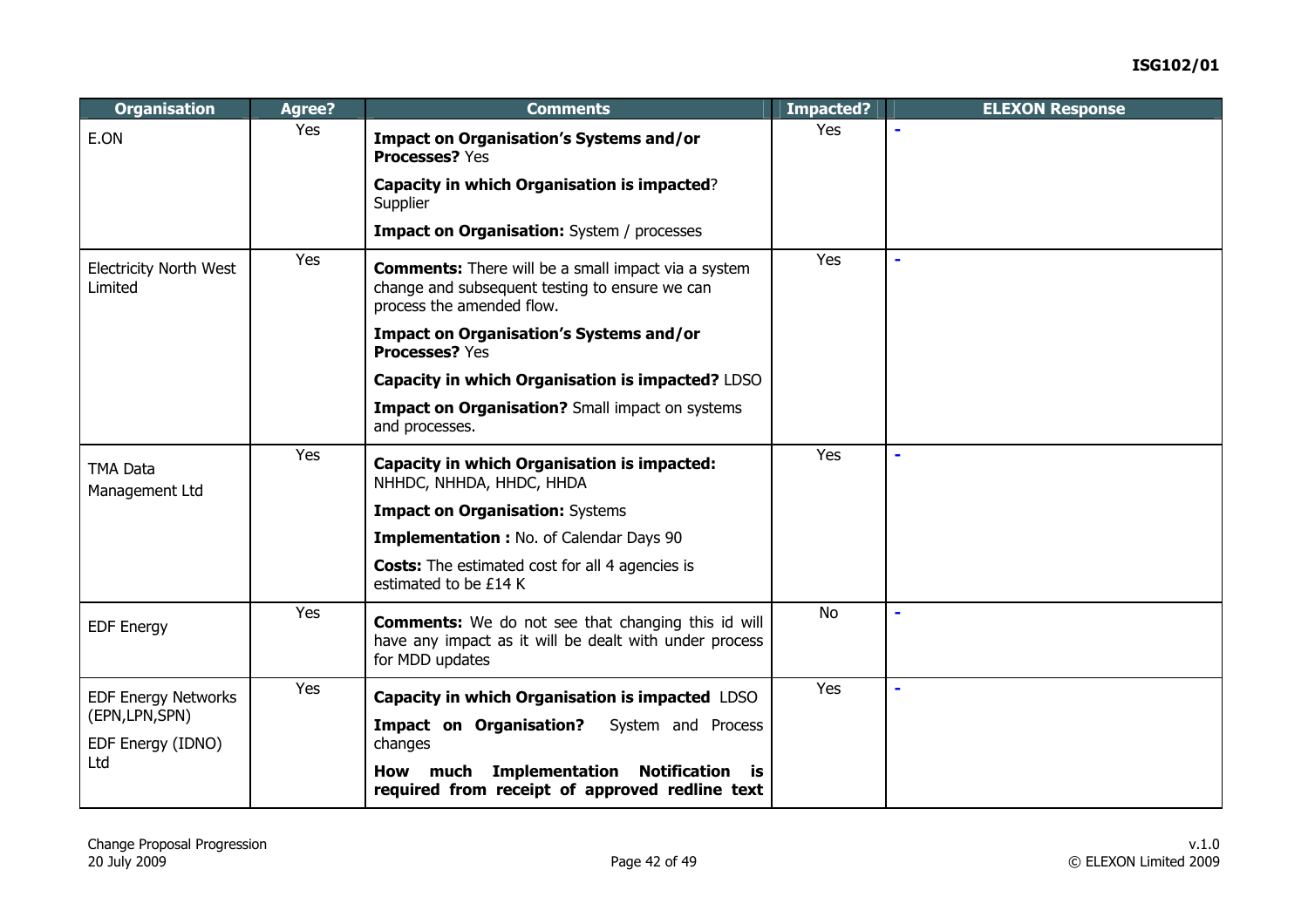| <b>Organisation</b>                      | Agree? | <b>Comments</b>                                                                                                                           | Impacted? | <b>ELEXON Response</b> |
|------------------------------------------|--------|-------------------------------------------------------------------------------------------------------------------------------------------|-----------|------------------------|
| E.ON                                     | Yes    | <b>Impact on Organisation's Systems and/or</b><br><b>Processes? Yes</b>                                                                   | Yes       |                        |
|                                          |        | Capacity in which Organisation is impacted?<br>Supplier                                                                                   |           |                        |
|                                          |        | <b>Impact on Organisation:</b> System / processes                                                                                         |           |                        |
| <b>Electricity North West</b><br>Limited | Yes    | <b>Comments:</b> There will be a small impact via a system<br>change and subsequent testing to ensure we can<br>process the amended flow. | Yes       | L,                     |
|                                          |        | <b>Impact on Organisation's Systems and/or</b><br><b>Processes? Yes</b>                                                                   |           |                        |
|                                          |        | Capacity in which Organisation is impacted? LDSO                                                                                          |           |                        |
|                                          |        | Impact on Organisation? Small impact on systems<br>and processes.                                                                         |           |                        |
| <b>TMA Data</b><br>Management Ltd        | Yes    | <b>Capacity in which Organisation is impacted:</b><br>NHHDC, NHHDA, HHDC, HHDA                                                            | Yes       | L,                     |
|                                          |        | <b>Impact on Organisation: Systems</b>                                                                                                    |           |                        |
|                                          |        | Implementation : No. of Calendar Days 90                                                                                                  |           |                        |
|                                          |        | <b>Costs:</b> The estimated cost for all 4 agencies is<br>estimated to be £14 K                                                           |           |                        |
| <b>EDF Energy</b>                        | Yes    | <b>Comments:</b> We do not see that changing this id will<br>have any impact as it will be dealt with under process<br>for MDD updates    | <b>No</b> | $\blacksquare$         |
| <b>EDF Energy Networks</b>               | Yes    | Capacity in which Organisation is impacted LDSO                                                                                           | Yes       | ÷.                     |
| (EPN, LPN, SPN)<br>EDF Energy (IDNO)     |        | <b>Impact on Organisation?</b><br>System and Process<br>changes                                                                           |           |                        |
| Ltd                                      |        | How much Implementation Notification is<br>required from receipt of approved redline text                                                 |           |                        |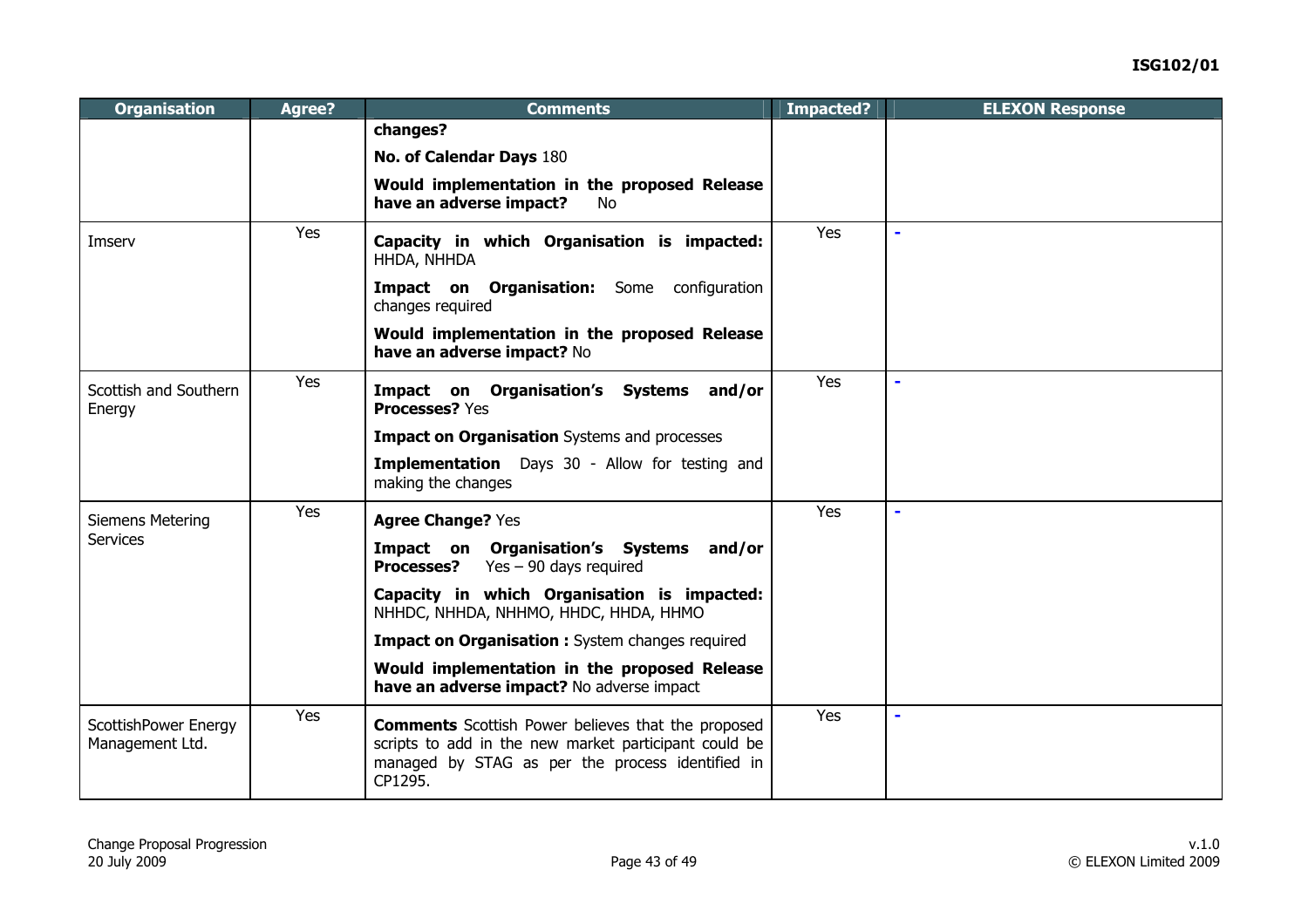| <b>Organisation</b>                     | Agree? | <b>Comments</b>                                                                                                                                                                   | Impacted? | <b>ELEXON Response</b> |
|-----------------------------------------|--------|-----------------------------------------------------------------------------------------------------------------------------------------------------------------------------------|-----------|------------------------|
|                                         |        | changes?                                                                                                                                                                          |           |                        |
|                                         |        | No. of Calendar Days 180                                                                                                                                                          |           |                        |
|                                         |        | Would implementation in the proposed Release<br>have an adverse impact?<br><b>No</b>                                                                                              |           |                        |
| Imserv                                  | Yes    | Capacity in which Organisation is impacted:<br>HHDA, NHHDA                                                                                                                        | Yes       | $\blacksquare$         |
|                                         |        | Impact on Organisation: Some configuration<br>changes required                                                                                                                    |           |                        |
|                                         |        | Would implementation in the proposed Release<br>have an adverse impact? No                                                                                                        |           |                        |
| Scottish and Southern<br>Energy         | Yes    | Impact on Organisation's Systems and/or<br><b>Processes? Yes</b>                                                                                                                  | Yes       | $\blacksquare$         |
|                                         |        | <b>Impact on Organisation</b> Systems and processes                                                                                                                               |           |                        |
|                                         |        | <b>Implementation</b> Days 30 - Allow for testing and<br>making the changes                                                                                                       |           |                        |
| Siemens Metering                        | Yes    | <b>Agree Change? Yes</b>                                                                                                                                                          | Yes       | ۰                      |
| <b>Services</b>                         |        | Impact on Organisation's Systems and/or<br>Yes $-90$ days required<br><b>Processes?</b>                                                                                           |           |                        |
|                                         |        | Capacity in which Organisation is impacted:<br>NHHDC, NHHDA, NHHMO, HHDC, HHDA, HHMO                                                                                              |           |                        |
|                                         |        | <b>Impact on Organisation :</b> System changes required                                                                                                                           |           |                        |
|                                         |        | Would implementation in the proposed Release<br>have an adverse impact? No adverse impact                                                                                         |           |                        |
| ScottishPower Energy<br>Management Ltd. | Yes    | <b>Comments</b> Scottish Power believes that the proposed<br>scripts to add in the new market participant could be<br>managed by STAG as per the process identified in<br>CP1295. | Yes       |                        |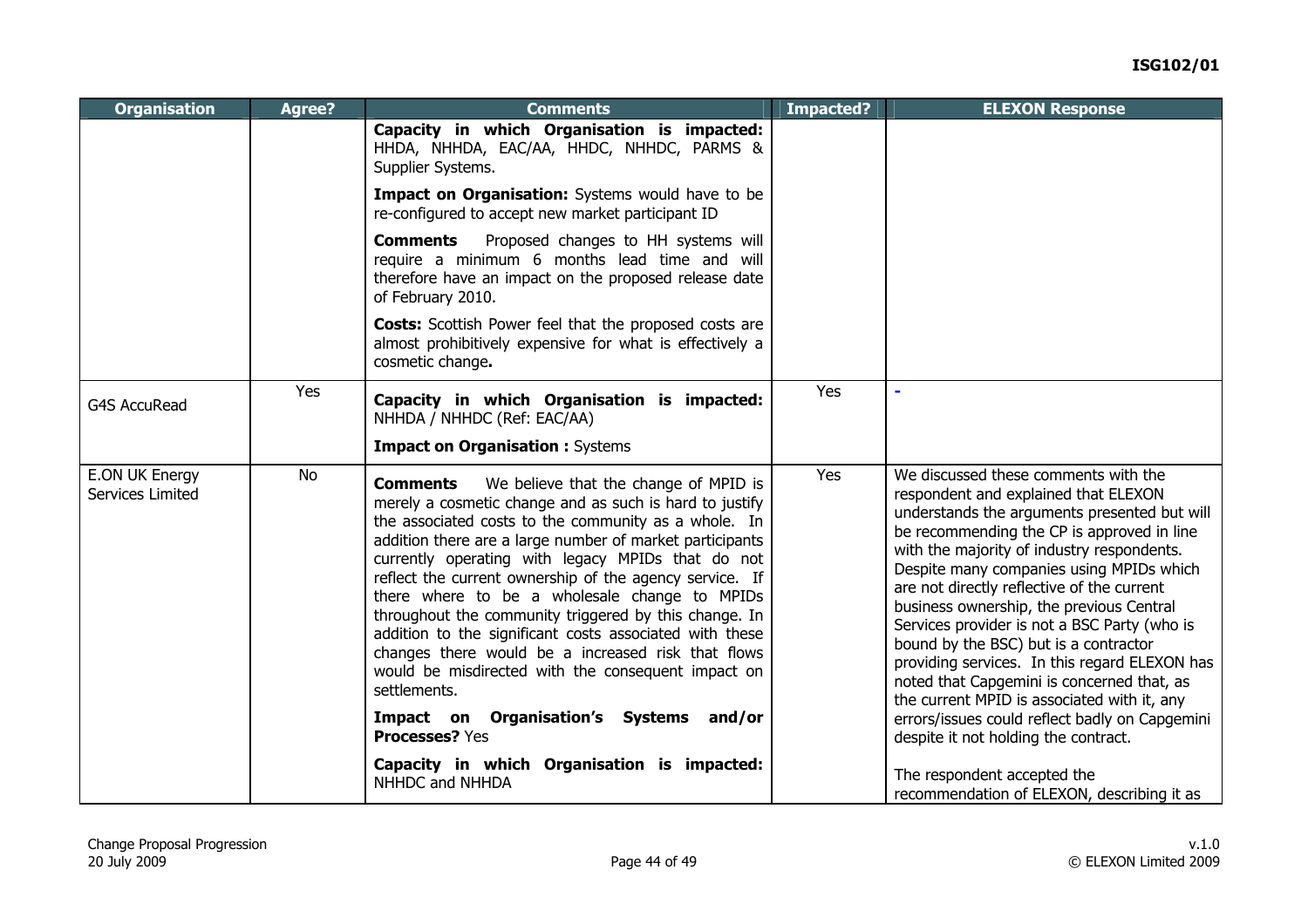| <b>Organisation</b>                | Agree?    | <b>Comments</b>                                                                                                                                                                                                                                                                                                                                                                                                                                                                                                                                                                                                                                          | <b>Impacted?</b> | <b>ELEXON Response</b>                                                                                                                                                                                                                                                                                                                                                                                                                                                                                                                                                                                |
|------------------------------------|-----------|----------------------------------------------------------------------------------------------------------------------------------------------------------------------------------------------------------------------------------------------------------------------------------------------------------------------------------------------------------------------------------------------------------------------------------------------------------------------------------------------------------------------------------------------------------------------------------------------------------------------------------------------------------|------------------|-------------------------------------------------------------------------------------------------------------------------------------------------------------------------------------------------------------------------------------------------------------------------------------------------------------------------------------------------------------------------------------------------------------------------------------------------------------------------------------------------------------------------------------------------------------------------------------------------------|
|                                    |           | Capacity in which Organisation is impacted:<br>HHDA, NHHDA, EAC/AA, HHDC, NHHDC, PARMS &<br>Supplier Systems.                                                                                                                                                                                                                                                                                                                                                                                                                                                                                                                                            |                  |                                                                                                                                                                                                                                                                                                                                                                                                                                                                                                                                                                                                       |
|                                    |           | Impact on Organisation: Systems would have to be<br>re-configured to accept new market participant ID                                                                                                                                                                                                                                                                                                                                                                                                                                                                                                                                                    |                  |                                                                                                                                                                                                                                                                                                                                                                                                                                                                                                                                                                                                       |
|                                    |           | Proposed changes to HH systems will<br><b>Comments</b><br>require a minimum 6 months lead time and will<br>therefore have an impact on the proposed release date<br>of February 2010.                                                                                                                                                                                                                                                                                                                                                                                                                                                                    |                  |                                                                                                                                                                                                                                                                                                                                                                                                                                                                                                                                                                                                       |
|                                    |           | <b>Costs:</b> Scottish Power feel that the proposed costs are<br>almost prohibitively expensive for what is effectively a<br>cosmetic change.                                                                                                                                                                                                                                                                                                                                                                                                                                                                                                            |                  |                                                                                                                                                                                                                                                                                                                                                                                                                                                                                                                                                                                                       |
| <b>G4S AccuRead</b>                | Yes       | Capacity in which Organisation is impacted:<br>NHHDA / NHHDC (Ref: EAC/AA)                                                                                                                                                                                                                                                                                                                                                                                                                                                                                                                                                                               | Yes              |                                                                                                                                                                                                                                                                                                                                                                                                                                                                                                                                                                                                       |
|                                    |           | <b>Impact on Organisation: Systems</b>                                                                                                                                                                                                                                                                                                                                                                                                                                                                                                                                                                                                                   |                  |                                                                                                                                                                                                                                                                                                                                                                                                                                                                                                                                                                                                       |
| E.ON UK Energy<br>Services Limited | <b>No</b> | We believe that the change of MPID is<br><b>Comments</b><br>merely a cosmetic change and as such is hard to justify<br>the associated costs to the community as a whole. In<br>addition there are a large number of market participants<br>currently operating with legacy MPIDs that do not<br>reflect the current ownership of the agency service. If<br>there where to be a wholesale change to MPIDs<br>throughout the community triggered by this change. In<br>addition to the significant costs associated with these<br>changes there would be a increased risk that flows<br>would be misdirected with the consequent impact on<br>settlements. | Yes              | We discussed these comments with the<br>respondent and explained that ELEXON<br>understands the arguments presented but will<br>be recommending the CP is approved in line<br>with the majority of industry respondents.<br>Despite many companies using MPIDs which<br>are not directly reflective of the current<br>business ownership, the previous Central<br>Services provider is not a BSC Party (who is<br>bound by the BSC) but is a contractor<br>providing services. In this regard ELEXON has<br>noted that Capgemini is concerned that, as<br>the current MPID is associated with it, any |
|                                    |           | Impact on Organisation's Systems and/or<br><b>Processes?</b> Yes                                                                                                                                                                                                                                                                                                                                                                                                                                                                                                                                                                                         |                  | errors/issues could reflect badly on Capgemini<br>despite it not holding the contract.                                                                                                                                                                                                                                                                                                                                                                                                                                                                                                                |
|                                    |           | Capacity in which Organisation is impacted:<br>NHHDC and NHHDA                                                                                                                                                                                                                                                                                                                                                                                                                                                                                                                                                                                           |                  | The respondent accepted the<br>recommendation of ELEXON, describing it as                                                                                                                                                                                                                                                                                                                                                                                                                                                                                                                             |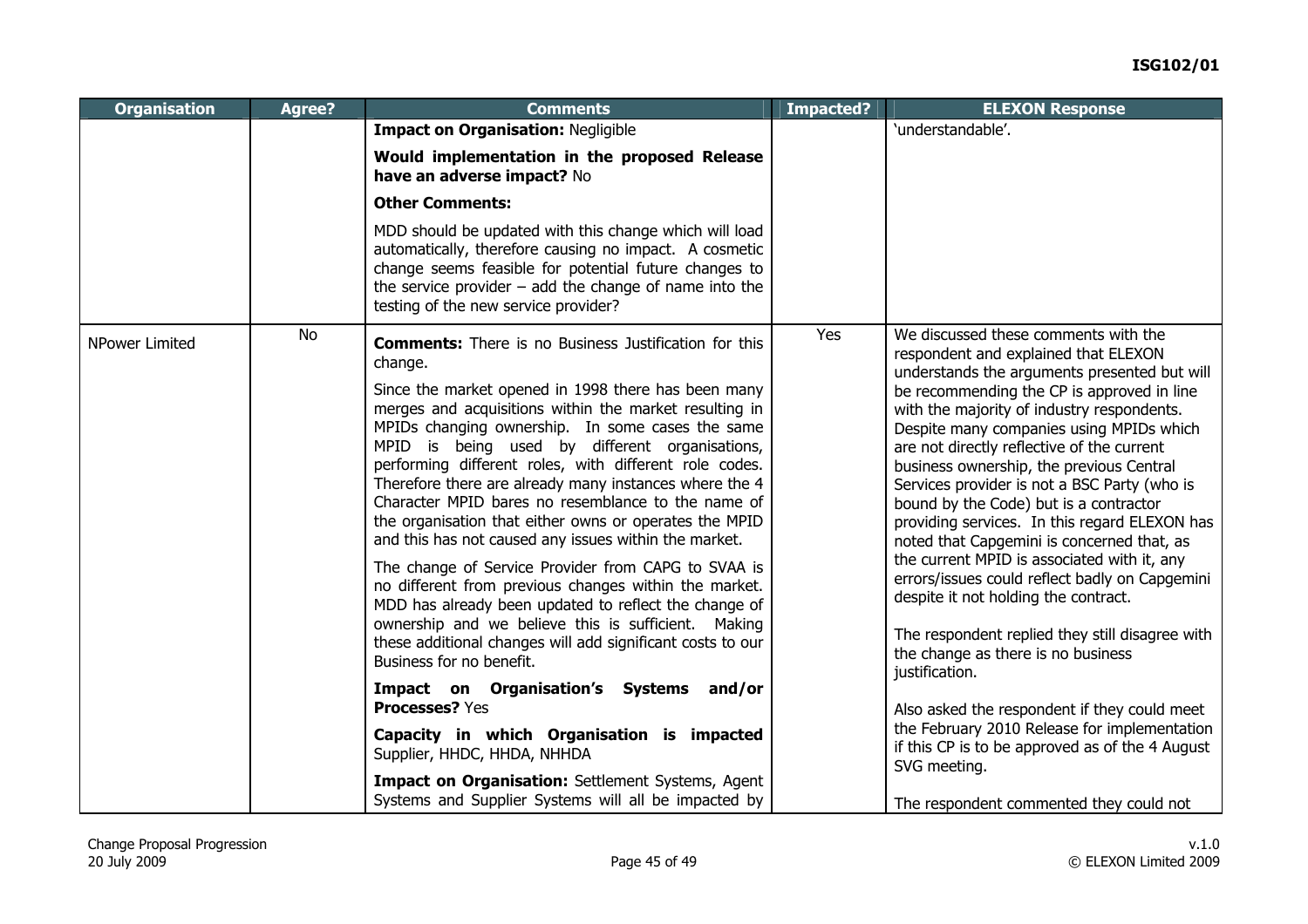| <b>Organisation</b>   | Agree?    | <b>Comments</b>                                                                                                                                                                                                                                                                                                                                                                                                                                                                                                  | <b>Impacted?</b> | <b>ELEXON Response</b>                                                                                                                                                                                                                                                                                                                                                                                                                                                 |
|-----------------------|-----------|------------------------------------------------------------------------------------------------------------------------------------------------------------------------------------------------------------------------------------------------------------------------------------------------------------------------------------------------------------------------------------------------------------------------------------------------------------------------------------------------------------------|------------------|------------------------------------------------------------------------------------------------------------------------------------------------------------------------------------------------------------------------------------------------------------------------------------------------------------------------------------------------------------------------------------------------------------------------------------------------------------------------|
|                       |           | <b>Impact on Organisation: Negligible</b>                                                                                                                                                                                                                                                                                                                                                                                                                                                                        |                  | 'understandable'.                                                                                                                                                                                                                                                                                                                                                                                                                                                      |
|                       |           | Would implementation in the proposed Release<br>have an adverse impact? No                                                                                                                                                                                                                                                                                                                                                                                                                                       |                  |                                                                                                                                                                                                                                                                                                                                                                                                                                                                        |
|                       |           | <b>Other Comments:</b>                                                                                                                                                                                                                                                                                                                                                                                                                                                                                           |                  |                                                                                                                                                                                                                                                                                                                                                                                                                                                                        |
|                       |           | MDD should be updated with this change which will load<br>automatically, therefore causing no impact. A cosmetic<br>change seems feasible for potential future changes to<br>the service provider $-$ add the change of name into the<br>testing of the new service provider?                                                                                                                                                                                                                                    |                  |                                                                                                                                                                                                                                                                                                                                                                                                                                                                        |
| <b>NPower Limited</b> | <b>No</b> | <b>Comments:</b> There is no Business Justification for this<br>change.                                                                                                                                                                                                                                                                                                                                                                                                                                          | Yes              | We discussed these comments with the<br>respondent and explained that ELEXON<br>understands the arguments presented but will                                                                                                                                                                                                                                                                                                                                           |
|                       |           | Since the market opened in 1998 there has been many<br>merges and acquisitions within the market resulting in<br>MPIDs changing ownership. In some cases the same<br>MPID is being used by different organisations,<br>performing different roles, with different role codes.<br>Therefore there are already many instances where the 4<br>Character MPID bares no resemblance to the name of<br>the organisation that either owns or operates the MPID<br>and this has not caused any issues within the market. |                  | be recommending the CP is approved in line<br>with the majority of industry respondents.<br>Despite many companies using MPIDs which<br>are not directly reflective of the current<br>business ownership, the previous Central<br>Services provider is not a BSC Party (who is<br>bound by the Code) but is a contractor<br>providing services. In this regard ELEXON has<br>noted that Capgemini is concerned that, as<br>the current MPID is associated with it, any |
|                       |           | The change of Service Provider from CAPG to SVAA is<br>no different from previous changes within the market.<br>MDD has already been updated to reflect the change of<br>ownership and we believe this is sufficient. Making<br>these additional changes will add significant costs to our<br>Business for no benefit.                                                                                                                                                                                           |                  | errors/issues could reflect badly on Capgemini<br>despite it not holding the contract.<br>The respondent replied they still disagree with<br>the change as there is no business<br>justification.                                                                                                                                                                                                                                                                      |
|                       |           | Impact on Organisation's Systems and/or<br><b>Processes? Yes</b>                                                                                                                                                                                                                                                                                                                                                                                                                                                 |                  | Also asked the respondent if they could meet                                                                                                                                                                                                                                                                                                                                                                                                                           |
|                       |           | Capacity in which Organisation is impacted<br>Supplier, HHDC, HHDA, NHHDA                                                                                                                                                                                                                                                                                                                                                                                                                                        |                  | the February 2010 Release for implementation<br>if this CP is to be approved as of the 4 August<br>SVG meeting.                                                                                                                                                                                                                                                                                                                                                        |
|                       |           | Impact on Organisation: Settlement Systems, Agent<br>Systems and Supplier Systems will all be impacted by                                                                                                                                                                                                                                                                                                                                                                                                        |                  | The respondent commented they could not                                                                                                                                                                                                                                                                                                                                                                                                                                |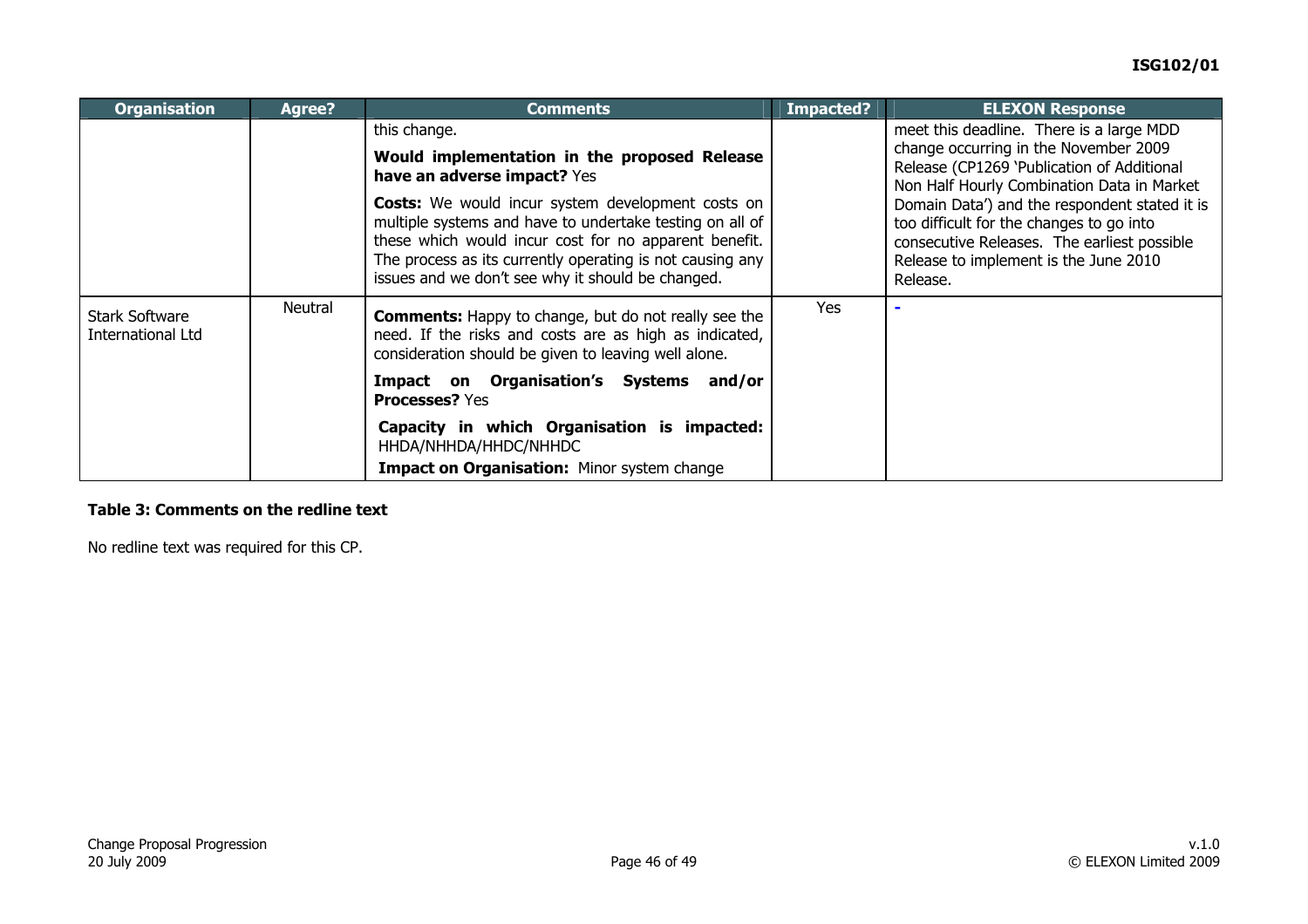| <b>Organisation</b>                        | <b>Agree?</b> | <b>Comments</b>                                                                                                                                                                                                                                                                                 | Impacted? | <b>ELEXON Response</b>                                                                                                                                                                        |
|--------------------------------------------|---------------|-------------------------------------------------------------------------------------------------------------------------------------------------------------------------------------------------------------------------------------------------------------------------------------------------|-----------|-----------------------------------------------------------------------------------------------------------------------------------------------------------------------------------------------|
|                                            |               | this change.                                                                                                                                                                                                                                                                                    |           | meet this deadline. There is a large MDD<br>change occurring in the November 2009                                                                                                             |
|                                            |               | Would implementation in the proposed Release<br>have an adverse impact? Yes                                                                                                                                                                                                                     |           | Release (CP1269 'Publication of Additional<br>Non Half Hourly Combination Data in Market                                                                                                      |
|                                            |               | <b>Costs:</b> We would incur system development costs on<br>multiple systems and have to undertake testing on all of<br>these which would incur cost for no apparent benefit.<br>The process as its currently operating is not causing any<br>issues and we don't see why it should be changed. |           | Domain Data') and the respondent stated it is<br>too difficult for the changes to go into<br>consecutive Releases. The earliest possible<br>Release to implement is the June 2010<br>Release. |
| <b>Stark Software</b><br>International Ltd | Neutral       | <b>Comments:</b> Happy to change, but do not really see the<br>need. If the risks and costs are as high as indicated,<br>consideration should be given to leaving well alone.                                                                                                                   | Yes       |                                                                                                                                                                                               |
|                                            |               | <b>Impact on Organisation's Systems</b><br>and/or<br><b>Processes? Yes</b>                                                                                                                                                                                                                      |           |                                                                                                                                                                                               |
|                                            |               | Capacity in which Organisation is impacted:<br>HHDA/NHHDA/HHDC/NHHDC                                                                                                                                                                                                                            |           |                                                                                                                                                                                               |
|                                            |               | Impact on Organisation: Minor system change                                                                                                                                                                                                                                                     |           |                                                                                                                                                                                               |

#### **Table 3: Comments on the redline text**

No redline text was required for this CP.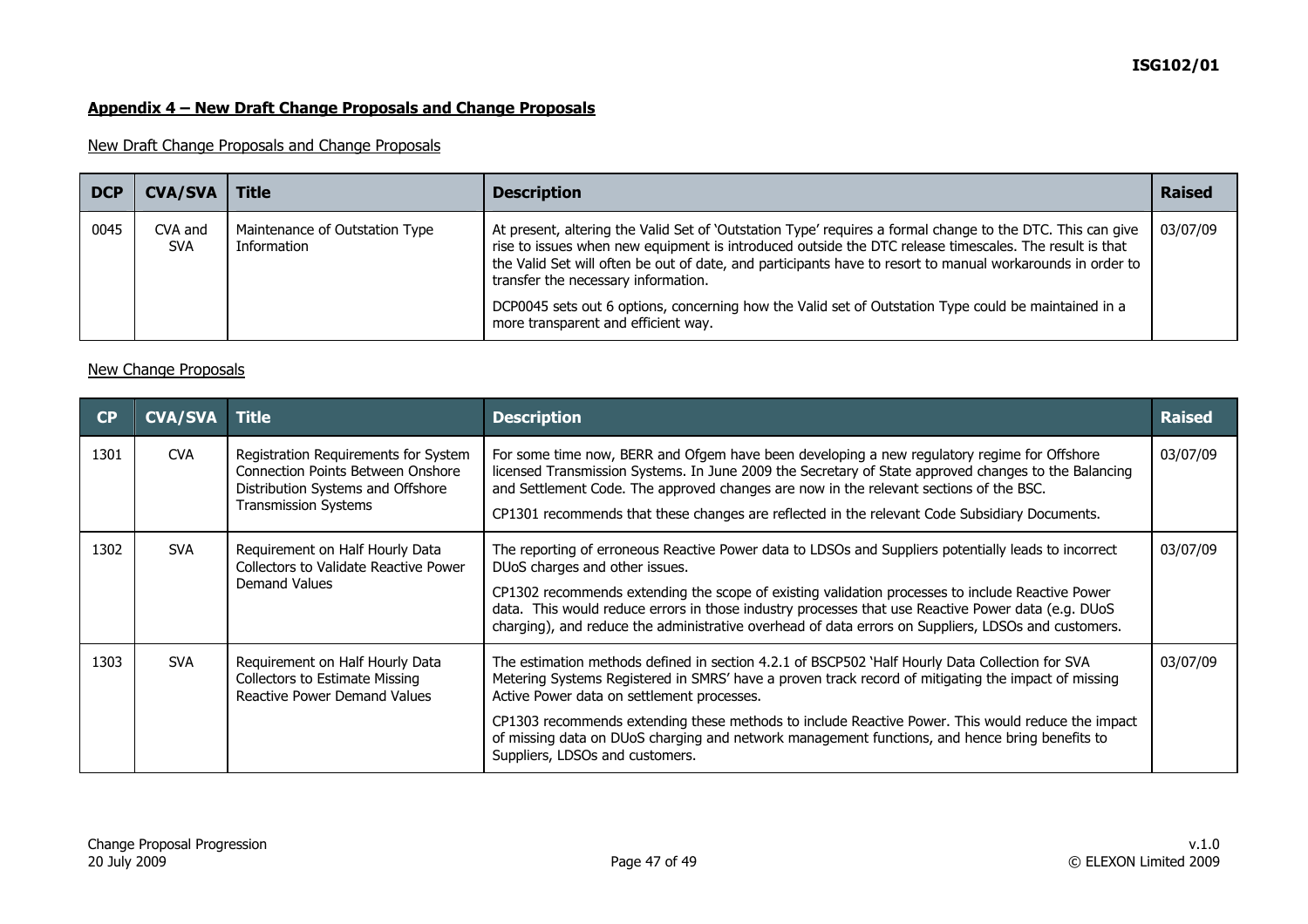# **ISG102/01**

### **Appendix 4 – New Draft Change Proposals and Change Proposals**

### New Draft Change Proposals and Change Proposals

| <b>DCP</b> | <b>CVA/SVA</b>        | <b>Title</b>                                  | <b>Description</b>                                                                                                                                                                                                                                                                                                                                                                                                                                                                                                       | <b>Raised</b> |
|------------|-----------------------|-----------------------------------------------|--------------------------------------------------------------------------------------------------------------------------------------------------------------------------------------------------------------------------------------------------------------------------------------------------------------------------------------------------------------------------------------------------------------------------------------------------------------------------------------------------------------------------|---------------|
| 0045       | CVA and<br><b>SVA</b> | Maintenance of Outstation Type<br>Information | At present, altering the Valid Set of `Outstation Type' requires a formal change to the DTC. This can give<br>rise to issues when new equipment is introduced outside the DTC release timescales. The result is that<br>the Valid Set will often be out of date, and participants have to resort to manual workarounds in order to<br>transfer the necessary information.<br>DCP0045 sets out 6 options, concerning how the Valid set of Outstation Type could be maintained in a<br>more transparent and efficient way. | 03/07/09      |

#### New Change Proposals

| CP   | <b>CVA/SVA</b> | ∣ Title                                                                                                                                              | <b>Description</b>                                                                                                                                                                                                                                                                                                                                                                                                                                                                             | <b>Raised</b> |
|------|----------------|------------------------------------------------------------------------------------------------------------------------------------------------------|------------------------------------------------------------------------------------------------------------------------------------------------------------------------------------------------------------------------------------------------------------------------------------------------------------------------------------------------------------------------------------------------------------------------------------------------------------------------------------------------|---------------|
| 1301 | <b>CVA</b>     | Registration Requirements for System<br><b>Connection Points Between Onshore</b><br>Distribution Systems and Offshore<br><b>Transmission Systems</b> | For some time now, BERR and Ofgem have been developing a new regulatory regime for Offshore<br>licensed Transmission Systems. In June 2009 the Secretary of State approved changes to the Balancing<br>and Settlement Code. The approved changes are now in the relevant sections of the BSC.<br>CP1301 recommends that these changes are reflected in the relevant Code Subsidiary Documents.                                                                                                 | 03/07/09      |
| 1302 | <b>SVA</b>     | Requirement on Half Hourly Data<br>Collectors to Validate Reactive Power<br>Demand Values                                                            | The reporting of erroneous Reactive Power data to LDSOs and Suppliers potentially leads to incorrect<br>DUoS charges and other issues.<br>CP1302 recommends extending the scope of existing validation processes to include Reactive Power<br>data. This would reduce errors in those industry processes that use Reactive Power data (e.g. DUoS<br>charging), and reduce the administrative overhead of data errors on Suppliers, LDSOs and customers.                                        | 03/07/09      |
| 1303 | <b>SVA</b>     | Requirement on Half Hourly Data<br><b>Collectors to Estimate Missing</b><br><b>Reactive Power Demand Values</b>                                      | The estimation methods defined in section 4.2.1 of BSCP502 'Half Hourly Data Collection for SVA<br>Metering Systems Registered in SMRS' have a proven track record of mitigating the impact of missing<br>Active Power data on settlement processes.<br>CP1303 recommends extending these methods to include Reactive Power. This would reduce the impact<br>of missing data on DUoS charging and network management functions, and hence bring benefits to<br>Suppliers, LDSOs and customers. | 03/07/09      |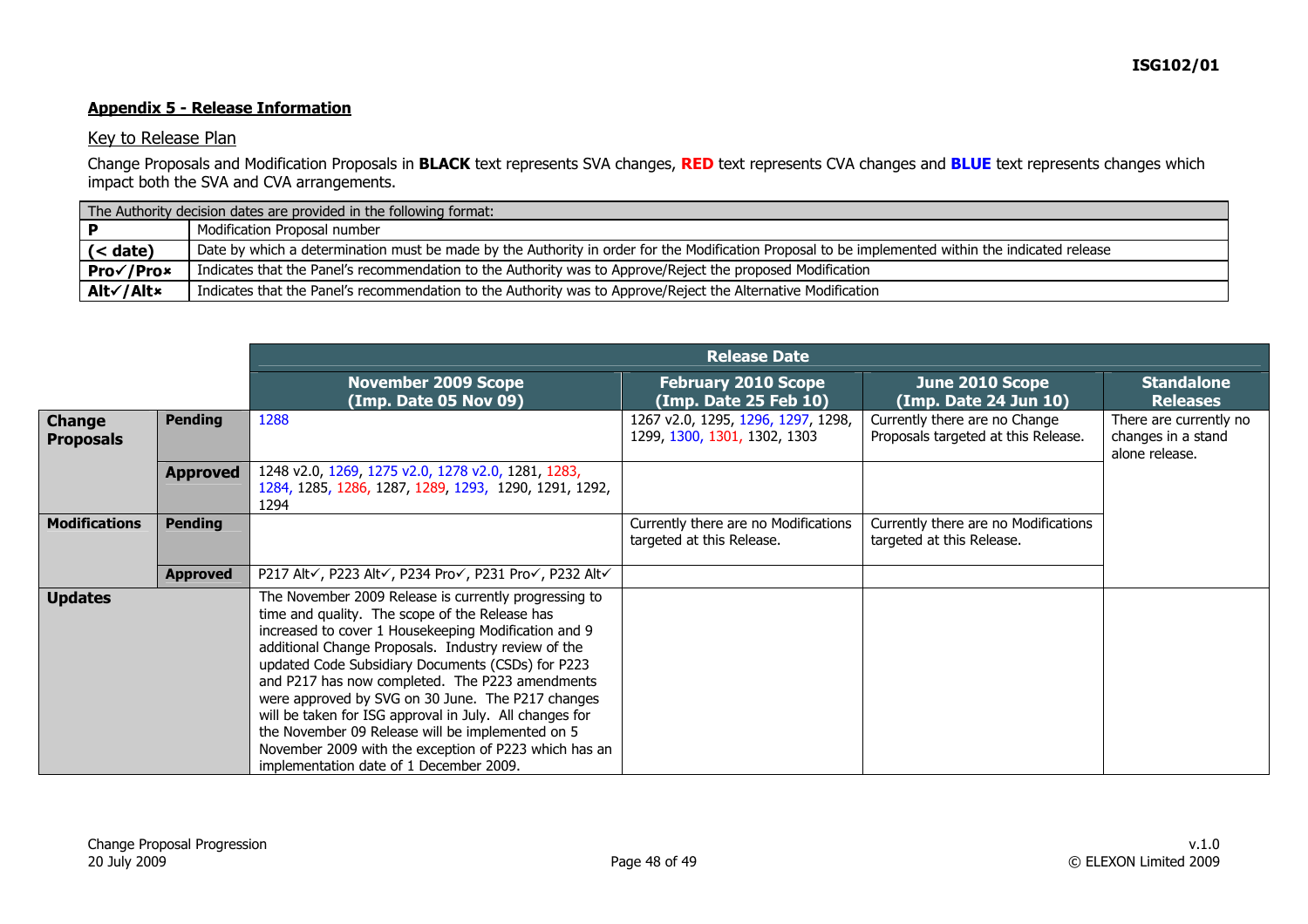### **Appendix 5 - Release Information**

#### Key to Release Plan

Change Proposals and Modification Proposals in **BLACK** text represents SVA changes, **RED** text represents CVA changes and **BLUE** text represents changes which impact both the SVA and CVA arrangements.

| The Authority decision dates are provided in the following format: |                                                                                                                                                   |  |  |  |
|--------------------------------------------------------------------|---------------------------------------------------------------------------------------------------------------------------------------------------|--|--|--|
|                                                                    | Modification Proposal number                                                                                                                      |  |  |  |
| $\leq$ date)                                                       | Date by which a determination must be made by the Authority in order for the Modification Proposal to be implemented within the indicated release |  |  |  |
| Pro√/Pro×                                                          | Indicates that the Panel's recommendation to the Authority was to Approve/Reject the proposed Modification                                        |  |  |  |
| Alt√/Alt×                                                          | Indicates that the Panel's recommendation to the Authority was to Approve/Reject the Alternative Modification                                     |  |  |  |

|                                   |                 | <b>Release Date</b>                                                                                                                                                                                                                                                                                                                                                                                                                                                                                                                                                                                    |                                                                    |                                                                      |                                                                |  |  |  |  |
|-----------------------------------|-----------------|--------------------------------------------------------------------------------------------------------------------------------------------------------------------------------------------------------------------------------------------------------------------------------------------------------------------------------------------------------------------------------------------------------------------------------------------------------------------------------------------------------------------------------------------------------------------------------------------------------|--------------------------------------------------------------------|----------------------------------------------------------------------|----------------------------------------------------------------|--|--|--|--|
|                                   |                 | <b>November 2009 Scope</b><br>(Imp. Date 05 Nov 09)                                                                                                                                                                                                                                                                                                                                                                                                                                                                                                                                                    | <b>February 2010 Scope</b><br>(Imp. Date 25 Feb 10)                | June 2010 Scope<br>(Imp. Date 24 Jun 10)                             | <b>Standalone</b><br><b>Releases</b>                           |  |  |  |  |
| <b>Change</b><br><b>Proposals</b> | <b>Pending</b>  | 1288                                                                                                                                                                                                                                                                                                                                                                                                                                                                                                                                                                                                   | 1267 v2.0, 1295, 1296, 1297, 1298,<br>1299, 1300, 1301, 1302, 1303 | Currently there are no Change<br>Proposals targeted at this Release. | There are currently no<br>changes in a stand<br>alone release. |  |  |  |  |
|                                   | <b>Approved</b> | 1248 v2.0, 1269, 1275 v2.0, 1278 v2.0, 1281, 1283,<br>1284, 1285, 1286, 1287, 1289, 1293, 1290, 1291, 1292,<br>1294                                                                                                                                                                                                                                                                                                                                                                                                                                                                                    |                                                                    |                                                                      |                                                                |  |  |  |  |
| <b>Modifications</b>              | <b>Pending</b>  |                                                                                                                                                                                                                                                                                                                                                                                                                                                                                                                                                                                                        | Currently there are no Modifications<br>targeted at this Release.  | Currently there are no Modifications<br>targeted at this Release.    |                                                                |  |  |  |  |
|                                   | <b>Approved</b> | P217 Alt√, P223 Alt√, P234 Pro√, P231 Pro√, P232 Alt√                                                                                                                                                                                                                                                                                                                                                                                                                                                                                                                                                  |                                                                    |                                                                      |                                                                |  |  |  |  |
| <b>Updates</b>                    |                 | The November 2009 Release is currently progressing to<br>time and quality. The scope of the Release has<br>increased to cover 1 Housekeeping Modification and 9<br>additional Change Proposals. Industry review of the<br>updated Code Subsidiary Documents (CSDs) for P223<br>and P217 has now completed. The P223 amendments<br>were approved by SVG on 30 June. The P217 changes<br>will be taken for ISG approval in July. All changes for<br>the November 09 Release will be implemented on 5<br>November 2009 with the exception of P223 which has an<br>implementation date of 1 December 2009. |                                                                    |                                                                      |                                                                |  |  |  |  |